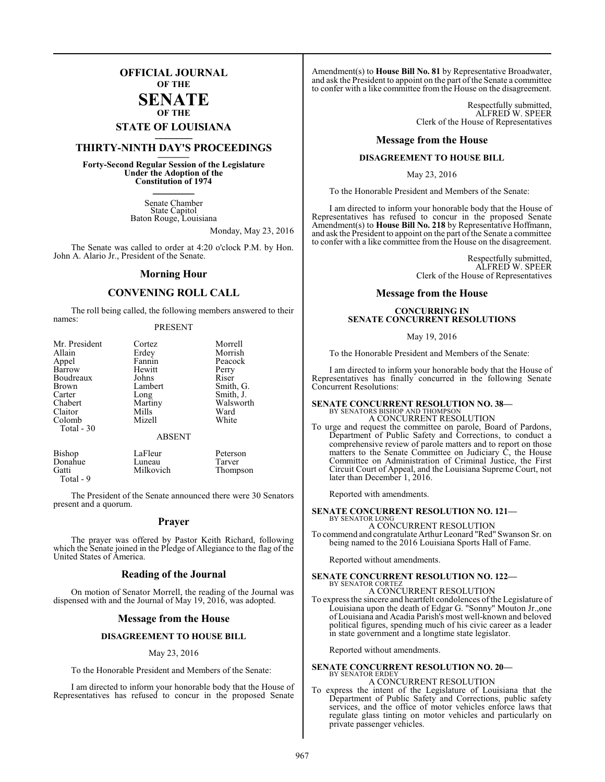## **OFFICIAL JOURNAL OF THE**

#### **SENATE OF THE**

# **STATE OF LOUISIANA \_\_\_\_\_\_\_**

## **THIRTY-NINTH DAY'S PROCEEDINGS \_\_\_\_\_\_\_**

**Forty-Second Regular Session of the Legislature Under the Adoption of the Constitution of 1974 \_\_\_\_\_\_\_**

> Senate Chamber State Capitol Baton Rouge, Louisiana

> > Monday, May 23, 2016

The Senate was called to order at 4:20 o'clock P.M. by Hon. John A. Alario Jr., President of the Senate.

#### **Morning Hour**

### **CONVENING ROLL CALL**

The roll being called, the following members answered to their names:

#### PRESENT

| Mr. President | Cortez        | Morrell   |
|---------------|---------------|-----------|
| Allain        | Erdey         | Morrish   |
| Appel         | Fannin        | Peacock   |
| Barrow        | Hewitt        | Perry     |
| Boudreaux     | Johns         | Riser     |
| Brown         | Lambert       | Smith, G. |
| Carter        | Long          | Smith, J. |
| Chabert       | Martiny       | Walsworth |
| Claitor       | Mills         | Ward      |
| Colomb        | Mizell        | White     |
| Total - 30    |               |           |
|               | <b>ABSENT</b> |           |

| Bishop    | LaFleur   | Peterson |
|-----------|-----------|----------|
| Donahue   | Luneau    | Tarver   |
| Gatti     | Milkovich | Thompson |
| Total - 9 |           |          |

The President of the Senate announced there were 30 Senators present and a quorum.

#### **Prayer**

The prayer was offered by Pastor Keith Richard, following which the Senate joined in the Pledge of Allegiance to the flag of the United States of America.

#### **Reading of the Journal**

On motion of Senator Morrell, the reading of the Journal was dispensed with and the Journal of May 19, 2016, was adopted.

#### **Message from the House**

#### **DISAGREEMENT TO HOUSE BILL**

#### May 23, 2016

To the Honorable President and Members of the Senate:

I am directed to inform your honorable body that the House of Representatives has refused to concur in the proposed Senate

Amendment(s) to **House Bill No. 81** by Representative Broadwater, and ask the President to appoint on the part ofthe Senate a committee to confer with a like committee from the House on the disagreement.

> Respectfully submitted, ALFRED W. SPEER Clerk of the House of Representatives

#### **Message from the House**

#### **DISAGREEMENT TO HOUSE BILL**

May 23, 2016

To the Honorable President and Members of the Senate:

I am directed to inform your honorable body that the House of Representatives has refused to concur in the proposed Senate Amendment(s) to **House Bill No. 218** by Representative Hoffmann, and ask the President to appoint on the part of the Senate a committee to confer with a like committee from the House on the disagreement.

> Respectfully submitted, ALFRED W. SPEER Clerk of the House of Representatives

#### **Message from the House**

#### **CONCURRING IN SENATE CONCURRENT RESOLUTIONS**

#### May 19, 2016

To the Honorable President and Members of the Senate:

I am directed to inform your honorable body that the House of Representatives has finally concurred in the following Senate Concurrent Resolutions:

## **SENATE CONCURRENT RESOLUTION NO. 38—** BY SENATORS BISHOP AND THOMPSON A CONCURRENT RESOLUTION

To urge and request the committee on parole, Board of Pardons, Department of Public Safety and Corrections, to conduct a comprehensive review of parole matters and to report on those matters to the Senate Committee on Judiciary C, the House Committee on Administration of Criminal Justice, the First Circuit Court of Appeal, and the Louisiana Supreme Court, not later than December 1, 2016.

Reported with amendments.

#### **SENATE CONCURRENT RESOLUTION NO. 121—**

BY SENATOR LONG A CONCURRENT RESOLUTION To commend and congratulate Arthur Leonard "Red" Swanson Sr. on being named to the 2016 Louisiana Sports Hall of Fame.

Reported without amendments.

## **SENATE CONCURRENT RESOLUTION NO. 122—** BY SENATOR CORTEZ A CONCURRENT RESOLUTION

## To express the sincere and heartfelt condolences ofthe Legislature of

Louisiana upon the death of Edgar G. "Sonny" Mouton Jr.,one of Louisiana and Acadia Parish's most well-known and beloved political figures, spending much of his civic career as a leader in state government and a longtime state legislator.

Reported without amendments.

#### **SENATE CONCURRENT RESOLUTION NO. 20—** BY SENATOR ERDEY A CONCURRENT RESOLUTION

To express the intent of the Legislature of Louisiana that the Department of Public Safety and Corrections, public safety services, and the office of motor vehicles enforce laws that regulate glass tinting on motor vehicles and particularly on private passenger vehicles.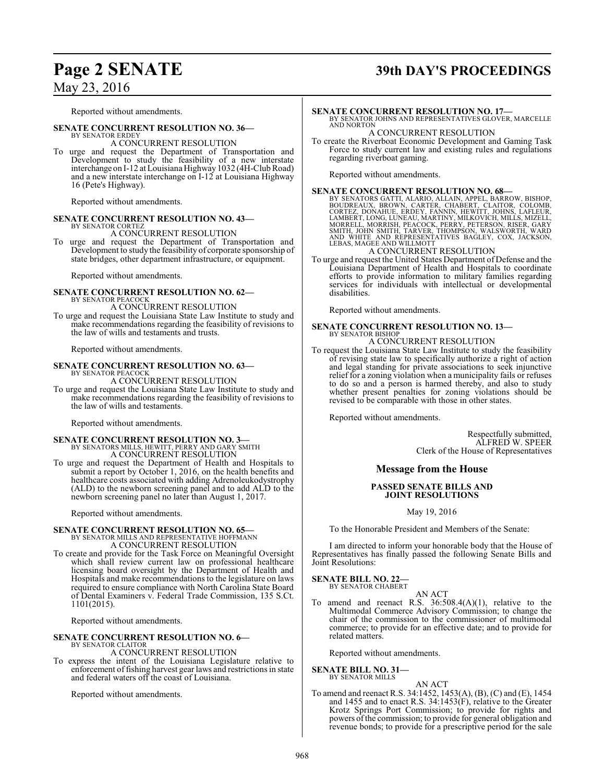## **Page 2 SENATE 39th DAY'S PROCEEDINGS**

May 23, 2016

Reported without amendments.

#### **SENATE CONCURRENT RESOLUTION NO. 36—**

BY SENATOR ERDEY A CONCURRENT RESOLUTION

To urge and request the Department of Transportation and Development to study the feasibility of a new interstate interchange on I-12 at Louisiana Highway1032 (4H-ClubRoad) and a new interstate interchange on I-12 at Louisiana Highway 16 (Pete's Highway).

Reported without amendments.

#### **SENATE CONCURRENT RESOLUTION NO. 43—** BY SENATOR CORTEZ

A CONCURRENT RESOLUTION

To urge and request the Department of Transportation and Development to study the feasibility of corporate sponsorship of state bridges, other department infrastructure, or equipment.

Reported without amendments.

#### **SENATE CONCURRENT RESOLUTION NO. 62—** BY SENATOR PEACOCK

A CONCURRENT RESOLUTION

To urge and request the Louisiana State Law Institute to study and make recommendations regarding the feasibility of revisions to the law of wills and testaments and trusts.

Reported without amendments.

#### **SENATE CONCURRENT RESOLUTION NO. 63—** BY SENATOR PEACOCI

A CONCURRENT RESOLUTION

To urge and request the Louisiana State Law Institute to study and make recommendations regarding the feasibility of revisions to the law of wills and testaments.

Reported without amendments.

# **SENATE CONCURRENT RESOLUTION NO. 3—**<br>BY SENATORS MILLS, HEWITT, PERRY AND GARY SMITH<br>A CONCURRENT RESOLUTION

To urge and request the Department of Health and Hospitals to submit a report by October 1, 2016, on the health benefits and healthcare costs associated with adding Adrenoleukodystrophy (ALD) to the newborn screening panel and to add ALD to the newborn screening panel no later than August 1, 2017.

Reported without amendments.

### **SENATE CONCURRENT RESOLUTION NO. 65—** BY SENATOR MILLS AND REPRESENTATIVE HOFFMANN A CONCURRENT RESOLUTION

To create and provide for the Task Force on Meaningful Oversight which shall review current law on professional healthcare licensing board oversight by the Department of Health and Hospitals and make recommendations to the legislature on laws required to ensure compliance with North Carolina State Board of Dental Examiners v. Federal Trade Commission, 135 S.Ct. 1101(2015).

Reported without amendments.

# **SENATE CONCURRENT RESOLUTION NO. 6—** BY SENATOR CLAITOR

A CONCURRENT RESOLUTION

To express the intent of the Louisiana Legislature relative to enforcement offishing harvest gear laws and restrictions in state and federal waters off the coast of Louisiana.

Reported without amendments.

#### **SENATE CONCURRENT RESOLUTION NO. 17—**

BY SENATOR JOHNS AND REPRESENTATIVES GLOVER, MARCELLE AND NORTON

#### A CONCURRENT RESOLUTION

To create the Riverboat Economic Development and Gaming Task Force to study current law and existing rules and regulations regarding riverboat gaming.

Reported without amendments.

#### **SENATE CONCURRENT RESOLUTION NO. 68—**

BY SENATORS GATTI, ALARIO, ALLAIN, APPEL, BARROW, BISHOP, COUNE,<br>CORTEZ, DONAHUE, ERDEY, FANNIN, HEWITT, JOHNS, COLOMB,<br>CORTEZ, DONAHUE, ERDEY, FANNIN, HEWITT, JOHNS, LAFLEUR,<br>LAMBERT, LONG, LUNEAU, MARTINY, MILKOVICH, MIL

#### A CONCURRENT RESOLUTION

To urge and request the United States Department of Defense and the Louisiana Department of Health and Hospitals to coordinate efforts to provide information to military families regarding services for individuals with intellectual or developmental disabilities.

Reported without amendments.

# **SENATE CONCURRENT RESOLUTION NO. 13—** BY SENATOR BISHOP

A CONCURRENT RESOLUTION

To request the Louisiana State Law Institute to study the feasibility of revising state law to specifically authorize a right of action and legal standing for private associations to seek injunctive relief for a zoning violation when a municipality fails or refuses to do so and a person is harmed thereby, and also to study whether present penalties for zoning violations should be revised to be comparable with those in other states.

Reported without amendments.

Respectfully submitted, ALFRED W. SPEER Clerk of the House of Representatives

#### **Message from the House**

#### **PASSED SENATE BILLS AND JOINT RESOLUTIONS**

May 19, 2016

To the Honorable President and Members of the Senate:

I am directed to inform your honorable body that the House of Representatives has finally passed the following Senate Bills and Joint Resolutions:

## **SENATE BILL NO. 22—**<br>BY SENATOR CHABERT

AN ACT

To amend and reenact R.S. 36:508.4(A)(1), relative to the Multimodal Commerce Advisory Commission; to change the chair of the commission to the commissioner of multimodal commerce; to provide for an effective date; and to provide for related matters.

Reported without amendments.

**SENATE BILL NO. 31—** BY SENATOR MILLS

## AN ACT

To amend and reenact R.S. 34:1452, 1453(A), (B), (C) and (E), 1454 and 1455 and to enact R.S. 34:1453(F), relative to the Greater Krotz Springs Port Commission; to provide for rights and powers ofthe commission; to provide for general obligation and revenue bonds; to provide for a prescriptive period for the sale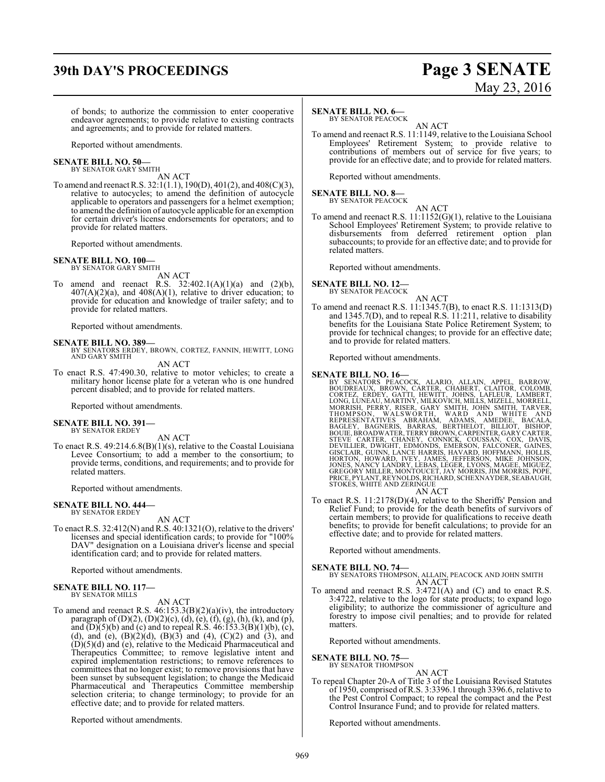## **39th DAY'S PROCEEDINGS Page 3 SENATE**

# May 23, 2016

of bonds; to authorize the commission to enter cooperative endeavor agreements; to provide relative to existing contracts and agreements; and to provide for related matters.

Reported without amendments.

## **SENATE BILL NO. 50—** BY SENATOR GARY SMITH

AN ACT

To amend and reenact R.S. 32:1(1.1), 190(D), 401(2), and 408(C)(3), relative to autocycles; to amend the definition of autocycle applicable to operators and passengers for a helmet exemption; to amend the definition of autocycle applicable for an exemption for certain driver's license endorsements for operators; and to provide for related matters.

Reported without amendments.

#### **SENATE BILL NO. 100—** BY SENATOR GARY SMITH

AN ACT

To amend and reenact R.S.  $32:402.1(A)(1)(a)$  and  $(2)(b)$ ,  $407(A)(2)(a)$ , and  $408(A)(1)$ , relative to driver education; to provide for education and knowledge of trailer safety; and to provide for related matters.

Reported without amendments.

**SENATE BILL NO. 389—** BY SENATORS ERDEY, BROWN, CORTEZ, FANNIN, HEWITT, LONG AND GARY SMITH

AN ACT

To enact R.S. 47:490.30, relative to motor vehicles; to create a military honor license plate for a veteran who is one hundred percent disabled; and to provide for related matters.

Reported without amendments.

## **SENATE BILL NO. 391—** BY SENATOR ERDEY

AN ACT

To enact R.S. 49:214.6.8(B)(1)(s), relative to the Coastal Louisiana Levee Consortium; to add a member to the consortium; to provide terms, conditions, and requirements; and to provide for related matters.

Reported without amendments.

#### **SENATE BILL NO. 444—** BY SENATOR ERDEY

#### AN ACT

To enact R.S. 32:412(N) and R.S. 40:1321(O), relative to the drivers' licenses and special identification cards; to provide for "100% DAV" designation on a Louisiana driver's license and special identification card; and to provide for related matters.

Reported without amendments.

#### **SENATE BILL NO. 117—** BY SENATOR MILLS

#### AN ACT

To amend and reenact R.S. 46:153.3(B)(2)(a)(iv), the introductory paragraph of (D)(2), (D)(2)(c), (d), (e), (f), (g), (h), (k), and (p), and  $(D)(5)(b)$  and (c) and to repeal R.S.  $46:153.3(B)(1)(b)$ , (c), (d), and (e),  $(B)(2)(d)$ ,  $(B)(3)$  and  $(4)$ ,  $(C)(2)$  and  $(3)$ , and  $(D)(5)(d)$  and  $(e)$ , relative to the Medicaid Pharmaceutical and Therapeutics Committee; to remove legislative intent and expired implementation restrictions; to remove references to committees that no longer exist; to remove provisions that have been sunset by subsequent legislation; to change the Medicaid Pharmaceutical and Therapeutics Committee membership selection criteria; to change terminology; to provide for an effective date; and to provide for related matters.

Reported without amendments.

#### **SENATE BILL NO. 6—**

BY SENATOR PEACOCK

AN ACT To amend and reenact R.S. 11:1149, relative to the Louisiana School Employees' Retirement System; to provide relative to contributions of members out of service for five years; to provide for an effective date; and to provide for related matters.

Reported without amendments.

#### **SENATE BILL NO. 8—** BY SENATOR PEACOCK

AN ACT

To amend and reenact R.S. 11:1152(G)(1), relative to the Louisiana School Employees' Retirement System; to provide relative to disbursements from deferred retirement option plan subaccounts; to provide for an effective date; and to provide for related matters.

Reported without amendments.

#### **SENATE BILL NO. 12—** BY SENATOR PEACOCK

AN ACT

To amend and reenact R.S. 11:1345.7(B), to enact R.S. 11:1313(D) and 1345.7(D), and to repeal R.S. 11:211, relative to disability benefits for the Louisiana State Police Retirement System; to provide for technical changes; to provide for an effective date; and to provide for related matters.

Reported without amendments.

SENATE BILL NO. 16—<br>BY SENATORS PEACOCK, ALARIO, ALLAIN, APPEL, BARROW,<br>BOUDREAUX, BROWN, CARTER, CHABERT, CLAITOR, COLOMB,<br>CORTEZ, ERDEY, GATTI, HEWITT, JOHNS, LAFLEUR, LAMBERT,<br>LONG,LUNEAU, MARTINY, MILKOVICH, MILLS, MIZ STOKES, WHITE AND ZERINGUE

AN ACT

To enact R.S. 11:2178(D)(4), relative to the Sheriffs' Pension and Relief Fund; to provide for the death benefits of survivors of certain members; to provide for qualifications to receive death benefits; to provide for benefit calculations; to provide for an effective date; and to provide for related matters.

Reported without amendments.

**SENATE BILL NO. 74—**<br>BY SENATORS THOMPSON, ALLAIN, PEACOCK AND JOHN SMITH AN ACT

To amend and reenact R.S. 3:4721(A) and (C) and to enact R.S. 3:4722, relative to the logo for state products; to expand logo eligibility; to authorize the commissioner of agriculture and forestry to impose civil penalties; and to provide for related matters.

Reported without amendments.

#### **SENATE BILL NO. 75—**

BY SENATOR THOMPSON AN ACT

To repeal Chapter 20-A of Title 3 of the Louisiana Revised Statutes of 1950, comprised ofR.S. 3:3396.1 through 3396.6, relative to the Pest Control Compact; to repeal the compact and the Pest Control Insurance Fund; and to provide for related matters.

Reported without amendments.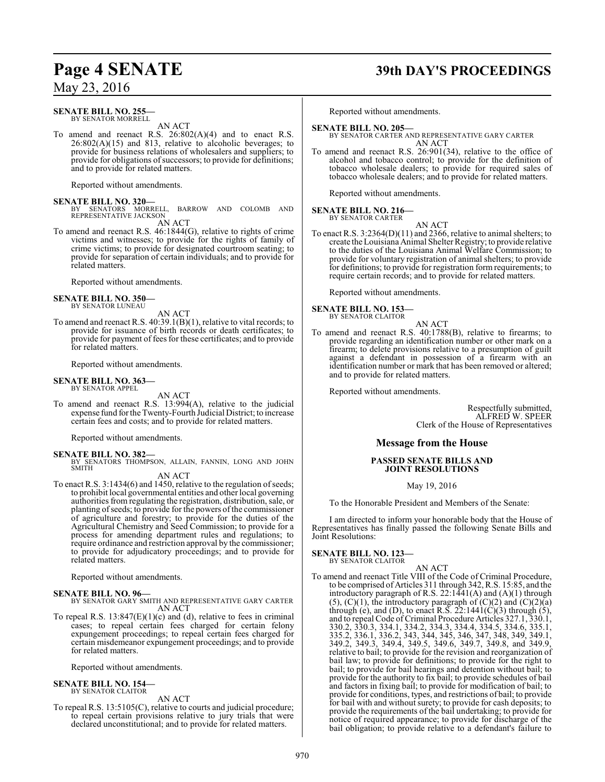#### **SENATE BILL NO. 255—** BY SENATOR MORRELL

AN ACT

To amend and reenact R.S. 26:802(A)(4) and to enact R.S.  $26:802(A)(15)$  and 813, relative to alcoholic beverages; to provide for business relations of wholesalers and suppliers; to provide for obligations of successors; to provide for definitions; and to provide for related matters.

Reported without amendments.

**SENATE BILL NO. 320—**<br>BY SENATORS MORRELL, BARROW AND COLOMB AND<br>REPRESENTATIVE JACKSON

AN ACT

To amend and reenact R.S. 46:1844(G), relative to rights of crime victims and witnesses; to provide for the rights of family of crime victims; to provide for designated courtroom seating; to provide for separation of certain individuals; and to provide for related matters.

Reported without amendments.

#### **SENATE BILL NO. 350—** BY SENATOR LUNEAU

AN ACT

To amend and reenact R.S. 40:39.1(B)(1), relative to vital records; to provide for issuance of birth records or death certificates; to provide for payment of fees for these certificates; and to provide for related matters.

Reported without amendments.

#### **SENATE BILL NO. 363—** BY SENATOR APPEL

AN ACT

To amend and reenact R.S. 13:994(A), relative to the judicial expense fund for the Twenty-Fourth Judicial District; to increase certain fees and costs; and to provide for related matters.

Reported without amendments.

**SENATE BILL NO. 382—** BY SENATORS THOMPSON, ALLAIN, FANNIN, LONG AND JOHN SMITH

## AN ACT

To enact R.S. 3:1434(6) and 1450, relative to the regulation of seeds; to prohibit local governmental entities and other local governing authorities from regulating the registration, distribution, sale, or planting of seeds; to provide for the powers of the commissioner of agriculture and forestry; to provide for the duties of the Agricultural Chemistry and Seed Commission; to provide for a process for amending department rules and regulations; to require ordinance and restriction approval by the commissioner; to provide for adjudicatory proceedings; and to provide for related matters.

Reported without amendments.

**SENATE BILL NO. 96—** BY SENATOR GARY SMITH AND REPRESENTATIVE GARY CARTER AN ACT

To repeal R.S.  $13:847(E)(1)(c)$  and (d), relative to fees in criminal cases; to repeal certain fees charged for certain felony expungement proceedings; to repeal certain fees charged for certain misdemeanor expungement proceedings; and to provide for related matters.

Reported without amendments.

#### **SENATE BILL NO. 154—** BY SENATOR CLAITOR

AN ACT To repeal R.S. 13:5105(C), relative to courts and judicial procedure; to repeal certain provisions relative to jury trials that were declared unconstitutional; and to provide for related matters.

## **Page 4 SENATE 39th DAY'S PROCEEDINGS**

Reported without amendments.

#### **SENATE BILL NO. 205—**

BY SENATOR CARTER AND REPRESENTATIVE GARY CARTER AN ACT

To amend and reenact R.S. 26:901(34), relative to the office of alcohol and tobacco control; to provide for the definition of tobacco wholesale dealers; to provide for required sales of tobacco wholesale dealers; and to provide for related matters.

Reported without amendments.

#### **SENATE BILL NO. 216—**

BY SENATOR CARTER

AN ACT To enact R.S. 3:2364(D)(11) and 2366, relative to animal shelters; to create the Louisiana Animal Shelter Registry; to provide relative to the duties of the Louisiana Animal Welfare Commission; to provide for voluntary registration of animal shelters; to provide for definitions; to provide for registration form requirements; to require certain records; and to provide for related matters.

Reported without amendments.

#### **SENATE BILL NO. 153—** BY SENATOR CLAITOR

AN ACT

To amend and reenact R.S. 40:1788(B), relative to firearms; to provide regarding an identification number or other mark on a firearm; to delete provisions relative to a presumption of guilt against a defendant in possession of a firearm with an identification number or mark that has been removed or altered; and to provide for related matters.

Reported without amendments.

Respectfully submitted, ALFRED W. SPEER Clerk of the House of Representatives

#### **Message from the House**

#### **PASSED SENATE BILLS AND JOINT RESOLUTIONS**

#### May 19, 2016

To the Honorable President and Members of the Senate:

I am directed to inform your honorable body that the House of Representatives has finally passed the following Senate Bills and Joint Resolutions:

## **SENATE BILL NO. 123—** BY SENATOR CLAITOR

AN ACT

To amend and reenact Title VIII of the Code of Criminal Procedure, to be comprised of Articles 311 through 342, R.S. 15:85, and the introductory paragraph of R.S.  $22:1441(A)$  and  $(A)(1)$  through  $(5)$ ,  $(C)(1)$ , the introductory paragraph of  $(C)(2)$  and  $(C)(2)(a)$ through (e), and (D), to enact R.S.  $22:1441(\text{C})(3)$  through (5), and to repeal Code of Criminal Procedure Articles 327.1, 330.1, 330.2, 330.3, 334.1, 334.2, 334.3, 334.4, 334.5, 334.6, 335.1, 335.2, 336.1, 336.2, 343, 344, 345, 346, 347, 348, 349, 349.1, 349.2, 349.3, 349.4, 349.5, 349.6, 349.7, 349.8, and 349.9, relative to bail; to provide for the revision and reorganization of bail law; to provide for definitions; to provide for the right to bail; to provide for bail hearings and detention without bail; to provide for the authority to fix bail; to provide schedules of bail and factors in fixing bail; to provide for modification of bail; to provide for conditions, types, and restrictions of bail; to provide for bail with and without surety; to provide for cash deposits; to provide the requirements of the bail undertaking; to provide for notice of required appearance; to provide for discharge of the bail obligation; to provide relative to a defendant's failure to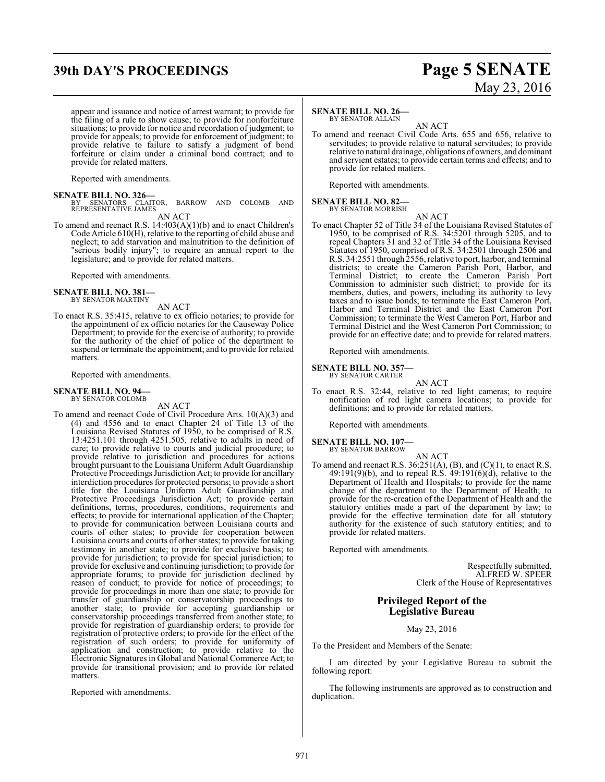## **39th DAY'S PROCEEDINGS Page 5 SENATE**

# May 23, 2016

appear and issuance and notice of arrest warrant; to provide for the filing of a rule to show cause; to provide for nonforfeiture situations; to provide for notice and recordation of judgment; to provide for appeals; to provide for enforcement of judgment; to provide relative to failure to satisfy a judgment of bond forfeiture or claim under a criminal bond contract; and to provide for related matters.

Reported with amendments.

#### **SENATE BILL NO. 326—**

- BY SENATORS CLAITOR, BARROW AND COLOMB AND REPRESENTATIVE JAMES AN ACT
- To amend and reenact R.S. 14:403(A)(1)(b) and to enact Children's Code Article 610(H), relative to the reporting of child abuse and neglect; to add starvation and malnutrition to the definition of "serious bodily injury"; to require an annual report to the legislature; and to provide for related matters.

Reported with amendments.

# **SENATE BILL NO. 381—** BY SENATOR MARTINY

AN ACT

To enact R.S. 35:415, relative to ex officio notaries; to provide for the appointment of ex officio notaries for the Causeway Police Department; to provide for the exercise of authority; to provide for the authority of the chief of police of the department to suspend or terminate the appointment; and to provide for related matters.

Reported with amendments.

#### **SENATE BILL NO. 94—** BY SENATOR COLOMB

AN ACT

To amend and reenact Code of Civil Procedure Arts. 10(A)(3) and (4) and 4556 and to enact Chapter 24 of Title 13 of the Louisiana Revised Statutes of 1950, to be comprised of R.S. 13:4251.101 through 4251.505, relative to adults in need of care; to provide relative to courts and judicial procedure; to provide relative to jurisdiction and procedures for actions brought pursuant to the Louisiana Uniform Adult Guardianship Protective Proceedings Jurisdiction Act; to provide for ancillary interdiction procedures for protected persons; to provide a short title for the Louisiana Uniform Adult Guardianship and Protective Proceedings Jurisdiction Act; to provide certain definitions, terms, procedures, conditions, requirements and effects; to provide for international application of the Chapter; to provide for communication between Louisiana courts and courts of other states; to provide for cooperation between Louisiana courts and courts of other states; to provide for taking testimony in another state; to provide for exclusive basis; to provide for jurisdiction; to provide for special jurisdiction; to provide for exclusive and continuing jurisdiction; to provide for appropriate forums; to provide for jurisdiction declined by reason of conduct; to provide for notice of proceedings; to provide for proceedings in more than one state; to provide for transfer of guardianship or conservatorship proceedings to another state; to provide for accepting guardianship or conservatorship proceedings transferred from another state; to provide for registration of guardianship orders; to provide for registration of protective orders; to provide for the effect of the registration of such orders; to provide for uniformity of application and construction; to provide relative to the Electronic Signatures in Global and National Commerce Act; to provide for transitional provision; and to provide for related matters.

Reported with amendments.

#### **SENATE BILL NO. 26—**

BY SENATOR ALLAIN

AN ACT To amend and reenact Civil Code Arts. 655 and 656, relative to servitudes; to provide relative to natural servitudes; to provide relative to natural drainage, obligations of owners, and dominant and servient estates; to provide certain terms and effects; and to provide for related matters.

Reported with amendments.

#### **SENATE BILL NO. 82—** BY SENATOR MORRISH

AN ACT To enact Chapter 52 of Title 34 of the Louisiana Revised Statutes of 1950, to be comprised of R.S. 34:5201 through 5205, and to repeal Chapters 31 and 32 of Title 34 of the Louisiana Revised Statutes of 1950, comprised of R.S. 34:2501 through 2506 and R.S. 34:2551 through 2556, relative to port, harbor, and terminal districts; to create the Cameron Parish Port, Harbor, and Terminal District; to create the Cameron Parish Port Commission to administer such district; to provide for its members, duties, and powers, including its authority to levy taxes and to issue bonds; to terminate the East Cameron Port, Harbor and Terminal District and the East Cameron Port Commission; to terminate the West Cameron Port, Harbor and Terminal District and the West Cameron Port Commission; to provide for an effective date; and to provide for related matters.

Reported with amendments.

## **SENATE BILL NO. 357—** BY SENATOR CARTER

AN ACT To enact R.S. 32:44, relative to red light cameras; to require notification of red light camera locations; to provide for definitions; and to provide for related matters.

Reported with amendments.

#### **SENATE BILL NO. 107—**

BY SENATOR BARROW

AN ACT To amend and reenact R.S.  $36:251(A), (B)$ , and  $(C)(1)$ , to enact R.S. 49:191(9)(b), and to repeal R.S. 49:191(6)(d), relative to the Department of Health and Hospitals; to provide for the name change of the department to the Department of Health; to provide for the re-creation of the Department of Health and the statutory entities made a part of the department by law; to provide for the effective termination date for all statutory authority for the existence of such statutory entities; and to provide for related matters.

Reported with amendments.

Respectfully submitted, ALFRED W. SPEER Clerk of the House of Representatives

#### **Privileged Report of the Legislative Bureau**

May 23, 2016

To the President and Members of the Senate:

I am directed by your Legislative Bureau to submit the following report:

The following instruments are approved as to construction and duplication.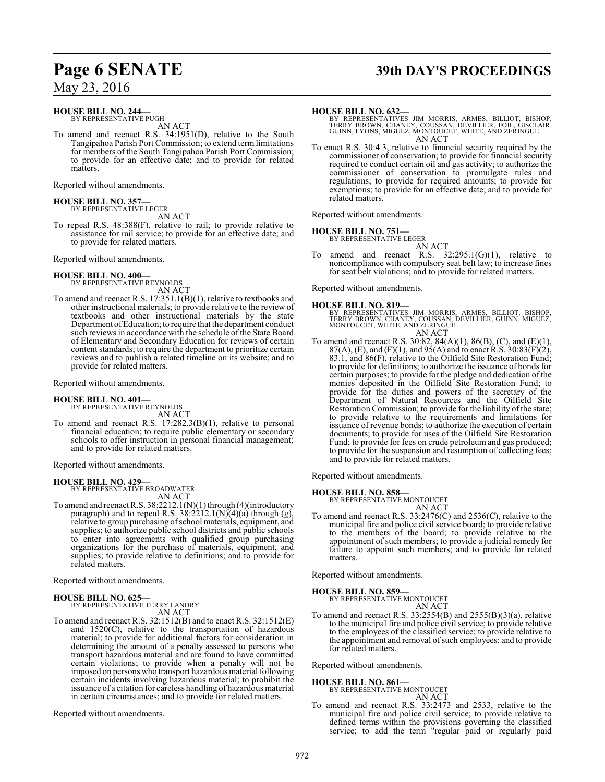# **Page 6 SENATE 39th DAY'S PROCEEDINGS**

May 23, 2016

**HOUSE BILL NO. 244—**

BY REPRESENTATIVE PUGH AN ACT

To amend and reenact R.S. 34:1951(D), relative to the South Tangipahoa Parish Port Commission; to extend termlimitations for members of the South Tangipahoa Parish Port Commission; to provide for an effective date; and to provide for related matters.

Reported without amendments.

# **HOUSE BILL NO. 357—** BY REPRESENTATIVE LEGER

AN ACT

To repeal R.S. 48:388(F), relative to rail; to provide relative to assistance for rail service; to provide for an effective date; and to provide for related matters.

Reported without amendments.

**HOUSE BILL NO. 400—** BY REPRESENTATIVE REYNOLDS AN ACT

To amend and reenact R.S. 17:351.1(B)(1), relative to textbooks and other instructional materials; to provide relative to the review of textbooks and other instructional materials by the state Department ofEducation; to require that the department conduct such reviews in accordance with the schedule of the State Board of Elementary and Secondary Education for reviews of certain content standards; to require the department to prioritize certain reviews and to publish a related timeline on its website; and to provide for related matters.

Reported without amendments.

### **HOUSE BILL NO. 401—**

BY REPRESENTATIVE REYNOLDS AN ACT

To amend and reenact R.S. 17:282.3(B)(1), relative to personal financial education; to require public elementary or secondary schools to offer instruction in personal financial management; and to provide for related matters.

Reported without amendments.

#### **HOUSE BILL NO. 429—**

BY REPRESENTATIVE BROADWATER AN ACT

To amend and reenact R.S. 38:2212.1(N)(1) through (4)(introductory paragraph) and to repeal R.S.  $38:2212.1(N)(4)(a)$  through (g), relative to group purchasing ofschool materials, equipment, and supplies; to authorize public school districts and public schools to enter into agreements with qualified group purchasing organizations for the purchase of materials, equipment, and supplies; to provide relative to definitions; and to provide for related matters.

Reported without amendments.

#### **HOUSE BILL NO. 625—** BY REPRESENTATIVE TERRY LANDRY

AN ACT

To amend and reenact R.S. 32:1512(B) and to enact R.S. 32:1512(E) and 1520(C), relative to the transportation of hazardous material; to provide for additional factors for consideration in determining the amount of a penalty assessed to persons who transport hazardous material and are found to have committed certain violations; to provide when a penalty will not be imposed on persons who transport hazardous material following certain incidents involving hazardous material; to prohibit the issuance of a citation for careless handling of hazardous material in certain circumstances; and to provide for related matters.

Reported without amendments.

#### **HOUSE BILL NO. 632—**

BY REPRESENTATIVES JIM MORRIS, ARMES, BILLIOT, BISHOP,<br>TERRY BROWN, CHANEY, COUSSAN, DEVILLIER, FOIL, GISCLAIR,<br>GUINN,LYONS,MIGUEZ,MONTOUCET,WHITE,AND ZERINGUE AN ACT

To enact R.S. 30:4.3, relative to financial security required by the commissioner of conservation; to provide for financial security required to conduct certain oil and gas activity; to authorize the commissioner of conservation to promulgate rules and regulations; to provide for required amounts; to provide for exemptions; to provide for an effective date; and to provide for related matters.

Reported without amendments.

**HOUSE BILL NO. 751—**

BY REPRESENTATIVE LEGER

AN ACT To amend and reenact R.S.  $32:295.1(G)(1)$ , relative to noncompliance with compulsory seat belt law; to increase fines for seat belt violations; and to provide for related matters.

Reported without amendments.

#### **HOUSE BILL NO. 819—**

BY REPRESENTATIVES JIM MORRIS, ARMES, BILLIOT, BISHOP,<br>TERRY BROWN, CHANEY, COUSSAN, DEVILLIER, GUINN, MIGUEZ,<br>MONTOUCET,WHITE, AND ZERINGUE AN ACT

To amend and reenact R.S. 30:82, 84(A)(1), 86(B), (C), and (E)(1),  $87(A)$ , (E), and (F)(1), and 95(A) and to enact R.S. 30:83(F)(2), 83.1, and 86(F), relative to the Oilfield Site Restoration Fund; to provide for definitions; to authorize the issuance of bonds for certain purposes; to provide for the pledge and dedication of the monies deposited in the Oilfield Site Restoration Fund; to provide for the duties and powers of the secretary of the Department of Natural Resources and the Oilfield Site Restoration Commission; to provide for the liability of the state; to provide relative to the requirements and limitations for issuance of revenue bonds; to authorize the execution of certain documents; to provide for uses of the Oilfield Site Restoration Fund; to provide for fees on crude petroleum and gas produced; to provide for the suspension and resumption of collecting fees; and to provide for related matters.

Reported without amendments.

#### **HOUSE BILL NO. 858—**

BY REPRESENTATIVE MONTOUCET AN ACT

To amend and reenact R.S. 33:2476(C) and 2536(C), relative to the municipal fire and police civil service board; to provide relative to the members of the board; to provide relative to the appointment of such members; to provide a judicial remedy for failure to appoint such members; and to provide for related matters.

Reported without amendments.

**HOUSE BILL NO. 859—**

BY REPRESENTATIVE MONTOUCET AN ACT

To amend and reenact R.S.  $33:2554(B)$  and  $2555(B)(3)(a)$ , relative to the municipal fire and police civil service; to provide relative to the employees of the classified service; to provide relative to the appointment and removal of such employees; and to provide for related matters.

Reported without amendments.

#### **HOUSE BILL NO. 861—**

BY REPRESENTATIVE MONTOUCET AN ACT

To amend and reenact R.S. 33:2473 and 2533, relative to the municipal fire and police civil service; to provide relative to defined terms within the provisions governing the classified service; to add the term "regular paid or regularly paid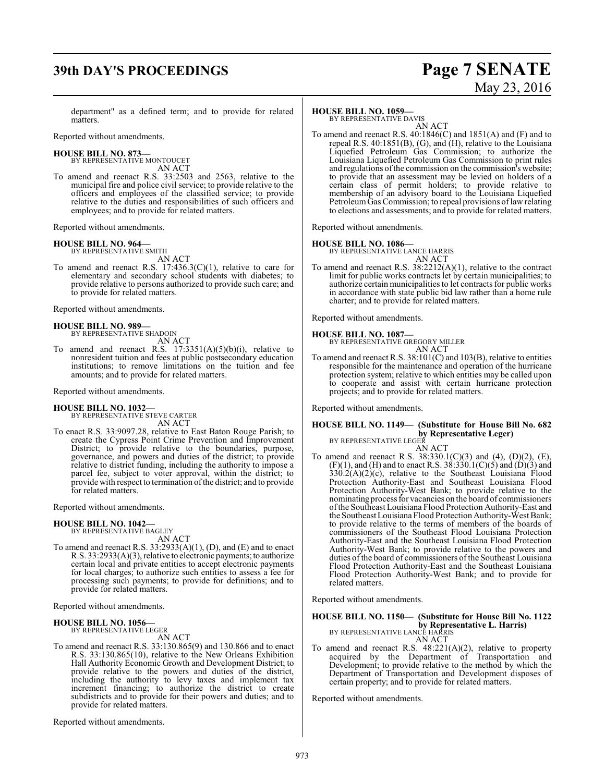# **39th DAY'S PROCEEDINGS Page 7 SENATE**

# May 23, 2016

department" as a defined term; and to provide for related matters.

Reported without amendments.

#### **HOUSE BILL NO. 873—**

BY REPRESENTATIVE MONTOUCET AN ACT

To amend and reenact R.S. 33:2503 and 2563, relative to the municipal fire and police civil service; to provide relative to the officers and employees of the classified service; to provide relative to the duties and responsibilities of such officers and employees; and to provide for related matters.

Reported without amendments.

## **HOUSE BILL NO. 964—**

BY REPRESENTATIVE SMITH AN ACT

To amend and reenact R.S. 17:436.3(C)(1), relative to care for elementary and secondary school students with diabetes; to provide relative to persons authorized to provide such care; and to provide for related matters.

Reported without amendments.

#### **HOUSE BILL NO. 989—** BY REPRESENTATIVE SHADOIN

AN ACT

To amend and reenact R.S.  $17:3351(A)(5)(b)(i)$ , relative to nonresident tuition and fees at public postsecondary education institutions; to remove limitations on the tuition and fee amounts; and to provide for related matters.

Reported without amendments.

**HOUSE BILL NO. 1032—** BY REPRESENTATIVE STEVE CARTER AN ACT

To enact R.S. 33:9097.28, relative to East Baton Rouge Parish; to create the Cypress Point Crime Prevention and Improvement District; to provide relative to the boundaries, purpose, governance, and powers and duties of the district; to provide relative to district funding, including the authority to impose a parcel fee, subject to voter approval, within the district; to provide with respect to termination of the district; and to provide for related matters.

Reported without amendments.

#### **HOUSE BILL NO. 1042—**

BY REPRESENTATIVE BAGLEY AN ACT

To amend and reenact R.S. 33:2933(A)(1), (D), and (E) and to enact R.S. 33:2933(A)(3), relative to electronic payments; to authorize certain local and private entities to accept electronic payments for local charges; to authorize such entities to assess a fee for processing such payments; to provide for definitions; and to provide for related matters.

Reported without amendments.

#### **HOUSE BILL NO. 1056—** BY REPRESENTATIVE LEGER

AN ACT

To amend and reenact R.S. 33:130.865(9) and 130.866 and to enact R.S. 33:130.865(10), relative to the New Orleans Exhibition Hall Authority Economic Growth and Development District; to provide relative to the powers and duties of the district, including the authority to levy taxes and implement tax increment financing; to authorize the district to create subdistricts and to provide for their powers and duties; and to provide for related matters.

Reported without amendments.

#### **HOUSE BILL NO. 1059—**

BY REPRESENTATIVE DAVIS AN ACT

To amend and reenact R.S. 40:1846(C) and 1851(A) and (F) and to repeal R.S. 40:1851(B), (G), and (H), relative to the Louisiana Liquefied Petroleum Gas Commission; to authorize the Louisiana Liquefied Petroleum Gas Commission to print rules and regulations ofthe commission on the commission's website; to provide that an assessment may be levied on holders of a certain class of permit holders; to provide relative to membership of an advisory board to the Louisiana Liquefied Petroleum Gas Commission; to repeal provisions of law relating to elections and assessments; and to provide for related matters.

Reported without amendments.

#### **HOUSE BILL NO. 1086—**

BY REPRESENTATIVE LANCE HARRIS AN ACT

To amend and reenact R.S. 38:2212(A)(1), relative to the contract limit for public works contracts let by certain municipalities; to authorize certain municipalities to let contracts for public works in accordance with state public bid law rather than a home rule charter; and to provide for related matters.

Reported without amendments.

**HOUSE BILL NO. 1087—** BY REPRESENTATIVE GREGORY MILLER AN ACT

To amend and reenact R.S. 38:101(C) and 103(B), relative to entities responsible for the maintenance and operation of the hurricane protection system; relative to which entities may be called upon to cooperate and assist with certain hurricane protection projects; and to provide for related matters.

Reported without amendments.

## **HOUSE BILL NO. 1149— (Substitute for House Bill No. 682 by Representative Leger)**<br>BY REPRESENTATIVE LEGER

AN ACT

To amend and reenact R.S. 38:330.1(C)(3) and (4), (D)(2), (E),  $(F)(1)$ , and  $(H)$  and to enact R.S. 38:330.1(C)(5) and  $(D)(3)$  and  $330.2(A)(2)(c)$ , relative to the Southeast Louisiana Flood Protection Authority-East and Southeast Louisiana Flood Protection Authority-West Bank; to provide relative to the nominatingprocess for vacancies on the board of commissioners ofthe Southeast Louisiana Flood Protection Authority-East and the Southeast Louisiana Flood Protection Authority-West Bank; to provide relative to the terms of members of the boards of commissioners of the Southeast Flood Louisiana Protection Authority-East and the Southeast Louisiana Flood Protection Authority-West Bank; to provide relative to the powers and duties of the board of commissioners ofthe Southeast Louisiana Flood Protection Authority-East and the Southeast Louisiana Flood Protection Authority-West Bank; and to provide for related matters.

Reported without amendments.

**HOUSE BILL NO. 1150— (Substitute for House Bill No. 1122 by Representative L. Harris)** BY REPRESENTATIVE LANCE HARRIS

AN ACT

To amend and reenact R.S. 48:221(A)(2), relative to property acquired by the Department of Transportation and Development; to provide relative to the method by which the Department of Transportation and Development disposes of certain property; and to provide for related matters.

Reported without amendments.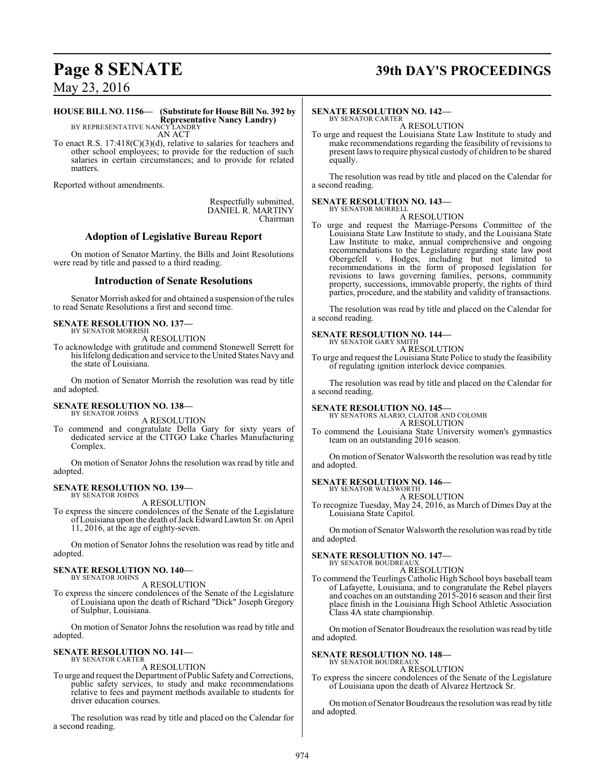# **Page 8 SENATE 39th DAY'S PROCEEDINGS**

May 23, 2016

#### **HOUSE BILL NO. 1156— (Substitute for House Bill No. 392 by Representative Nancy Landry)**

BY REPRESENTATIVE NANCY LANDRY AN ACT

To enact R.S. 17:418(C)(3)(d), relative to salaries for teachers and other school employees; to provide for the reduction of such salaries in certain circumstances; and to provide for related matters.

Reported without amendments.

Respectfully submitted, DANIEL R. MARTINY Chairman

#### **Adoption of Legislative Bureau Report**

On motion of Senator Martiny, the Bills and Joint Resolutions were read by title and passed to a third reading.

#### **Introduction of Senate Resolutions**

Senator Morrish asked for and obtained a suspension ofthe rules to read Senate Resolutions a first and second time.

#### **SENATE RESOLUTION NO. 137—** BY SENATOR MORRISH

A RESOLUTION

To acknowledge with gratitude and commend Stonewell Serrett for his lifelong dedication and service to the United States Navy and the state of Louisiana.

On motion of Senator Morrish the resolution was read by title and adopted.

#### **SENATE RESOLUTION NO. 138—** BY SENATOR JOHNS

A RESOLUTION

To commend and congratulate Della Gary for sixty years of dedicated service at the CITGO Lake Charles Manufacturing Complex.

On motion of Senator Johns the resolution was read by title and adopted.

#### **SENATE RESOLUTION NO. 139—** BY SENATOR JOHNS

A RESOLUTION

To express the sincere condolences of the Senate of the Legislature of Louisiana upon the death of Jack Edward Lawton Sr. on April 11, 2016, at the age of eighty-seven.

On motion of Senator Johns the resolution was read by title and adopted.

#### **SENATE RESOLUTION NO. 140—** BY SENATOR JOHNS

A RESOLUTION

To express the sincere condolences of the Senate of the Legislature of Louisiana upon the death of Richard "Dick" Joseph Gregory of Sulphur, Louisiana.

On motion of Senator Johns the resolution was read by title and adopted.

# **SENATE RESOLUTION NO. 141—** BY SENATOR CARTER

A RESOLUTION

To urge and request the Department of Public Safety and Corrections, public safety services, to study and make recommendations relative to fees and payment methods available to students for driver education courses.

The resolution was read by title and placed on the Calendar for a second reading.

### **SENATE RESOLUTION NO. 142—**

BY SENATOR CARTER A RESOLUTION

To urge and request the Louisiana State Law Institute to study and make recommendations regarding the feasibility of revisions to present laws to require physical custody of children to be shared equally.

The resolution was read by title and placed on the Calendar for a second reading.

#### **SENATE RESOLUTION NO. 143—** BY SENATOR MORRELL

A RESOLUTION

To urge and request the Marriage-Persons Committee of the Louisiana State Law Institute to study, and the Louisiana State Law Institute to make, annual comprehensive and ongoing recommendations to the Legislature regarding state law post Obergefell v. Hodges, including but not limited to recommendations in the form of proposed legislation for revisions to laws governing families, persons, community property, successions, immovable property, the rights of third parties, procedure, and the stability and validity of transactions.

The resolution was read by title and placed on the Calendar for a second reading.

## **SENATE RESOLUTION NO. 144—**

BY SENATOR GARY SMITH A RESOLUTION

To urge and request the Louisiana State Police to study the feasibility of regulating ignition interlock device companies.

The resolution was read by title and placed on the Calendar for a second reading.

**SENATE RESOLUTION NO. 145—** BY SENATORS ALARIO, CLAITOR AND COLOMB

A RESOLUTION

To commend the Louisiana State University women's gymnastics team on an outstanding 2016 season.

On motion of Senator Walsworth the resolution was read by title and adopted.

#### **SENATE RESOLUTION NO. 146—**

BY SENATOR WALSWORTH A RESOLUTION

To recognize Tuesday, May 24, 2016, as March of Dimes Day at the Louisiana State Capitol.

On motion of Senator Walsworth the resolution was read by title and adopted.

## **SENATE RESOLUTION NO. 147—**

BY SENATOR BOUDREAUX

A RESOLUTION

To commend the Teurlings Catholic High School boys baseball team of Lafayette, Louisiana, and to congratulate the Rebel players and coaches on an outstanding 2015-2016 season and their first place finish in the Louisiana High School Athletic Association Class 4A state championship.

On motion of Senator Boudreaux the resolution was read by title and adopted.

#### **SENATE RESOLUTION NO. 148—** BY SENATOR BOUDREAUX

A RESOLUTION

To express the sincere condolences of the Senate of the Legislature of Louisiana upon the death of Alvarez Hertzock Sr.

On motion of Senator Boudreaux the resolution was read by title and adopted.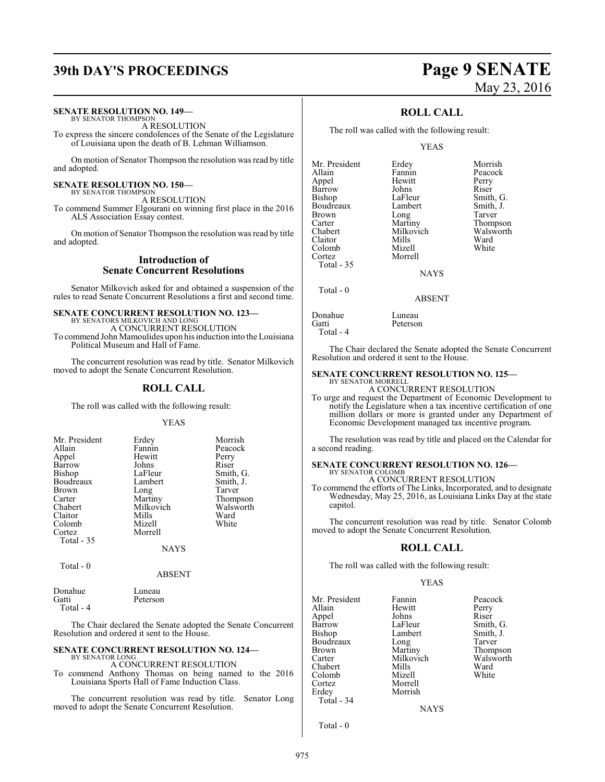# **39th DAY'S PROCEEDINGS Page 9 SENATE**

## **SENATE RESOLUTION NO. 149—**

BY SENATOR THOMPSON A RESOLUTION

To express the sincere condolences of the Senate of the Legislature of Louisiana upon the death of B. Lehman Williamson.

On motion of Senator Thompson the resolution was read by title and adopted.

#### **SENATE RESOLUTION NO. 150—** BY SENATOR THOMPSON

A RESOLUTION

To commend Summer Elgourani on winning first place in the 2016 ALS Association Essay contest.

On motion of Senator Thompson the resolution was read by title and adopted.

#### **Introduction of Senate Concurrent Resolutions**

Senator Milkovich asked for and obtained a suspension of the rules to read Senate Concurrent Resolutions a first and second time.

#### **SENATE CONCURRENT RESOLUTION NO. 123—** BY SENATORS MILKOVICH AND LONG

A CONCURRENT RESOLUTION To commend John Mamoulides upon his induction into the Louisiana Political Museum and Hall of Fame.

The concurrent resolution was read by title. Senator Milkovich moved to adopt the Senate Concurrent Resolution.

## **ROLL CALL**

The roll was called with the following result:

YEAS

| Mr. President | Erdey     | Morrish   |
|---------------|-----------|-----------|
| Allain        | Fannin    | Peacock   |
| Appel         | Hewitt    | Perry     |
| Barrow        | Johns     | Riser     |
| <b>Bishop</b> | LaFleur   | Smith, G. |
| Boudreaux     | Lambert   | Smith, J. |
| <b>Brown</b>  | Long      | Tarver    |
| Carter        | Martiny   | Thompson  |
| Chabert       | Milkovich | Walsworth |
| Claitor       | Mills     | Ward      |
| Colomb        | Mizell    | White     |
| Cortez        | Morrell   |           |
| Total - 35    |           |           |
|               | NAYS      |           |

Total - 0

#### ABSENT

| Donahue   | Luneau   |
|-----------|----------|
| Gatti     | Peterson |
| Total - 4 |          |

The Chair declared the Senate adopted the Senate Concurrent Resolution and ordered it sent to the House.

## **SENATE CONCURRENT RESOLUTION NO. 124—** BY SENATOR LONG

A CONCURRENT RESOLUTION To commend Anthony Thomas on being named to the 2016 Louisiana Sports Hall of Fame Induction Class.

The concurrent resolution was read by title. Senator Long moved to adopt the Senate Concurrent Resolution.

## **ROLL CALL**

The roll was called with the following result:

Luneau Peterson

#### YEAS

| Mr. President | Erdey     | Morrish   |
|---------------|-----------|-----------|
| Allain        | Fannin    | Peacock   |
| Appel         | Hewitt    | Perry     |
| Barrow        | Johns     | Riser     |
| <b>Bishop</b> | LaFleur   | Smith, G. |
| Boudreaux     | Lambert   | Smith, J. |
| <b>Brown</b>  | Long      | Tarver    |
| Carter        | Martiny   | Thompson  |
| Chabert       | Milkovich | Walsworth |
| Claitor       | Mills     | Ward      |
| Colomb        | Mizell    | White     |
| Cortez        | Morrell   |           |
| Total - 35    |           |           |
|               | NAYS      |           |

**NAYS** 

ABSENT

| Donahue   |  |
|-----------|--|
| Gatti     |  |
| Total - 4 |  |

Total - 0

The Chair declared the Senate adopted the Senate Concurrent Resolution and ordered it sent to the House.

#### **SENATE CONCURRENT RESOLUTION NO. 125—**

BY SENATOR MORRELL A CONCURRENT RESOLUTION

To urge and request the Department of Economic Development to notify the Legislature when a tax incentive certification of one million dollars or more is granted under any Department of Economic Development managed tax incentive program.

The resolution was read by title and placed on the Calendar for a second reading.

## **SENATE CONCURRENT RESOLUTION NO. 126—** BY SENATOR COLOMB

A CONCURRENT RESOLUTION

To commend the efforts of The Links, Incorporated, and to designate Wednesday, May 25, 2016, as Louisiana Links Day at the state capitol.

The concurrent resolution was read by title. Senator Colomb moved to adopt the Senate Concurrent Resolution.

### **ROLL CALL**

The roll was called with the following result:

#### YEAS

| Mr. President                 | Fannin             | Peacock   |
|-------------------------------|--------------------|-----------|
| Allain                        | Hewitt             | Perry     |
| Appel                         | Johns              | Riser     |
| Barrow                        | LaFleur            | Smith, G. |
| <b>Bishop</b>                 | Lambert            | Smith, J. |
| Boudreaux                     | Long               | Tarver    |
| <b>Brown</b>                  | Martiny            | Thompson  |
| Carter                        | Milkovich          | Walsworth |
| Chabert                       | Mills              | Ward      |
| Colomb                        | Mizell             | White     |
| Cortez<br>Erdey<br>Total - 34 | Morrell<br>Morrish |           |
|                               |                    |           |

**NAYS** 

Total - 0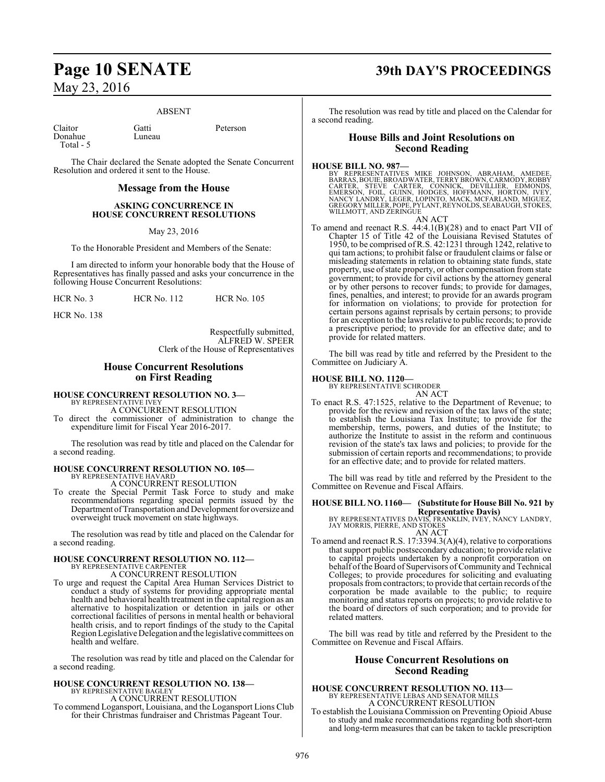#### ABSENT

Claitor Gatti Peterson Donahue Total - 5

The Chair declared the Senate adopted the Senate Concurrent Resolution and ordered it sent to the House.

#### **Message from the House**

#### **ASKING CONCURRENCE IN HOUSE CONCURRENT RESOLUTIONS**

May 23, 2016

To the Honorable President and Members of the Senate:

I am directed to inform your honorable body that the House of Representatives has finally passed and asks your concurrence in the following House Concurrent Resolutions:

HCR No. 3 HCR No. 112 HCR No. 105

HCR No. 138

Respectfully submitted, ALFRED W. SPEER Clerk of the House of Representatives

#### **House Concurrent Resolutions on First Reading**

**HOUSE CONCURRENT RESOLUTION NO. 3—**<br>BY REPRESENTATIVE IVEY<br>A CONCURRENT RESOLUTION

To direct the commissioner of administration to change the expenditure limit for Fiscal Year 2016-2017.

The resolution was read by title and placed on the Calendar for a second reading.

#### **HOUSE CONCURRENT RESOLUTION NO. 105—** BY REPRESENTATIVE HAVARD

A CONCURRENT RESOLUTION

To create the Special Permit Task Force to study and make recommendations regarding special permits issued by the Department of Transportation and Development for oversize and overweight truck movement on state highways.

The resolution was read by title and placed on the Calendar for a second reading.

# **HOUSE CONCURRENT RESOLUTION NO. 112—** BY REPRESENTATIVE CARPENTER A CONCURRENT RESOLUTION

To urge and request the Capital Area Human Services District to conduct a study of systems for providing appropriate mental health and behavioral health treatment in the capital region as an alternative to hospitalization or detention in jails or other correctional facilities of persons in mental health or behavioral health crisis, and to report findings of the study to the Capital RegionLegislative Delegation and the legislative committees on health and welfare.

The resolution was read by title and placed on the Calendar for a second reading.

#### **HOUSE CONCURRENT RESOLUTION NO. 138—** BY REPRESENTATIVE BAGLEY

A CONCURRENT RESOLUTION

To commend Logansport, Louisiana, and the Logansport Lions Club for their Christmas fundraiser and Christmas Pageant Tour.

## **Page 10 SENATE 39th DAY'S PROCEEDINGS**

The resolution was read by title and placed on the Calendar for a second reading.

#### **House Bills and Joint Resolutions on Second Reading**

**HOUSE BILL NO. 987—**<br>BY REPRESENTATIVES MIKE JOHNSON, ABRAHAM, AMEDEE,<br>BARRAS, BOUIE, BROADWATER, TERRY BROWN, CARMODY, ROBBY<br>CARTER, STEVE CARTER, CONNICK, DEVILLIER, EDMONDS,<br>EMERSON, FOIL, GUINN, HODGES, HOFFMANN, HORT

AN ACT To amend and reenact R.S. 44:4.1(B)(28) and to enact Part VII of Chapter 15 of Title 42 of the Louisiana Revised Statutes of 1950, to be comprised ofR.S. 42:1231 through 1242, relative to qui tam actions; to prohibit false or fraudulent claims or false or misleading statements in relation to obtaining state funds, state property, use ofstate property, or other compensation from state government; to provide for civil actions by the attorney general or by other persons to recover funds; to provide for damages, fines, penalties, and interest; to provide for an awards program for information on violations; to provide for protection for certain persons against reprisals by certain persons; to provide for an exception to the laws relative to public records; to provide a prescriptive period; to provide for an effective date; and to provide for related matters.

The bill was read by title and referred by the President to the Committee on Judiciary A.

#### **HOUSE BILL NO. 1120—**

BY REPRESENTATIVE SCHRODER

AN ACT To enact R.S. 47:1525, relative to the Department of Revenue; to provide for the review and revision of the tax laws of the state; to establish the Louisiana Tax Institute; to provide for the membership, terms, powers, and duties of the Institute; to authorize the Institute to assist in the reform and continuous revision of the state's tax laws and policies; to provide for the submission of certain reports and recommendations; to provide for an effective date; and to provide for related matters.

The bill was read by title and referred by the President to the Committee on Revenue and Fiscal Affairs.

**HOUSE BILL NO. 1160— (Substitute for House Bill No. 921 by**

**Representative Davis)** BY REPRESENTATIVES DAVIS, FRANKLIN, IVEY, NANCY LANDRY, JAY MORRIS, PIERRE, AND STOKES AN ACT

To amend and reenact R.S. 17:3394.3(A)(4), relative to corporations that support public postsecondary education; to provide relative to capital projects undertaken by a nonprofit corporation on behalf of the Board of Supervisors of Community and Technical Colleges; to provide procedures for soliciting and evaluating proposals from contractors; to provide that certain records of the corporation be made available to the public; to require monitoring and status reports on projects; to provide relative to the board of directors of such corporation; and to provide for related matters.

The bill was read by title and referred by the President to the Committee on Revenue and Fiscal Affairs.

#### **House Concurrent Resolutions on Second Reading**

## **HOUSE CONCURRENT RESOLUTION NO. 113—** BY REPRESENTATIVE LEBAS AND SENATOR MILLS A CONCURRENT RESOLUTION

To establish the Louisiana Commission on Preventing Opioid Abuse to study and make recommendations regarding both short-term and long-term measures that can be taken to tackle prescription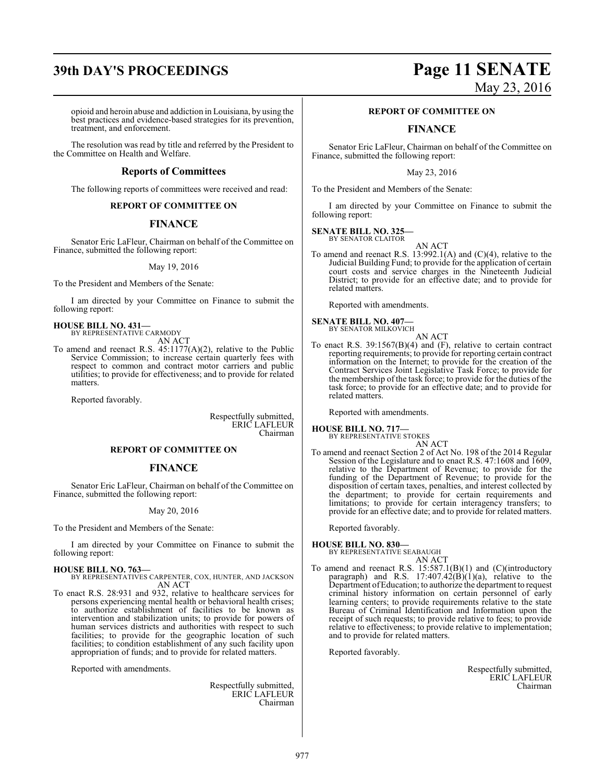# **39th DAY'S PROCEEDINGS Page 11 SENATE**

opioid and heroin abuse and addiction in Louisiana, by using the best practices and evidence-based strategies for its prevention, treatment, and enforcement.

The resolution was read by title and referred by the President to the Committee on Health and Welfare.

#### **Reports of Committees**

The following reports of committees were received and read:

#### **REPORT OF COMMITTEE ON**

#### **FINANCE**

Senator Eric LaFleur, Chairman on behalf of the Committee on Finance, submitted the following report:

#### May 19, 2016

To the President and Members of the Senate:

I am directed by your Committee on Finance to submit the following report:

**HOUSE BILL NO. 431—** BY REPRESENTATIVE CARMODY

AN ACT

To amend and reenact R.S. 45:1177(A)(2), relative to the Public Service Commission; to increase certain quarterly fees with respect to common and contract motor carriers and public utilities; to provide for effectiveness; and to provide for related matters.

Reported favorably.

Respectfully submitted, ERIC LAFLEUR Chairman

#### **REPORT OF COMMITTEE ON**

#### **FINANCE**

Senator Eric LaFleur, Chairman on behalf of the Committee on Finance, submitted the following report:

#### May 20, 2016

To the President and Members of the Senate:

I am directed by your Committee on Finance to submit the following report:

#### **HOUSE BILL NO. 763—**

BY REPRESENTATIVES CARPENTER, COX, HUNTER, AND JACKSON AN ACT

To enact R.S. 28:931 and 932, relative to healthcare services for persons experiencing mental health or behavioral health crises; to authorize establishment of facilities to be known as intervention and stabilization units; to provide for powers of human services districts and authorities with respect to such facilities; to provide for the geographic location of such facilities; to condition establishment of any such facility upon appropriation of funds; and to provide for related matters.

Reported with amendments.

Respectfully submitted, ERIC LAFLEUR Chairman

# May 23, 2016

#### **REPORT OF COMMITTEE ON**

## **FINANCE**

Senator Eric LaFleur, Chairman on behalf of the Committee on Finance, submitted the following report:

May 23, 2016

To the President and Members of the Senate:

I am directed by your Committee on Finance to submit the following report:

**SENATE BILL NO. 325—** BY SENATOR CLAITOR

AN ACT

To amend and reenact R.S. 13:992.1(A) and (C)(4), relative to the Judicial Building Fund; to provide for the application of certain court costs and service charges in the Nineteenth Judicial District; to provide for an effective date; and to provide for related matters.

Reported with amendments.

#### **SENATE BILL NO. 407—** BY SENATOR MILKOVICH

AN ACT

To enact R.S. 39:1567(B)(4) and (F), relative to certain contract reporting requirements; to provide for reporting certain contract information on the Internet; to provide for the creation of the Contract Services Joint Legislative Task Force; to provide for the membership of the task force; to provide for the duties of the task force; to provide for an effective date; and to provide for related matters.

Reported with amendments.

#### **HOUSE BILL NO. 717—** BY REPRESENTATIVE STOKES

AN ACT

To amend and reenact Section 2 of Act No. 198 of the 2014 Regular Session of the Legislature and to enact R.S. 47:1608 and 1609, relative to the Department of Revenue; to provide for the funding of the Department of Revenue; to provide for the disposition of certain taxes, penalties, and interest collected by the department; to provide for certain requirements and limitations; to provide for certain interagency transfers; to provide for an effective date; and to provide for related matters.

Reported favorably.

**HOUSE BILL NO. 830—** BY REPRESENTATIVE SEABAUGH

To amend and reenact R.S. 15:587.1(B)(1) and (C)(introductory paragraph) and R.S.  $17:407.42(B)(1)(a)$ , relative to the Department ofEducation; to authorize the department to request criminal history information on certain personnel of early learning centers; to provide requirements relative to the state Bureau of Criminal Identification and Information upon the receipt of such requests; to provide relative to fees; to provide relative to effectiveness; to provide relative to implementation; and to provide for related matters.

AN ACT

Reported favorably.

Respectfully submitted, ERIC LAFLEUR Chairman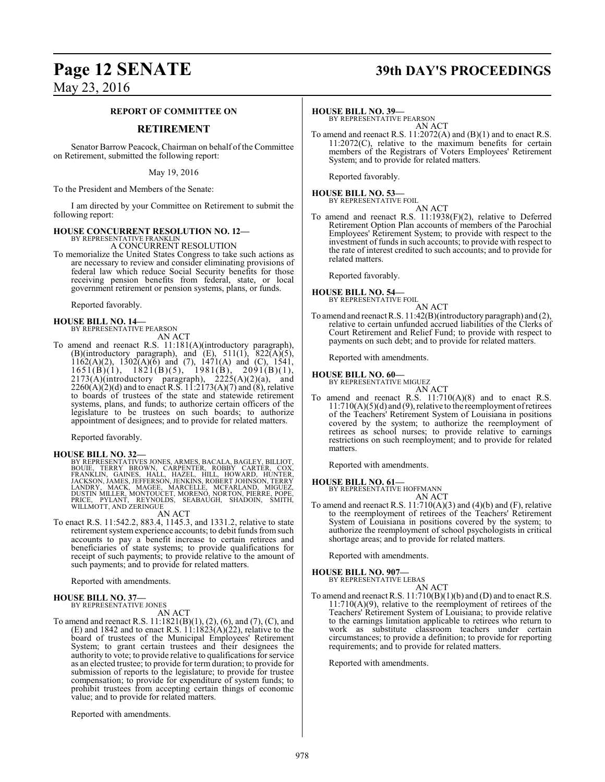## **Page 12 SENATE 39th DAY'S PROCEEDINGS**

May 23, 2016

#### **REPORT OF COMMITTEE ON**

#### **RETIREMENT**

Senator Barrow Peacock, Chairman on behalf of the Committee on Retirement, submitted the following report:

May 19, 2016

To the President and Members of the Senate:

I am directed by your Committee on Retirement to submit the following report:

#### **HOUSE CONCURRENT RESOLUTION NO. 12—**

BY REPRESENTATIVE FRANKLIN A CONCURRENT RESOLUTION

To memorialize the United States Congress to take such actions as are necessary to review and consider eliminating provisions of federal law which reduce Social Security benefits for those receiving pension benefits from federal, state, or local government retirement or pension systems, plans, or funds.

Reported favorably.

## **HOUSE BILL NO. 14—** BY REPRESENTATIVE PEARSON AN ACT

To amend and reenact R.S. 11:181(A)(introductory paragraph), (B)(introductory paragraph), and  $(E)$ , 511(1), 822 $\overline{(A)}(5)$ ,  $1162(A)(2)$ ,  $1302(A)(6)$  and (7),  $1471(A)$  and (C),  $1541$ ,  $1651(B)(1)$ ,  $1821(B)(5)$ ,  $1981(B)$ ,  $2091(B)(1)$ ,  $2173(A)$ (introductory paragraph),  $2225(A)(2)(a)$ , and  $2260(A)(2)(d)$  and to enact R.S.  $11:2173(A)(7)$  and  $(8)$ , relative to boards of trustees of the state and statewide retirement systems, plans, and funds; to authorize certain officers of the legislature to be trustees on such boards; to authorize appointment of designees; and to provide for related matters.

Reported favorably.

**HOUSE BILL NO. 32—**<br>BY REPRESENTATIVES JONES, ARMES, BACALA, BAGLEY, BILLIOT,<br>BOUIE, TERRY BROWN, CARPENTER, ROBBY CARTER, COX,<br>FRANKLIN, GAINES, HALL, HAZEL, HILL, HOWARD, HUNTER,<br>JACKSON, JAMES, JEFFERSON, JENKINS, ROBE

#### AN ACT

To enact R.S. 11:542.2, 883.4, 1145.3, and 1331.2, relative to state retirement systemexperience accounts; to debit funds fromsuch accounts to pay a benefit increase to certain retirees and beneficiaries of state systems; to provide qualifications for receipt of such payments; to provide relative to the amount of such payments; and to provide for related matters.

Reported with amendments.

## **HOUSE BILL NO. 37—** BY REPRESENTATIVE JONES

AN ACT

To amend and reenact R.S. 11:1821(B)(1), (2), (6), and (7), (C), and (E) and 1842 and to enact R.S.  $11:1823(A)(22)$ , relative to the board of trustees of the Municipal Employees' Retirement System; to grant certain trustees and their designees the authority to vote; to provide relative to qualifications for service as an elected trustee; to provide for term duration; to provide for submission of reports to the legislature; to provide for trustee compensation; to provide for expenditure of system funds; to prohibit trustees from accepting certain things of economic value; and to provide for related matters.

Reported with amendments.

#### **HOUSE BILL NO. 39—**

BY REPRESENTATIVE PEARSON AN ACT

To amend and reenact R.S. 11:2072(A) and (B)(1) and to enact R.S. 11:2072(C), relative to the maximum benefits for certain members of the Registrars of Voters Employees' Retirement System; and to provide for related matters.

Reported favorably.

#### **HOUSE BILL NO. 53—** BY REPRESENTATIVE FOIL

AN ACT

To amend and reenact R.S. 11:1938(F)(2), relative to Deferred Retirement Option Plan accounts of members of the Parochial Employees' Retirement System; to provide with respect to the investment of funds in such accounts; to provide with respect to the rate of interest credited to such accounts; and to provide for related matters.

Reported favorably.

#### **HOUSE BILL NO. 54—**

BY REPRESENTATIVE FOIL AN ACT

To amend and reenact R.S. 11:42(B)(introductory paragraph) and (2), relative to certain unfunded accrued liabilities of the Clerks of Court Retirement and Relief Fund; to provide with respect to payments on such debt; and to provide for related matters.

Reported with amendments.

#### **HOUSE BILL NO. 60—**

BY REPRESENTATIVE MIGUEZ

AN ACT To amend and reenact R.S.  $11:710(A)(8)$  and to enact R.S.  $11:710(A)(5)(d)$  and (9), relative to the reemployment of retirees of the Teachers' Retirement System of Louisiana in positions covered by the system; to authorize the reemployment of retirees as school nurses; to provide relative to earnings restrictions on such reemployment; and to provide for related matters.

Reported with amendments.

#### **HOUSE BILL NO. 61—**

BY REPRESENTATIVE HOFFMANN AN ACT

To amend and reenact R.S.  $11:710(A)(3)$  and  $(4)(b)$  and  $(F)$ , relative to the reemployment of retirees of the Teachers' Retirement System of Louisiana in positions covered by the system; to authorize the reemployment of school psychologists in critical shortage areas; and to provide for related matters.

Reported with amendments.

#### **HOUSE BILL NO. 907—**

BY REPRESENTATIVE LEBAS

AN ACT To amend and reenact R.S.  $11:710(B)(1)(b)$  and (D) and to enact R.S.  $11:710(A)(9)$ , relative to the reemployment of retirees of the Teachers' Retirement System of Louisiana; to provide relative to the earnings limitation applicable to retirees who return to work as substitute classroom teachers under certain circumstances; to provide a definition; to provide for reporting requirements; and to provide for related matters.

Reported with amendments.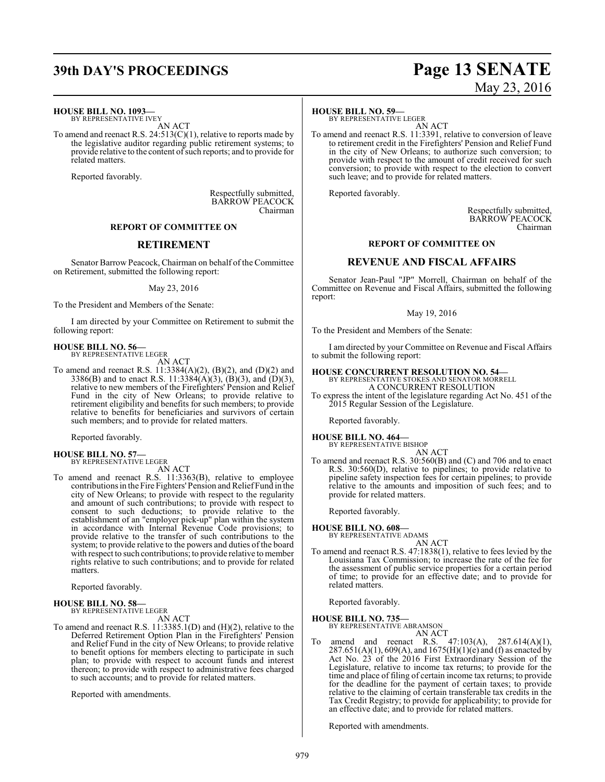## **39th DAY'S PROCEEDINGS Page 13 SENATE**

#### **HOUSE BILL NO. 1093—**

BY REPRESENTATIVE IVEY AN ACT

To amend and reenact R.S. 24:513(C)(1), relative to reports made by the legislative auditor regarding public retirement systems; to provide relative to the content of such reports; and to provide for related matters.

Reported favorably.

Respectfully submitted, BARROW PEACOCK Chairman

#### **REPORT OF COMMITTEE ON**

#### **RETIREMENT**

Senator Barrow Peacock, Chairman on behalf of the Committee on Retirement, submitted the following report:

#### May 23, 2016

To the President and Members of the Senate:

I am directed by your Committee on Retirement to submit the following report:

#### **HOUSE BILL NO. 56—** BY REPRESENTATIVE LEGER

AN ACT

To amend and reenact R.S. 11:3384(A)(2), (B)(2), and (D)(2) and 3386(B) and to enact R.S. 11:3384(A)(3), (B)(3), and (D)(3), relative to new members of the Firefighters' Pension and Relief Fund in the city of New Orleans; to provide relative to retirement eligibility and benefits for such members; to provide relative to benefits for beneficiaries and survivors of certain such members; and to provide for related matters.

Reported favorably.

# **HOUSE BILL NO. 57—** BY REPRESENTATIVE LEGER

AN ACT

To amend and reenact R.S. 11:3363(B), relative to employee contributions in the Fire Fighters' Pension and Relief Fund in the city of New Orleans; to provide with respect to the regularity and amount of such contributions; to provide with respect to consent to such deductions; to provide relative to the establishment of an "employer pick-up" plan within the system in accordance with Internal Revenue Code provisions; to provide relative to the transfer of such contributions to the system; to provide relative to the powers and duties of the board with respect to such contributions; to provide relative to member rights relative to such contributions; and to provide for related matters.

Reported favorably.

#### **HOUSE BILL NO. 58—** BY REPRESENTATIVE LEGER

AN ACT

To amend and reenact R.S. 11:3385.1(D) and (H)(2), relative to the Deferred Retirement Option Plan in the Firefighters' Pension and Relief Fund in the city of New Orleans; to provide relative to benefit options for members electing to participate in such plan; to provide with respect to account funds and interest thereon; to provide with respect to administrative fees charged to such accounts; and to provide for related matters.

Reported with amendments.

# May 23, 2016

**HOUSE BILL NO. 59—** BY REPRESENTATIVE LEGER AN ACT

To amend and reenact R.S. 11:3391, relative to conversion of leave to retirement credit in the Firefighters' Pension and Relief Fund in the city of New Orleans; to authorize such conversion; to provide with respect to the amount of credit received for such conversion; to provide with respect to the election to convert such leave; and to provide for related matters.

Reported favorably.

Respectfully submitted, BARROW PEACOCK Chairman

#### **REPORT OF COMMITTEE ON**

#### **REVENUE AND FISCAL AFFAIRS**

Senator Jean-Paul "JP" Morrell, Chairman on behalf of the Committee on Revenue and Fiscal Affairs, submitted the following report:

#### May 19, 2016

To the President and Members of the Senate:

I am directed by your Committee on Revenue and Fiscal Affairs to submit the following report:

#### **HOUSE CONCURRENT RESOLUTION NO. 54—**

BY REPRESENTATIVE STOKES AND SENATOR MORRELL A CONCURRENT RESOLUTION

To express the intent of the legislature regarding Act No. 451 of the 2015 Regular Session of the Legislature.

Reported favorably.

**HOUSE BILL NO. 464—** BY REPRESENTATIVE BISHOP

AN ACT To amend and reenact R.S. 30:560(B) and (C) and 706 and to enact R.S. 30:560(D), relative to pipelines; to provide relative to pipeline safety inspection fees for certain pipelines; to provide relative to the amounts and imposition of such fees; and to provide for related matters.

Reported favorably.

**HOUSE BILL NO. 608—**

BY REPRESENTATIVE ADAMS

AN ACT To amend and reenact R.S. 47:1838(1), relative to fees levied by the Louisiana Tax Commission; to increase the rate of the fee for the assessment of public service properties for a certain period of time; to provide for an effective date; and to provide for related matters.

Reported favorably.

#### **HOUSE BILL NO. 735—** BY REPRESENTATIVE ABRAMSON

AN ACT

To amend and reenact R.S. 47:103(A), 287.614(A)(1),  $287.651(A)(1)$ , 609(A), and  $1675(H)(1)(e)$  and (f) as enacted by Act No. 23 of the 2016 First Extraordinary Session of the Legislature, relative to income tax returns; to provide for the time and place of filing of certain income tax returns; to provide for the deadline for the payment of certain taxes; to provide relative to the claiming of certain transferable tax credits in the Tax Credit Registry; to provide for applicability; to provide for an effective date; and to provide for related matters.

Reported with amendments.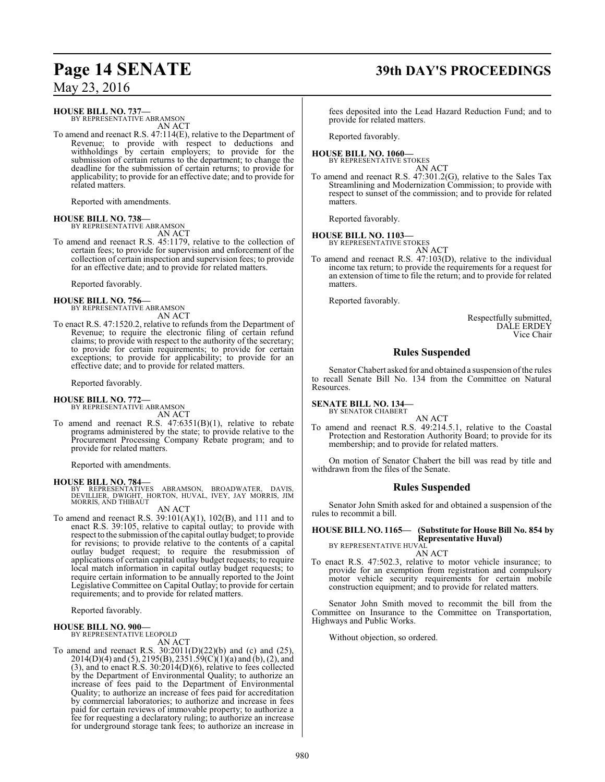#### **HOUSE BILL NO. 737—**

BY REPRESENTATIVE ABRAMSON AN ACT

To amend and reenact R.S. 47:114(E), relative to the Department of Revenue; to provide with respect to deductions and withholdings by certain employers; to provide for the submission of certain returns to the department; to change the deadline for the submission of certain returns; to provide for applicability; to provide for an effective date; and to provide for related matters.

Reported with amendments.

#### **HOUSE BILL NO. 738—**

BY REPRESENTATIVE ABRAMSON AN ACT

To amend and reenact R.S. 45:1179, relative to the collection of certain fees; to provide for supervision and enforcement of the collection of certain inspection and supervision fees; to provide for an effective date; and to provide for related matters.

Reported favorably.

# **HOUSE BILL NO. 756—** BY REPRESENTATIVE ABRAMSON

AN ACT

To enact R.S. 47:1520.2, relative to refunds from the Department of Revenue; to require the electronic filing of certain refund claims; to provide with respect to the authority of the secretary; to provide for certain requirements; to provide for certain exceptions; to provide for applicability; to provide for an effective date; and to provide for related matters.

Reported favorably.

# **HOUSE BILL NO. 772—** BY REPRESENTATIVE ABRAMSON

AN ACT

To amend and reenact R.S. 47:6351(B)(1), relative to rebate programs administered by the state; to provide relative to the Procurement Processing Company Rebate program; and to provide for related matters.

Reported with amendments.

#### **HOUSE BILL NO. 784—**

BY REPRESENTATIVES ABRAMSON, BROADWATER, DAVIS,<br>DEVILLIER, DWIGHT, HORTON, HUVAL, IVEY, JAY-MORRIS, JIM<br>MORRIS,AND-THIBAUT

#### AN ACT

To amend and reenact R.S. 39:101(A)(1), 102(B), and 111 and to enact R.S. 39:105, relative to capital outlay; to provide with respect to the submission of the capital outlay budget; to provide for revisions; to provide relative to the contents of a capital outlay budget request; to require the resubmission of applications of certain capital outlay budget requests; to require local match information in capital outlay budget requests; to require certain information to be annually reported to the Joint Legislative Committee on Capital Outlay; to provide for certain requirements; and to provide for related matters.

Reported favorably.

#### **HOUSE BILL NO. 900—** BY REPRESENTATIVE LEOPOLD

AN ACT

To amend and reenact R.S. 30:2011(D)(22)(b) and (c) and (25), 2014(D)(4) and (5), 2195(B), 2351.59(C)(1)(a) and (b), (2), and (3), and to enact R.S. 30:2014(D)(6), relative to fees collected by the Department of Environmental Quality; to authorize an increase of fees paid to the Department of Environmental Quality; to authorize an increase of fees paid for accreditation by commercial laboratories; to authorize and increase in fees paid for certain reviews of immovable property; to authorize a fee for requesting a declaratory ruling; to authorize an increase for underground storage tank fees; to authorize an increase in

## **Page 14 SENATE 39th DAY'S PROCEEDINGS**

fees deposited into the Lead Hazard Reduction Fund; and to provide for related matters.

Reported favorably.

#### **HOUSE BILL NO. 1060—** BY REPRESENTATIVE STOKES

AN ACT

To amend and reenact R.S. 47:301.2(G), relative to the Sales Tax Streamlining and Modernization Commission; to provide with respect to sunset of the commission; and to provide for related matters.

Reported favorably.

# **HOUSE BILL NO. 1103—** BY REPRESENTATIVE STOKES

AN ACT

To amend and reenact R.S. 47:103(D), relative to the individual income tax return; to provide the requirements for a request for an extension of time to file the return; and to provide for related matters.

Reported favorably.

Respectfully submitted, DALE ERDEY Vice Chair

### **Rules Suspended**

Senator Chabert asked for and obtained a suspension of the rules to recall Senate Bill No. 134 from the Committee on Natural Resources.

#### **SENATE BILL NO. 134—**

BY SENATOR CHABERT

AN ACT To amend and reenact R.S. 49:214.5.1, relative to the Coastal Protection and Restoration Authority Board; to provide for its membership; and to provide for related matters.

On motion of Senator Chabert the bill was read by title and withdrawn from the files of the Senate.

#### **Rules Suspended**

Senator John Smith asked for and obtained a suspension of the rules to recommit a bill.

#### **HOUSE BILL NO. 1165— (Substitute for House Bill No. 854 by Representative Huval)** BY REPRESENTATIVE HUVAL

AN ACT

To enact R.S. 47:502.3, relative to motor vehicle insurance; to provide for an exemption from registration and compulsory motor vehicle security requirements for certain mobile construction equipment; and to provide for related matters.

Senator John Smith moved to recommit the bill from the Committee on Insurance to the Committee on Transportation, Highways and Public Works.

Without objection, so ordered.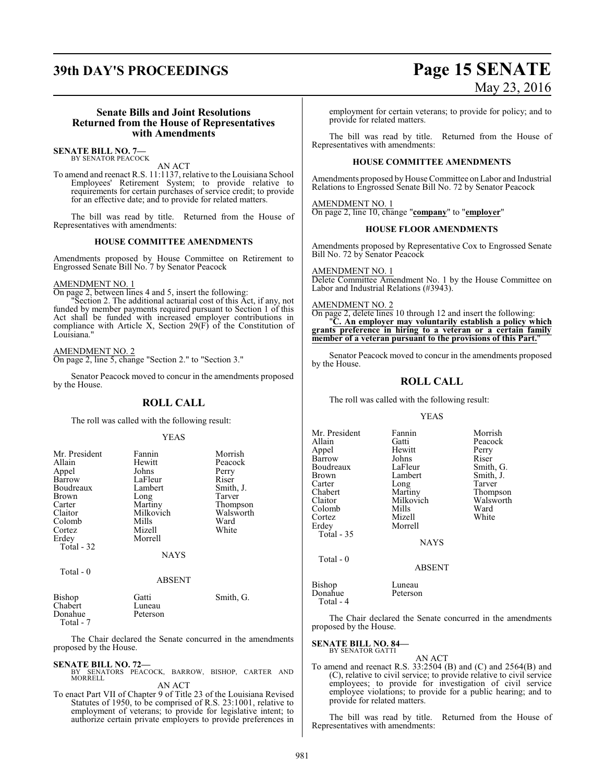# **39th DAY'S PROCEEDINGS Page 15 SENATE** May 23, 2016

#### **Senate Bills and Joint Resolutions Returned from the House of Representatives with Amendments**

#### **SENATE BILL NO. 7—** BY SENATOR PEACOCK

AN ACT

To amend and reenact R.S. 11:1137, relative to the Louisiana School Employees' Retirement System; to provide relative to requirements for certain purchases of service credit; to provide for an effective date; and to provide for related matters.

The bill was read by title. Returned from the House of Representatives with amendments:

#### **HOUSE COMMITTEE AMENDMENTS**

Amendments proposed by House Committee on Retirement to Engrossed Senate Bill No. 7 by Senator Peacock

#### AMENDMENT NO. 1

On page 2, between lines 4 and 5, insert the following:

"Section 2. The additional actuarial cost of this Act, if any, not funded by member payments required pursuant to Section 1 of this Act shall be funded with increased employer contributions in compliance with Article X, Section 29(F) of the Constitution of Louisiana."

#### AMENDMENT NO. 2

On page 2, line 5, change "Section 2." to "Section 3."

Senator Peacock moved to concur in the amendments proposed by the House.

#### **ROLL CALL**

The roll was called with the following result:

#### YEAS

| Mr. President<br>Allain<br>Appel<br>Barrow<br>Boudreaux<br>Brown<br>Carter<br>Claitor<br>Colomb<br>Cortez<br>Erdey<br>Total - 32 | Fannin<br>Hewitt<br>Johns<br>LaFleur<br>Lambert<br>Long<br>Martiny<br>Milkovich<br>Mills<br>Mizell<br>Morrell | Morrish<br>Peacock<br>Perry<br>Riser<br>Smith, J.<br>Tarver<br>Thompson<br>Walsworth<br>Ward<br>White |
|----------------------------------------------------------------------------------------------------------------------------------|---------------------------------------------------------------------------------------------------------------|-------------------------------------------------------------------------------------------------------|
|                                                                                                                                  | <b>NAYS</b>                                                                                                   |                                                                                                       |
| Total - 0                                                                                                                        | <b>ABSENT</b>                                                                                                 |                                                                                                       |
| <b>Bishop</b><br>Chabert<br>Donahue                                                                                              | Gatti<br>Luneau<br>Peterson                                                                                   | Smith, G.                                                                                             |

 Total - 7 The Chair declared the Senate concurred in the amendments

### **SENATE BILL NO. 72—**

proposed by the House.

BY SENATORS PEACOCK, BARROW, BISHOP, CARTER AND MORRELL

AN ACT

To enact Part VII of Chapter 9 of Title 23 of the Louisiana Revised Statutes of 1950, to be comprised of R.S. 23:1001, relative to employment of veterans; to provide for legislative intent; to authorize certain private employers to provide preferences in

employment for certain veterans; to provide for policy; and to provide for related matters.

The bill was read by title. Returned from the House of Representatives with amendments:

#### **HOUSE COMMITTEE AMENDMENTS**

Amendments proposed by House Committee on Labor and Industrial Relations to Engrossed Senate Bill No. 72 by Senator Peacock

AMENDMENT NO. 1 On page 2, line 10, change "**company**" to "**employer**"

#### **HOUSE FLOOR AMENDMENTS**

Amendments proposed by Representative Cox to Engrossed Senate Bill No. 72 by Senator Peacock

AMENDMENT NO. 1 Delete Committee Amendment No. 1 by the House Committee on Labor and Industrial Relations (#3943).

#### AMENDMENT NO. 2

On page 2, delete lines 10 through 12 and insert the following: "**C. An employer may voluntarily establish a policy which grants preference in hiring to a veteran or a certain family member of a veteran pursuant to the provisions of this Part.**"

Senator Peacock moved to concur in the amendments proposed by the House.

### **ROLL CALL**

The roll was called with the following result:

#### YEAS

Mr. President Fannin Morrish<br>Allain Gatti Peacock Allain Gatti Peacock Hewitt Perry<br>Johns Riser Barrow Johns Riser<br>Boudreaux LaFleur Smith, G. Boudreaux LaFleur Smith, G. Brown Lambert Smith,<br>Carter Long Tarver Carter Long<br>Chabert Martiny Chabert Martiny Thompson<br>Claitor Milkovich Walsworth Milkovich Walsworth<br>
Mills Ward Colomb Mills<br>Cortez Mizell Cortez Mizell White Morrell Total - 35 **NAYS** Total - 0

#### ABSENT

Bishop Luneau<br>Donahue Peterson Donahue Total - 4

The Chair declared the Senate concurred in the amendments proposed by the House.

#### **SENATE BILL NO. 84—** BY SENATOR GATTI

AN ACT To amend and reenact R.S. 33:2504 (B) and (C) and 2564(B) and (C), relative to civil service; to provide relative to civil service employees; to provide for investigation of civil service employee violations; to provide for a public hearing; and to provide for related matters.

The bill was read by title. Returned from the House of Representatives with amendments: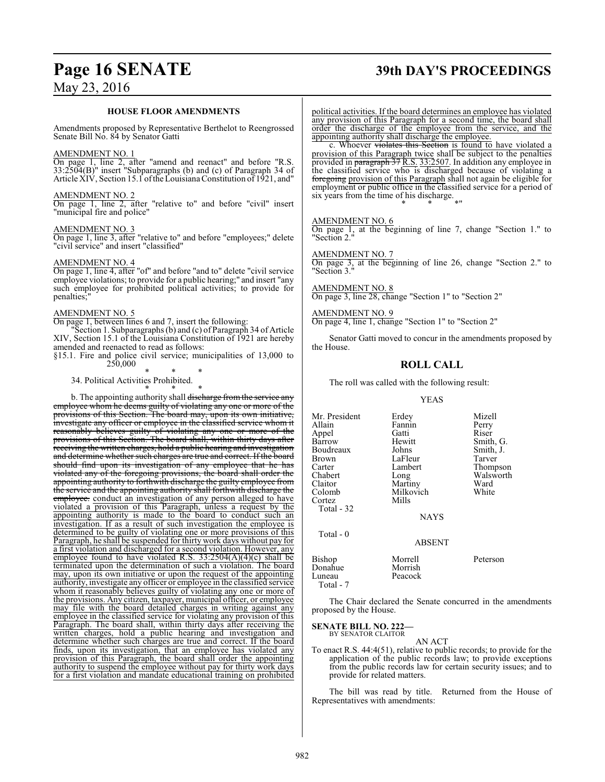# **Page 16 SENATE 39th DAY'S PROCEEDINGS**

#### **HOUSE FLOOR AMENDMENTS**

Amendments proposed by Representative Berthelot to Reengrossed Senate Bill No. 84 by Senator Gatti

#### AMENDMENT NO. 1

On page 1, line 2, after "amend and reenact" and before "R.S. 33:2504(B)" insert "Subparagraphs (b) and (c) of Paragraph 34 of Article XIV, Section 15.1 ofthe Louisiana Constitution of 1921, and"

#### AMENDMENT NO. 2

On page 1, line 2, after "relative to" and before "civil" insert "municipal fire and police"

#### AMENDMENT NO. 3

On page 1, line 3, after "relative to" and before "employees;" delete "civil service" and insert "classified"

#### AMENDMENT NO. 4

On page 1, line 4, after "of" and before "and to" delete "civil service employee violations; to provide for a public hearing;" and insert "any such employee for prohibited political activities; to provide for penalties;

#### AMENDMENT NO. 5

On page 1, between lines 6 and 7, insert the following:

"Section 1. Subparagraphs (b) and (c) of Paragraph 34 of Article XIV, Section 15.1 of the Louisiana Constitution of 1921 are hereby amended and reenacted to read as follows:

§15.1. Fire and police civil service; municipalities of 13,000 to 250,000

\* \* \*

\* \* \* 34. Political Activities Prohibited.

b. The appointing authority shall discharge from the service any employee whom he deems guilty of violating any one or more of the provisions of this Section. The board may, upon its own initiative, investigate any officer or employee in the classified service whom it reasonably believes guilty of violating any one or more of the provisions of this Section. The board shall, within thirty days after receiving the written charges, hold a public hearing and investigation and determine whether such charges are true and correct. If the board should find upon its investigation of any employee that he has violated any of the foregoing provisions, the board shall order the appointing authority to forthwith discharge the guilty employee from the service and the appointing authority shall forthwith discharge the employee. conduct an investigation of any person alleged to have violated a provision of this Paragraph, unless a request by the appointing authority is made to the board to conduct such an investigation. If as a result of such investigation the employee is determined to be guilty of violating one or more provisions of this Paragraph, he shall be suspended for thirty work days without pay for a first violation and discharged for a second violation. However, any employee found to have violated R.S.  $33:2504(A)(4)(c)$  shall be terminated upon the determination of such a violation. The board may, upon its own initiative or upon the request of the appointing authority, investigate any officer or employee in the classified service whom it reasonably believes guilty of violating any one or more of the provisions. Any citizen, taxpayer, municipal officer, or employee may file with the board detailed charges in writing against any employee in the classified service for violating any provision of this Paragraph. The board shall, within thirty days after receiving the written charges, hold a public hearing and investigation and determine whether such charges are true and correct. If the board finds, upon its investigation, that an employee has violated any provision of this Paragraph, the board shall order the appointing authority to suspend the employee without pay for thirty work days for a first violation and mandate educational training on prohibited political activities. If the board determines an employee has violated any provision of this Paragraph for a second time, the board shall order the discharge of the employee from the service, and the appointing authority shall discharge the employee.

c. Whoever violates this Section is found to have violated a provision of this Paragraph twice shall be subject to the penalties provided in paragraph 37 R.S. 33:2507. In addition any employee in the classified service who is discharged because of violating a foregoing provision of this Paragraph shall not again be eligible for employment or public office in the classified service for a period of six years from the time of his discharge. \* \* \*"

#### AMENDMENT NO. 6

On page 1, at the beginning of line 7, change "Section 1." to "Section 2."

#### AMENDMENT NO. 7

On page 3, at the beginning of line 26, change "Section 2." to "Section 3."

AMENDMENT NO. 8 On page 3, line 28, change "Section 1" to "Section 2"

AMENDMENT NO. 9 On page 4, line 1, change "Section 1" to "Section 2"

Senator Gatti moved to concur in the amendments proposed by the House.

#### **ROLL CALL**

The roll was called with the following result:

#### YEAS

Mr. President Erdey Mizell<br>Allain Fannin Perry Fannin Perry<br>Gatti Riser Appel Gatti<br>Barrow Hewitt Barrow Hewitt Smith, G.<br>Boudreaux Johns Smith, J. Boudreaux Johns Smith,<br>Brown LaFleur Tarver Brown LaFleur<br>Carter Lambert Carter Lambert Thompson<br>Chabert Long Walsworth Chabert Long Walsworth<br>Claitor Martiny Ward Claitor Martiny Ward<br>Colomb Milkovich White Milkovich<br>Mills Cortez Total - 32 NAYS Total - 0 ABSENT Bishop Morrell Peterson Donaĥue<br>Luneau Peacock

Total - 7

The Chair declared the Senate concurred in the amendments proposed by the House.

**SENATE BILL NO. 222—** BY SENATOR CLAITOR

AN ACT

To enact R.S. 44:4(51), relative to public records; to provide for the application of the public records law; to provide exceptions from the public records law for certain security issues; and to provide for related matters.

The bill was read by title. Returned from the House of Representatives with amendments: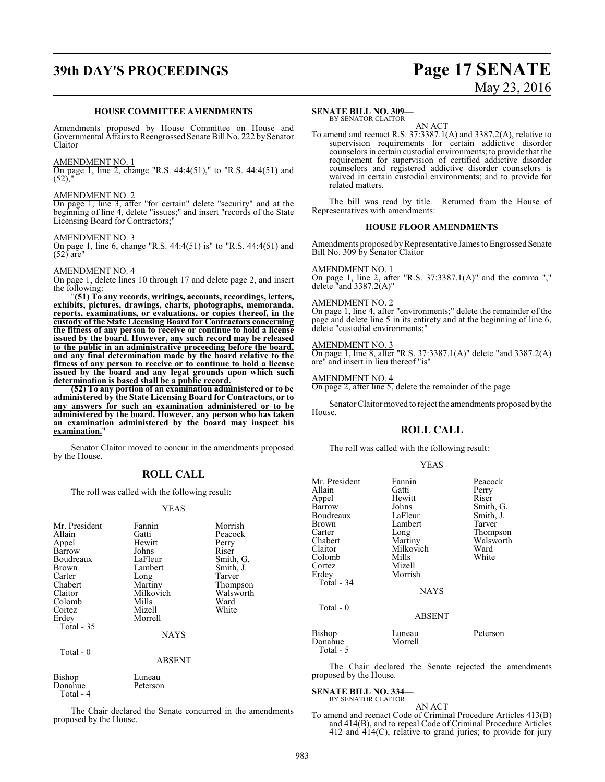## **39th DAY'S PROCEEDINGS Page 17 SENATE**

# May 23, 2016

#### **HOUSE COMMITTEE AMENDMENTS**

Amendments proposed by House Committee on House and Governmental Affairs to Reengrossed Senate Bill No. 222 by Senator Claitor

#### AMENDMENT NO. 1

On page 1, line 2, change "R.S. 44:4(51)," to "R.S. 44:4(51) and  $(52)$ ,

#### AMENDMENT NO. 2

On page 1, line 3, after "for certain" delete "security" and at the beginning of line 4, delete "issues;" and insert "records of the State Licensing Board for Contractors;"

#### AMENDMENT NO. 3

On page 1, line 6, change "R.S. 44:4(51) is" to "R.S. 44:4(51) and  $(52)$  are"

#### AMENDMENT NO. 4

On page 1, delete lines 10 through 17 and delete page 2, and insert the following:

"**(51) To any records, writings, accounts, recordings, letters, exhibits, pictures, drawings, charts, photographs, memoranda, reports, examinations, or evaluations, or copies thereof, in the custody of the State Licensing Board for Contractors concerning the fitness of any person to receive or continue to hold a license issued by the board. However, any such record may be released to the public in an administrative proceeding before the board, and any final determination made by the board relative to the fitness of any person to receive or to continue to hold a license issued by the board and any legal grounds upon which such determination is based shall be a public record.**

**(52) To any portion of an examination administered or to be administered by the State Licensing Board for Contractors, or to any answers for such an examination administered or to be administered by the board. However, any person who has taken an examination administered by the board may inspect his examination.**"

Senator Claitor moved to concur in the amendments proposed by the House.

#### **ROLL CALL**

The roll was called with the following result:

#### YEAS

| Mr. President<br>Allain<br>Appel<br>Barrow<br>Boudreaux<br>Brown<br>Carter<br>Chabert<br>Claitor<br>Colomb<br>Cortez<br>Erdey<br>Total - 35 | Fannin<br>Gatti<br>Hewitt<br>Johns<br>LaFleur<br>Lambert<br>Long<br>Martiny<br>Milkovich<br>Mills<br>Mizell<br>Morrell<br><b>NAYS</b> | Morrish<br>Peacock<br>Perry<br>Riser<br>Smith, G.<br>Smith, J.<br>Tarver<br>Thompson<br>Walsworth<br>Ward<br>White |
|---------------------------------------------------------------------------------------------------------------------------------------------|---------------------------------------------------------------------------------------------------------------------------------------|--------------------------------------------------------------------------------------------------------------------|
| Total - 0                                                                                                                                   | <b>ABSENT</b>                                                                                                                         |                                                                                                                    |
| Bishop<br>Donahue<br>Total - 4                                                                                                              | Luneau<br>Peterson                                                                                                                    |                                                                                                                    |

The Chair declared the Senate concurred in the amendments proposed by the House.

#### **SENATE BILL NO. 309—**

BY SENATOR CLAITOR AN ACT

To amend and reenact R.S. 37:3387.1(A) and 3387.2(A), relative to supervision requirements for certain addictive disorder counselors in certain custodial environments; to provide that the requirement for supervision of certified addictive disorder counselors and registered addictive disorder counselors is waived in certain custodial environments; and to provide for related matters.

The bill was read by title. Returned from the House of Representatives with amendments:

#### **HOUSE FLOOR AMENDMENTS**

Amendments proposed by Representative James to Engrossed Senate Bill No. 309 by Senator Claitor

#### AMENDMENT NO. 1

On page 1, line 2, after "R.S. 37:3387.1(A)" and the comma "," delete "and 3387.2(A)"

#### AMENDMENT NO. 2

On page 1, line 4, after "environments;" delete the remainder of the page and delete line 5 in its entirety and at the beginning of line 6, delete "custodial environments;"

## AMENDMENT NO. 3

On page 1, line 8, after "R.S. 37:3387.1(A)" delete "and 3387.2(A) are" and insert in lieu thereof "is"

#### AMENDMENT NO. 4

On page 2, after line 5, delete the remainder of the page

Senator Claitor moved to reject the amendments proposed by the House.

#### **ROLL CALL**

The roll was called with the following result:

| v<br>۰. |
|---------|
|---------|

| Mr. President<br>Allain<br>Appel<br>Barrow<br>Boudreaux<br><b>Brown</b><br>Carter<br>Chabert<br>Claitor<br>Colomb<br>Cortez<br>Erdey<br>Total - 34<br>Total $-0$ | Fannin<br>Gatti<br>Hewitt<br>Johns<br>LaFleur<br>Lambert<br>Long<br>Martiny<br>Milkovich<br>Mills<br>Mizell<br>Morrish<br><b>NAYS</b><br><b>ABSENT</b> | Peacock<br>Perry<br>Riser<br>Smith, G.<br>Smith, J.<br>Tarver<br>Thompson<br>Walsworth<br>Ward<br>White |
|------------------------------------------------------------------------------------------------------------------------------------------------------------------|--------------------------------------------------------------------------------------------------------------------------------------------------------|---------------------------------------------------------------------------------------------------------|
| Bishop<br>Donahue<br>Total - 5                                                                                                                                   | Luneau<br>Morrell                                                                                                                                      | Peterson                                                                                                |

The Chair declared the Senate rejected the amendments proposed by the House.

#### **SENATE BILL NO. 334—** BY SENATOR CLAITOR

AN ACT To amend and reenact Code of Criminal Procedure Articles 413(B) and 414(B), and to repeal Code of Criminal Procedure Articles 412 and  $414(C)$ , relative to grand juries; to provide for jury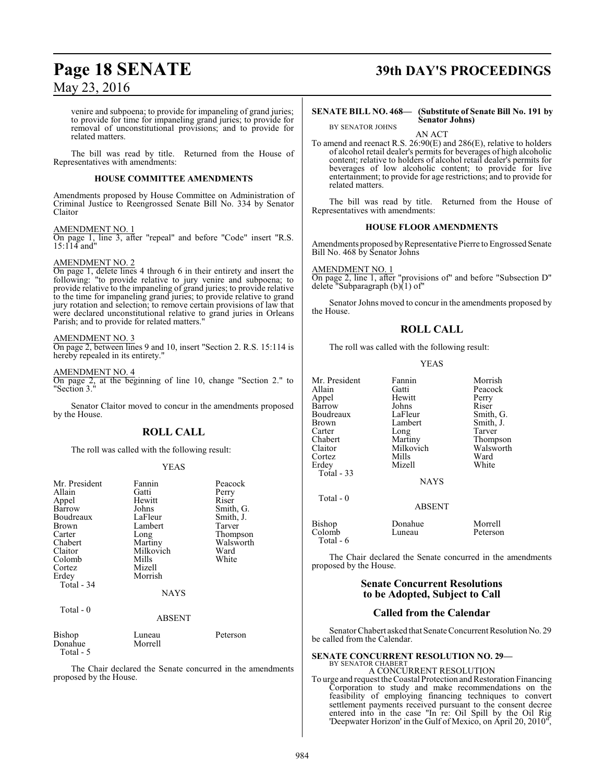venire and subpoena; to provide for impaneling of grand juries; to provide for time for impaneling grand juries; to provide for removal of unconstitutional provisions; and to provide for related matters.

The bill was read by title. Returned from the House of Representatives with amendments:

#### **HOUSE COMMITTEE AMENDMENTS**

Amendments proposed by House Committee on Administration of Criminal Justice to Reengrossed Senate Bill No. 334 by Senator Claitor

#### AMENDMENT NO. 1

On page 1, line 3, after "repeal" and before "Code" insert "R.S.  $15:114$  and<sup>"</sup>

#### AMENDMENT NO. 2

On page 1, delete lines 4 through 6 in their entirety and insert the following: "to provide relative to jury venire and subpoena; to provide relative to the impaneling of grand juries; to provide relative to the time for impaneling grand juries; to provide relative to grand jury rotation and selection; to remove certain provisions of law that were declared unconstitutional relative to grand juries in Orleans Parish; and to provide for related matters.

#### AMENDMENT NO. 3

On page 2, between lines 9 and 10, insert "Section 2. R.S. 15:114 is hereby repealed in its entirety."

#### AMENDMENT NO. 4

On page 2, at the beginning of line 10, change "Section 2." to "Section 3."

Senator Claitor moved to concur in the amendments proposed by the House.

## **ROLL CALL**

The roll was called with the following result:

#### YEAS

| Mr. President     | Fannin            | Peacock   |
|-------------------|-------------------|-----------|
| Allain            | Gatti             | Perry     |
| Appel             | Hewitt            | Riser     |
| Barrow            | Johns             | Smith, G. |
| Boudreaux         | LaFleur           | Smith, J. |
| Brown             | Lambert           | Tarver    |
| Carter            | Long              | Thompson  |
| Chabert           | Martiny           | Walsworth |
| Claitor           | Milkovich         | Ward      |
| Colomb            | Mills             | White     |
| Cortez            | Mizell            |           |
| Erdey             | Morrish           |           |
| Total - 34        |                   |           |
|                   | <b>NAYS</b>       |           |
| Total - 0         |                   |           |
|                   | <b>ABSENT</b>     |           |
| Bishop<br>Donahue | Luneau<br>Morrell | Peterson  |
| Total - 5         |                   |           |

The Chair declared the Senate concurred in the amendments proposed by the House.

# **Page 18 SENATE 39th DAY'S PROCEEDINGS**

#### **SENATE BILL NO. 468— (Substitute of Senate Bill No. 191 by Senator Johns)**

AN ACT

To amend and reenact R.S. 26:90(E) and 286(E), relative to holders of alcohol retail dealer's permits for beverages of high alcoholic content; relative to holders of alcohol retail dealer's permits for beverages of low alcoholic content; to provide for live entertainment; to provide for age restrictions; and to provide for related matters.

The bill was read by title. Returned from the House of Representatives with amendments:

#### **HOUSE FLOOR AMENDMENTS**

Amendments proposed by Representative Pierre to Engrossed Senate Bill No. 468 by Senator Johns

AMENDMENT NO. 1

BY SENATOR JOHNS

On page 2, line 1, after "provisions of" and before "Subsection D" delete "Subparagraph (b)(1) of"

Senator Johns moved to concur in the amendments proposed by the House.

### **ROLL CALL**

The roll was called with the following result:

#### YEAS

Mr. President Fannin Morrish<br>Allain Gatti Peacock Appel Hewitt Perry Barrow Johns Riser<br>Boudreaux LaFleur Smith, G. Boudreaux LaFleur Smith, G.<br>Brown Lambert Smith, J. Carter Long Tarver Chabert Martiny Thompson<br>Claitor Milkovich Walsworth Claitor Milkovich Walsworth<br>Cortez Mills Ward Cortez Mills Ward Erdey Mizell White Total - 33

Total - 0

Gatti Peacock<br>
Hewitt Perry Lambert

NAYS

ABSENT

| Bishop    | Donahue | Morrell  |
|-----------|---------|----------|
| Colomb    | Luneau  | Peterson |
| Total - 6 |         |          |

The Chair declared the Senate concurred in the amendments proposed by the House.

#### **Senate Concurrent Resolutions to be Adopted, Subject to Call**

#### **Called from the Calendar**

Senator Chabert asked that Senate Concurrent Resolution No. 29 be called from the Calendar.

#### **SENATE CONCURRENT RESOLUTION NO. 29—** BY SENATOR CHABERT

#### A CONCURRENT RESOLUTION

To urge and request the Coastal Protection and Restoration Financing Corporation to study and make recommendations on the feasibility of employing financing techniques to convert settlement payments received pursuant to the consent decree entered into in the case "In re: Oil Spill by the Oil Rig 'Deepwater Horizon' in the Gulf of Mexico, on April 20, 2010",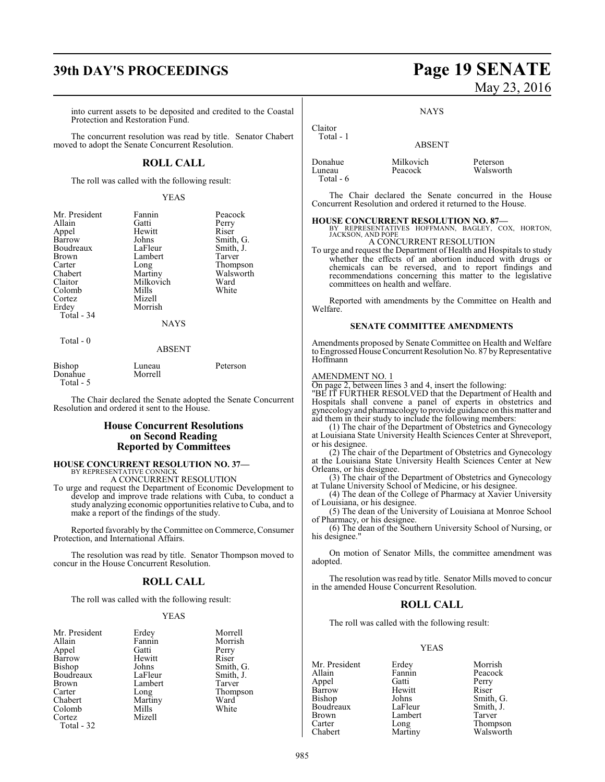## **39th DAY'S PROCEEDINGS Page 19 SENATE**

into current assets to be deposited and credited to the Coastal Protection and Restoration Fund.

The concurrent resolution was read by title. Senator Chabert moved to adopt the Senate Concurrent Resolution.

### **ROLL CALL**

The roll was called with the following result:

#### YEAS

| Mr. President | Fannin      | Peacock   |
|---------------|-------------|-----------|
| Allain        | Gatti       | Perry     |
| Appel         | Hewitt      | Riser     |
| Barrow        | Johns       | Smith, G. |
| Boudreaux     | LaFleur     | Smith, J. |
| Brown         | Lambert     | Tarver    |
| Carter        | Long        | Thompson  |
| Chabert       | Martiny     | Walsworth |
| Claitor       | Milkovich   | Ward      |
| Colomb        | Mills       | White     |
| Cortez        | Mizell      |           |
| Erdey         | Morrish     |           |
| Total - 34    |             |           |
|               | <b>NAYS</b> |           |
| Total - 0     |             |           |
|               | ABSENT      |           |

| Bishop    | Luneau  | Peterson |
|-----------|---------|----------|
| Donahue   | Morrell |          |
| Total - 5 |         |          |

The Chair declared the Senate adopted the Senate Concurrent Resolution and ordered it sent to the House.

#### **House Concurrent Resolutions on Second Reading Reported by Committees**

#### **HOUSE CONCURRENT RESOLUTION NO. 37—** BY REPRESENTATIVE CONNICK

A CONCURRENT RESOLUTION

To urge and request the Department of Economic Development to develop and improve trade relations with Cuba, to conduct a study analyzing economic opportunities relative to Cuba, and to make a report of the findings of the study.

Reported favorably by the Committee on Commerce, Consumer Protection, and International Affairs.

The resolution was read by title. Senator Thompson moved to concur in the House Concurrent Resolution.

#### **ROLL CALL**

The roll was called with the following result:

#### YEAS

| Mr. President              | Erdey   | Morre <sup>3</sup> |
|----------------------------|---------|--------------------|
| Allain                     | Fannin  | Morris             |
| Appel                      | Gatti   | Perry              |
| Barrow                     | Hewitt  | Riser              |
| Bishop                     | Johns   | Smith,             |
| Boudreaux                  | LaFleur | Smith,             |
| Brown                      | Lambert | Tarver             |
| Carter                     | Long    | Thomp              |
| Chabert                    | Martiny | Ward               |
| Colomb                     | Mills   | White              |
| Cortez                     | Mizell  |                    |
| $T_{\alpha+1}$<br>$\gamma$ |         |                    |

Total - 32

Morrell Morrish<br>Perry Smith, G. Smith, J.<br>Tarver Thompson<br>Ward

# May 23, 2016

**NAYS** 

## ABSENT

| Donahue   | Milkovich | Peterson  |
|-----------|-----------|-----------|
| Luneau    | Peacock   | Walsworth |
| Total - 6 |           |           |

Claitor Total - 1

The Chair declared the Senate concurred in the House Concurrent Resolution and ordered it returned to the House.

## **HOUSE CONCURRENT RESOLUTION NO. 87—** BY REPRESENTATIVES HOFFMANN, BAGLEY, COX, HORTON,

JACKSON, AND POPE

### A CONCURRENT RESOLUTION

To urge and request the Department of Health and Hospitals to study whether the effects of an abortion induced with drugs or chemicals can be reversed, and to report findings and recommendations concerning this matter to the legislative committees on health and welfare.

Reported with amendments by the Committee on Health and Welfare.

#### **SENATE COMMITTEE AMENDMENTS**

Amendments proposed by Senate Committee on Health and Welfare to Engrossed House Concurrent Resolution No. 87 by Representative Hoffmann

## AMENDMENT NO. 1

On page 2, between lines 3 and 4, insert the following:

"BE IT FURTHER RESOLVED that the Department of Health and Hospitals shall convene a panel of experts in obstetrics and gynecologyand pharmacology to provide guidance on this matter and aid them in their study to include the following members:

(1) The chair of the Department of Obstetrics and Gynecology at Louisiana State University Health Sciences Center at Shreveport, or his designee.

(2) The chair of the Department of Obstetrics and Gynecology at the Louisiana State University Health Sciences Center at New Orleans, or his designee.

(3) The chair of the Department of Obstetrics and Gynecology at Tulane University School of Medicine, or his designee.

(4) The dean of the College of Pharmacy at Xavier University of Louisiana, or his designee.

(5) The dean of the University of Louisiana at Monroe School of Pharmacy, or his designee.

(6) The dean of the Southern University School of Nursing, or his designee."

On motion of Senator Mills, the committee amendment was adopted.

The resolution was read by title. Senator Mills moved to concur in the amended House Concurrent Resolution.

#### **ROLL CALL**

The roll was called with the following result:

#### YEAS

Barrow Hewitt<br>Bishop Johns Brown Lambert<br>Carter Long

Mr. President Erdey Morrish<br>
Allain Fannin Peacock Fannin Peacock<br>Gatti Perry Appel Gatti Perry Johns Smith, G.<br>LaFleur Smith, J. Boudreaux LaFleur Smith,<br>Brown Lambert Tarver Carter Long Thompson<br>
Chabert Martiny Walsworth

Walsworth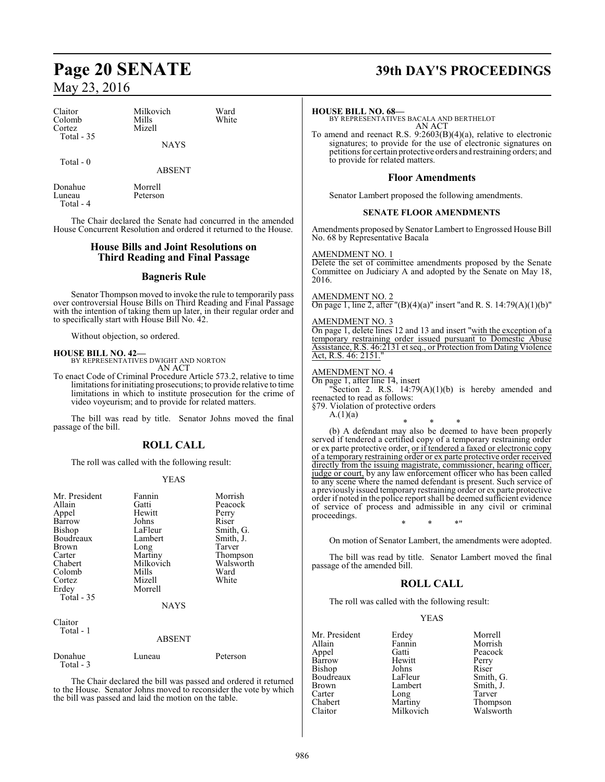| Claitor<br>Colomb<br>Cortez    | Milkovich<br>Mills<br>Mizell | Ward<br>White |   |
|--------------------------------|------------------------------|---------------|---|
| Total $-35$                    | <b>NAYS</b>                  |               | h |
| Total - 0                      | <b>ABSENT</b>                |               |   |
| Donahue<br>Luneau<br>Total - 4 | Morrell<br>Peterson          |               |   |

The Chair declared the Senate had concurred in the amended House Concurrent Resolution and ordered it returned to the House.

### **House Bills and Joint Resolutions on Third Reading and Final Passage**

#### **Bagneris Rule**

Senator Thompson moved to invoke the rule to temporarily pass over controversial House Bills on Third Reading and Final Passage with the intention of taking them up later, in their regular order and to specifically start with House Bill No. 42.

Without objection, so ordered.

#### **HOUSE BILL NO. 42—**

BY REPRESENTATIVES DWIGHT AND NORTON AN ACT

To enact Code of Criminal Procedure Article 573.2, relative to time limitations for initiating prosecutions; to provide relative to time limitations in which to institute prosecution for the crime of video voyeurism; and to provide for related matters.

The bill was read by title. Senator Johns moved the final passage of the bill.

#### **ROLL CALL**

The roll was called with the following result:

#### YEAS

| Mr. President<br>Allain<br>Appel<br>Barrow<br><b>Bishop</b><br>Boudreaux<br>Brown<br>Carter<br>Chabert<br>Colomb<br>Cortez<br>Erdey<br>Total - 35 | Fannin<br>Gatti<br>Hewitt<br>Johns<br>LaFleur<br>Lambert<br>Long<br>Martiny<br>Milkovich<br>Mills<br>Mizell<br>Morrell<br><b>NAYS</b> | Morrish<br>Peacock<br>Perry<br>Riser<br>Smith, G.<br>Smith, J.<br>Tarver<br>Thompson<br>Walsworth<br>Ward<br>White |
|---------------------------------------------------------------------------------------------------------------------------------------------------|---------------------------------------------------------------------------------------------------------------------------------------|--------------------------------------------------------------------------------------------------------------------|
| Claitor<br>Total - 1                                                                                                                              | <b>ABSENT</b>                                                                                                                         |                                                                                                                    |
| Donahue<br>Total - 3                                                                                                                              | Luneau                                                                                                                                | Peterson                                                                                                           |

The Chair declared the bill was passed and ordered it returned to the House. Senator Johns moved to reconsider the vote by which the bill was passed and laid the motion on the table.

## **Page 20 SENATE 39th DAY'S PROCEEDINGS**

#### **HOUSE BILL NO. 68—**

BY REPRESENTATIVES BACALA AND BERTHELOT AN ACT

To amend and reenact R.S. 9:2603(B)(4)(a), relative to electronic signatures; to provide for the use of electronic signatures on petitions for certain protective orders and restraining orders; and to provide for related matters.

#### **Floor Amendments**

Senator Lambert proposed the following amendments.

#### **SENATE FLOOR AMENDMENTS**

Amendments proposed by Senator Lambert to Engrossed House Bill No. 68 by Representative Bacala

#### AMENDMENT NO. 1

Delete the set of committee amendments proposed by the Senate Committee on Judiciary A and adopted by the Senate on May 18, 2016.

#### AMENDMENT NO. 2

On page 1, line 2, after "(B)(4)(a)" insert "and R. S. 14:79(A)(1)(b)"

#### AMENDMENT NO. 3

On page 1, delete lines 12 and 13 and insert "with the exception of a temporary restraining order issued pursuant to Domestic Abuse Assistance, R.S. 46:2131 et seq., or Protection fromDating Violence Act, R.S. 46: 2151."

#### AMENDMENT NO. 4

On page 1, after line 14, insert

"Section 2. R.S.  $14:79(A)(1)(b)$  is hereby amended and reenacted to read as follows:

§79. Violation of protective orders  $A.(1)(a)$ 

\* \* \*

(b) A defendant may also be deemed to have been properly served if tendered a certified copy of a temporary restraining order or ex parte protective order, or if tendered a faxed or electronic copy of a temporary restraining order or ex parte protective order received directly from the issuing magistrate, commissioner, hearing officer, judge or court, by any law enforcement officer who has been called to any scene where the named defendant is present. Such service of a previously issued temporary restraining order or ex parte protective order if noted in the police report shall be deemed sufficient evidence of service of process and admissible in any civil or criminal proceedings.

On motion of Senator Lambert, the amendments were adopted.

The bill was read by title. Senator Lambert moved the final passage of the amended bill.

\* \* \*"

#### **ROLL CALL**

The roll was called with the following result:

#### YEAS

| Mr. President     | Erdey     | Morrell  |
|-------------------|-----------|----------|
| Allain            | Fannin    | Morrish  |
| Appel             | Gatti     | Peacock  |
| Barrow            | Hewitt    | Perry    |
| Bishop            | Johns     | Riser    |
| Boudreaux         | LaFleur   | Smith, Q |
| <b>Brown</b>      | Lambert   | Smith, J |
| Carter            | Long      | Tarver   |
| Chabert           | Martiny   | Thomps   |
| Cl <sub>air</sub> | Milkovich | Walcwo   |

Morrish Peacock Perry<br>Riser Smith, G. Smith, J.<br>Tarver Thompson Milkovich Walsworth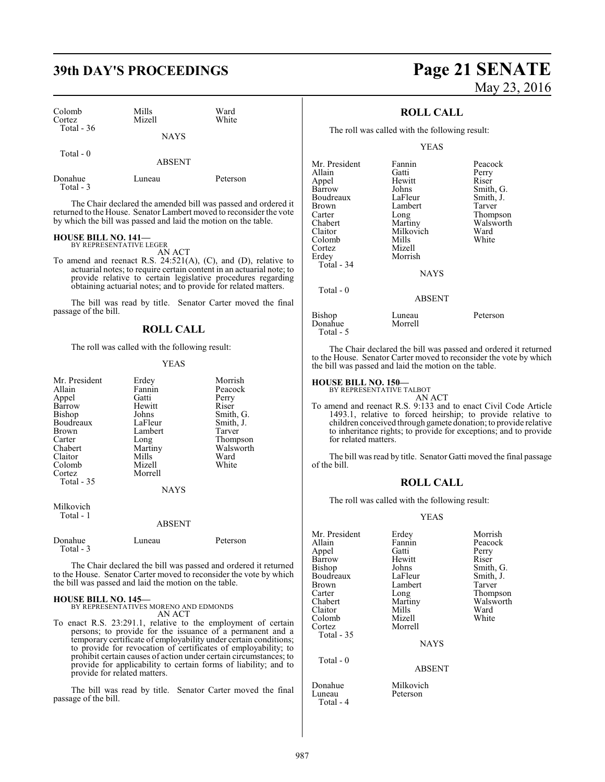| Colomb<br>Cortez<br>Total - $36$ | Mills<br>Mizell | Ward<br>White |  |
|----------------------------------|-----------------|---------------|--|
|                                  | <b>NAYS</b>     |               |  |
| Total - 0                        | <b>ABSENT</b>   |               |  |

| Donahue   |  |
|-----------|--|
| Total - 3 |  |

The Chair declared the amended bill was passed and ordered it returned to the House. Senator Lambert moved to reconsider the vote by which the bill was passed and laid the motion on the table.

Donahue Luneau Peterson

## **HOUSE BILL NO. 141—** BY REPRESENTATIVE LEGER

AN ACT

To amend and reenact R.S. 24:521(A), (C), and (D), relative to actuarial notes; to require certain content in an actuarial note; to provide relative to certain legislative procedures regarding obtaining actuarial notes; and to provide for related matters.

The bill was read by title. Senator Carter moved the final passage of the bill.

#### **ROLL CALL**

The roll was called with the following result:

#### YEAS

| Mr. President<br>Allain<br>Appel<br>Barrow<br><b>Bishop</b><br>Boudreaux<br><b>Brown</b><br>Carter<br>Chabert<br>Claitor<br>Colomb<br>Cortez | Erdey<br>Fannin<br>Gatti<br>Hewitt<br>Johns<br>LaFleur<br>Lambert<br>Long<br>Martiny<br>Mills<br>Mizell<br>Morrell | Morrish<br>Peacock<br>Perry<br>Riser<br>Smith, G.<br>Smith, J.<br>Tarver<br>Thompson<br>Walsworth<br>Ward<br>White |
|----------------------------------------------------------------------------------------------------------------------------------------------|--------------------------------------------------------------------------------------------------------------------|--------------------------------------------------------------------------------------------------------------------|
| Total - 35                                                                                                                                   | <b>NAYS</b>                                                                                                        |                                                                                                                    |
| Milkovich<br>Total - 1                                                                                                                       | <b>ABSENT</b>                                                                                                      |                                                                                                                    |
| Donahue<br>Total - 3                                                                                                                         | Luneau                                                                                                             | Peterson                                                                                                           |

The Chair declared the bill was passed and ordered it returned to the House. Senator Carter moved to reconsider the vote by which the bill was passed and laid the motion on the table.

#### **HOUSE BILL NO. 145—**

BY REPRESENTATIVES MORENO AND EDMONDS AN ACT

To enact R.S. 23:291.1, relative to the employment of certain persons; to provide for the issuance of a permanent and a temporary certificate of employability under certain conditions; to provide for revocation of certificates of employability; to prohibit certain causes of action under certain circumstances; to provide for applicability to certain forms of liability; and to provide for related matters.

The bill was read by title. Senator Carter moved the final passage of the bill.

# **39th DAY'S PROCEEDINGS Page 21 SENATE** May 23, 2016

### **ROLL CALL**

The roll was called with the following result:

#### YEAS

| Mr. President            | Fannin            | Peacock   |
|--------------------------|-------------------|-----------|
| Allain                   | Gatti             | Perry     |
| Appel                    | Hewitt            | Riser     |
| Barrow                   | Johns             | Smith, G. |
| Boudreaux                | LaFleur           | Smith, J. |
| Brown                    | Lambert           | Tarver    |
| Carter                   | Long              | Thompson  |
| Chabert                  | Martiny           | Walsworth |
| Claitor                  | Milkovich         | Ward      |
| Colomb                   | Mills             | White     |
| Cortez                   | Mizell            |           |
| Erdey                    | Morrish           |           |
| Total - 34               |                   |           |
|                          | <b>NAYS</b>       |           |
| Total - 0                |                   |           |
|                          | ABSENT            |           |
| <b>Bishop</b><br>Donahue | Luneau<br>Morrell | Peterson  |

The Chair declared the bill was passed and ordered it returned to the House. Senator Carter moved to reconsider the vote by which the bill was passed and laid the motion on the table.

## **HOUSE BILL NO. 150—** BY REPRESENTATIVE TALBOT

Total - 5

- 
- AN ACT To amend and reenact R.S. 9:133 and to enact Civil Code Article 1493.1, relative to forced heirship; to provide relative to children conceived through gamete donation; to provide relative to inheritance rights; to provide for exceptions; and to provide for related matters.

The bill was read by title. Senator Gatti moved the final passage of the bill.

## **ROLL CALL**

The roll was called with the following result:

#### YEAS

| Mr. President<br>Allain<br>Appel<br>Barrow<br>Bishop<br>Boudreaux<br>Brown<br>Carter<br>Chabert<br>Claitor<br>Colomb<br>Cortez<br>Total - 35 | Erdey<br>Fannin<br>Gatti<br>Hewitt<br>Johns<br>LaFleur<br>Lambert<br>Long<br>Martiny<br>Mills<br>Mizell<br>Morrell<br><b>NAYS</b> | Morrish<br>Peacock<br>Perry<br>Riser<br>Smith, G.<br>Smith, J.<br>Tarver<br>Thompson<br>Walsworth<br>Ward<br>White |
|----------------------------------------------------------------------------------------------------------------------------------------------|-----------------------------------------------------------------------------------------------------------------------------------|--------------------------------------------------------------------------------------------------------------------|
| Total - 0                                                                                                                                    | <b>ABSENT</b>                                                                                                                     |                                                                                                                    |

Donahue Milkovich<br>Luneau Peterson Peterson

Total - 4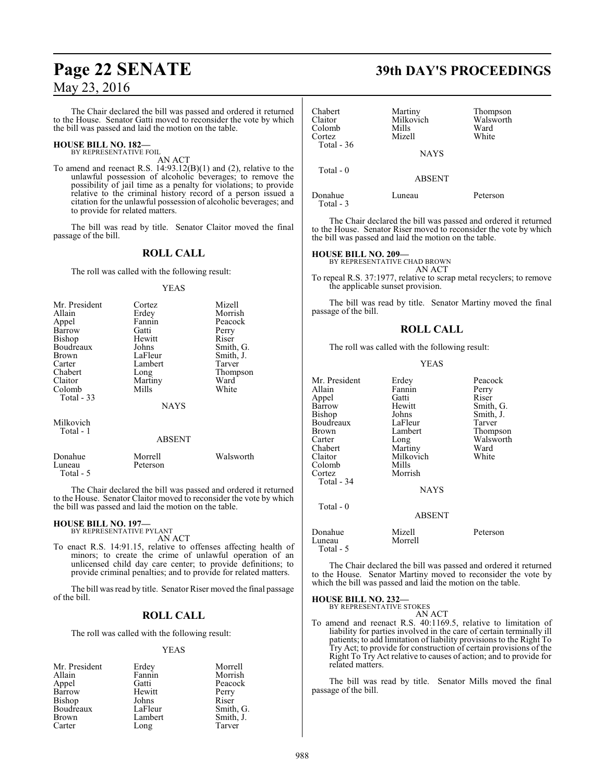The Chair declared the bill was passed and ordered it returned to the House. Senator Gatti moved to reconsider the vote by which the bill was passed and laid the motion on the table.

#### **HOUSE BILL NO. 182—** BY REPRESENTATIVE FOIL

AN ACT

To amend and reenact R.S. 14:93.12(B)(1) and (2), relative to the unlawful possession of alcoholic beverages; to remove the possibility of jail time as a penalty for violations; to provide relative to the criminal history record of a person issued a citation for the unlawful possession of alcoholic beverages; and to provide for related matters.

The bill was read by title. Senator Claitor moved the final passage of the bill.

## **ROLL CALL**

The roll was called with the following result:

#### YEAS

| Mr. President | Cortez      | Mizell    |
|---------------|-------------|-----------|
| Allain        | Erdey       | Morrish   |
| Appel         | Fannin      | Peacock   |
| Barrow        | Gatti       | Perry     |
| Bishop        | Hewitt      | Riser     |
| Boudreaux     | Johns       | Smith, G. |
| <b>Brown</b>  | LaFleur     | Smith, J. |
| Carter        | Lambert     | Tarver    |
| Chabert       | Long        | Thompson  |
| Claitor       | Martiny     | Ward      |
| Colomb        | Mills       | White     |
| Total - 33    |             |           |
|               | <b>NAYS</b> |           |
| Milkovich     |             |           |
| Total - 1     |             |           |
|               | ABSENT      |           |
| Donahue       | Morrell     | Walsworth |
|               |             |           |

The Chair declared the bill was passed and ordered it returned to the House. Senator Claitor moved to reconsider the vote by which the bill was passed and laid the motion on the table.

#### **HOUSE BILL NO. 197—** BY REPRESENTATIVE PYLANT

Luneau Peterson

Total - 5

AN ACT

To enact R.S. 14:91.15, relative to offenses affecting health of minors; to create the crime of unlawful operation of an unlicensed child day care center; to provide definitions; to provide criminal penalties; and to provide for related matters.

The bill was read by title. Senator Riser moved the final passage of the bill.

#### **ROLL CALL**

The roll was called with the following result:

#### YEAS

| Mr. President | Erdey   | Morrell   |
|---------------|---------|-----------|
| Allain        | Fannin  | Morrish   |
| Appel         | Gatti   | Peacock   |
| Barrow        | Hewitt  | Perry     |
| Bishop        | Johns   | Riser     |
| Boudreaux     | LaFleur | Smith, G. |
| <b>Brown</b>  | Lambert | Smith, J. |
| Carter        | Long    | Tarver    |

## **Page 22 SENATE 39th DAY'S PROCEEDINGS**

| Chabert<br>Claitor<br>Colomb<br>Cortez | Martiny<br>Milkovich<br>Mills<br>Mizell | Thompson<br>Walsworth<br>Ward<br>White |
|----------------------------------------|-----------------------------------------|----------------------------------------|
| Total - $36$                           | <b>NAYS</b>                             |                                        |
| Total - $0$                            | <b>ABSENT</b>                           |                                        |
| Donahue<br>Total $-3$                  | Luneau                                  | Peterson                               |

The Chair declared the bill was passed and ordered it returned to the House. Senator Riser moved to reconsider the vote by which the bill was passed and laid the motion on the table.

## **HOUSE BILL NO. 209—** BY REPRESENTATIVE CHAD BROWN

AN ACT

To repeal R.S. 37:1977, relative to scrap metal recyclers; to remove the applicable sunset provision.

The bill was read by title. Senator Martiny moved the final passage of the bill.

#### **ROLL CALL**

The roll was called with the following result:

#### YEAS

| Mr. President<br>Allain<br>Appel<br>Barrow<br>Bishop<br>Boudreaux<br>Brown<br>Carter<br>Chabert<br>Claitor<br>Colomb<br>Cortez<br>Total - 34<br>Total - 0 | Erdey<br>Fannin<br>Gatti<br>Hewitt<br>Johns<br>LaFleur<br>Lambert<br>Long<br>Martiny<br>Milkovich<br>Mills<br>Morrish<br><b>NAYS</b> | Peacock<br>Perry<br>Riser<br>Smith, G.<br>Smith, J.<br>Tarver<br>Thompson<br>Walsworth<br>Ward<br>White |
|-----------------------------------------------------------------------------------------------------------------------------------------------------------|--------------------------------------------------------------------------------------------------------------------------------------|---------------------------------------------------------------------------------------------------------|
|                                                                                                                                                           | <b>ABSENT</b>                                                                                                                        |                                                                                                         |
| Donahue<br>Luneau<br>Total - 5                                                                                                                            | Mizell<br>Morrell                                                                                                                    | Peterson                                                                                                |

The Chair declared the bill was passed and ordered it returned to the House. Senator Martiny moved to reconsider the vote by which the bill was passed and laid the motion on the table.

**HOUSE BILL NO. 232—** BY REPRESENTATIVE STOKES AN ACT

To amend and reenact R.S. 40:1169.5, relative to limitation of liability for parties involved in the care of certain terminally ill patients; to add limitation of liability provisions to the Right To Try Act; to provide for construction of certain provisions of the Right To Try Act relative to causes of action; and to provide for related matters.

The bill was read by title. Senator Mills moved the final passage of the bill.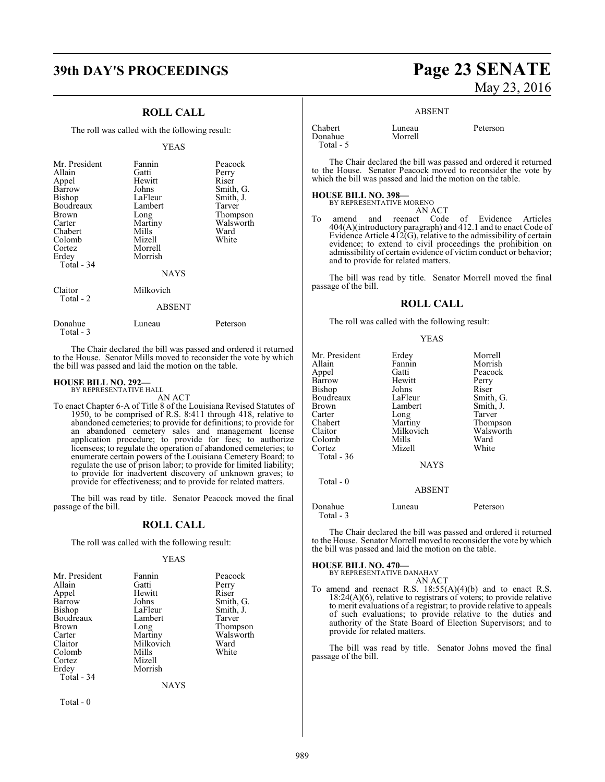#### **ROLL CALL**

The roll was called with the following result:

#### YEAS

| Mr. President<br>Allain<br>Appel<br>Barrow<br><b>Bishop</b><br>Boudreaux<br>Brown<br>Carter<br>Chabert<br>Colomb<br>Cortez<br>Erdey<br>Total - 34 | Fannin<br>Gatti<br>Hewitt<br>Johns<br>LaFleur<br>Lambert<br>Long<br>Martiny<br>Mills<br>Mizell<br>Morrell<br>Morrish<br><b>NAYS</b> | Peacock<br>Perry<br>Riser<br>Smith, G.<br>Smith, J.<br>Tarver<br>Thompson<br>Walsworth<br>Ward<br>White |
|---------------------------------------------------------------------------------------------------------------------------------------------------|-------------------------------------------------------------------------------------------------------------------------------------|---------------------------------------------------------------------------------------------------------|
| Claitor<br>Total - 2                                                                                                                              | Milkovich<br><b>ABSENT</b>                                                                                                          |                                                                                                         |
| Donahue<br>Total - 3                                                                                                                              | Luneau                                                                                                                              | Peterson                                                                                                |

The Chair declared the bill was passed and ordered it returned to the House. Senator Mills moved to reconsider the vote by which the bill was passed and laid the motion on the table.

## **HOUSE BILL NO. 292—** BY REPRESENTATIVE HALL

AN ACT

To enact Chapter 6-A of Title 8 of the Louisiana Revised Statutes of 1950, to be comprised of R.S. 8:411 through 418, relative to abandoned cemeteries; to provide for definitions; to provide for an abandoned cemetery sales and management license application procedure; to provide for fees; to authorize licensees; to regulate the operation of abandoned cemeteries; to enumerate certain powers of the Louisiana Cemetery Board; to regulate the use of prison labor; to provide for limited liability; to provide for inadvertent discovery of unknown graves; to provide for effectiveness; and to provide for related matters.

The bill was read by title. Senator Peacock moved the final passage of the bill.

#### **ROLL CALL**

The roll was called with the following result:

#### YEAS

| Mr. President | Fannin    | Peacock   |
|---------------|-----------|-----------|
| Allain        | Gatti     | Perry     |
| Appel         | Hewitt    | Riser     |
| Barrow        | Johns     | Smith, G. |
| Bishop        | LaFleur   | Smith, J. |
| Boudreaux     | Lambert   | Tarver    |
| Brown         | Long      | Thompson  |
| Carter        | Martiny   | Walsworth |
| Claitor       | Milkovich | Ward      |
| Colomb        | Mills     | White     |
| Cortez        | Mizell    |           |
| Erdey         | Morrish   |           |
| Total - 34    |           |           |
|               | NAYS      |           |

Total - 0

## **39th DAY'S PROCEEDINGS Page 23 SENATE** May 23, 2016

#### ABSENT

| Chabert   | Luneau  | Peterson |
|-----------|---------|----------|
| Donahue   | Morrell |          |
| Total - 5 |         |          |

The Chair declared the bill was passed and ordered it returned to the House. Senator Peacock moved to reconsider the vote by which the bill was passed and laid the motion on the table.

#### **HOUSE BILL NO. 398—**

BY REPRESENTATIVE MORENO

AN ACT To amend and reenact Code of Evidence Articles 404(A)(introductory paragraph) and 412.1 and to enact Code of Evidence Article 412(G), relative to the admissibility of certain evidence; to extend to civil proceedings the prohibition on admissibility of certain evidence of victim conduct or behavior; and to provide for related matters.

The bill was read by title. Senator Morrell moved the final passage of the bill.

#### **ROLL CALL**

The roll was called with the following result:

#### YEAS

| Mr. President | Erdey         | Morrell   |
|---------------|---------------|-----------|
| Allain        | Fannin        | Morrish   |
| Appel         | Gatti         | Peacock   |
| Barrow        | Hewitt        | Perry     |
| <b>Bishop</b> | Johns         | Riser     |
| Boudreaux     | LaFleur       | Smith, G. |
| Brown         | Lambert       | Smith, J. |
| Carter        | Long          | Tarver    |
| Chabert       | Martiny       | Thompson  |
| Claitor       | Milkovich     | Walsworth |
| Colomb        | Mills         | Ward      |
| Cortez        | Mizell        | White     |
| Total $-36$   |               |           |
|               | <b>NAYS</b>   |           |
| Total $-0$    |               |           |
|               | <b>ABSENT</b> |           |
| Donahue       | Luneau        | Peterson  |

The Chair declared the bill was passed and ordered it returned to the House. Senator Morrell moved to reconsider the vote bywhich

#### **HOUSE BILL NO. 470—**

Total - 3

BY REPRESENTATIVE DANAHAY

the bill was passed and laid the motion on the table.

AN ACT To amend and reenact R.S.  $18:55(A)(4)(b)$  and to enact R.S. 18:24(A)(6), relative to registrars of voters; to provide relative to merit evaluations of a registrar; to provide relative to appeals of such evaluations; to provide relative to the duties and authority of the State Board of Election Supervisors; and to provide for related matters.

The bill was read by title. Senator Johns moved the final passage of the bill.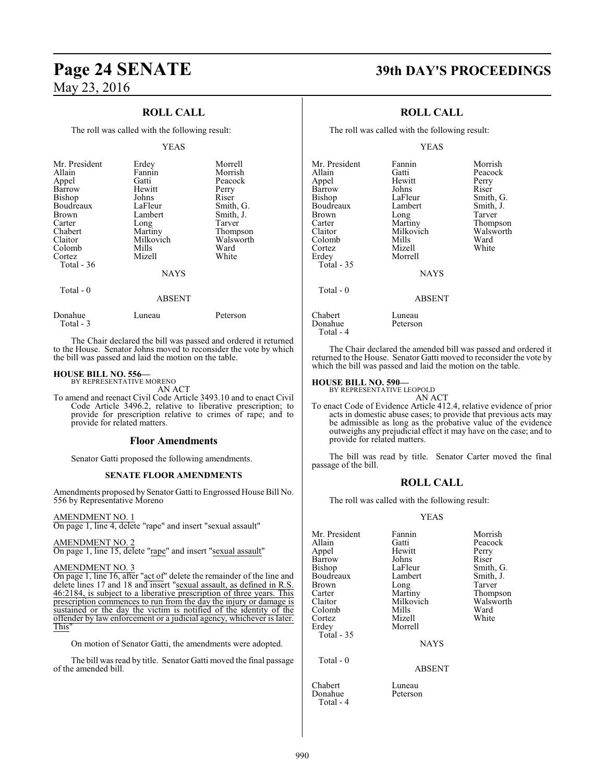## **ROLL CALL**

The roll was called with the following result:

#### YEAS

| Mr. President<br>Allain<br>Appel<br>Barrow<br><b>Bishop</b><br>Boudreaux<br><b>Brown</b><br>Carter<br>Chabert<br>Claitor<br>Colomb<br>Cortez<br>Total $-36$ | Erdey<br>Fannin<br>Gatti<br>Hewitt<br>Johns<br>LaFleur<br>Lambert<br>Long<br>Martiny<br>Milkovich<br>Mills<br>Mizell<br><b>NAYS</b> | Morrell<br>Morrish<br>Peacock<br>Perry<br>Riser<br>Smith, G.<br>Smith, J.<br>Tarver<br>Thompson<br>Walsworth<br>Ward<br>White |
|-------------------------------------------------------------------------------------------------------------------------------------------------------------|-------------------------------------------------------------------------------------------------------------------------------------|-------------------------------------------------------------------------------------------------------------------------------|
| Total - 0                                                                                                                                                   | <b>ABSENT</b>                                                                                                                       |                                                                                                                               |

Donahue Luneau Peterson Total - 3

The Chair declared the bill was passed and ordered it returned to the House. Senator Johns moved to reconsider the vote by which the bill was passed and laid the motion on the table.

#### **HOUSE BILL NO. 556—**

BY REPRESENTATIVE MORENO AN ACT

To amend and reenact Civil Code Article 3493.10 and to enact Civil Code Article 3496.2, relative to liberative prescription; to provide for prescription relative to crimes of rape; and to provide for related matters.

#### **Floor Amendments**

Senator Gatti proposed the following amendments.

#### **SENATE FLOOR AMENDMENTS**

Amendments proposed by Senator Gatti to Engrossed House Bill No. 556 by Representative Moreno

#### AMENDMENT NO. 1

On page 1, line 4, delete "rape" and insert "sexual assault"

#### AMENDMENT NO. 2

On page 1, line 15, delete "rape" and insert "sexual assault"

#### AMENDMENT NO. 3

On page 1, line 16, after "act of" delete the remainder of the line and delete lines 17 and 18 and insert "sexual assault, as defined in R.S. 46:2184, is subject to a liberative prescription of three years. This prescription commences to run from the day the injury or damage is sustained or the day the victim is notified of the identity of the offender by law enforcement or a judicial agency, whichever is later. This"

On motion of Senator Gatti, the amendments were adopted.

The bill was read by title. Senator Gatti moved the final passage of the amended bill.

## **Page 24 SENATE 39th DAY'S PROCEEDINGS**

### **ROLL CALL**

The roll was called with the following result:

#### YEAS

| Mr. President     | Fannin        | Morrish   |
|-------------------|---------------|-----------|
| Allain            | Gatti         | Peacock   |
| Appel             | Hewitt        | Perry     |
| Barrow            | Johns         | Riser     |
| <b>Bishop</b>     | LaFleur       | Smith, G. |
| Boudreaux         | Lambert       | Smith, J. |
| Brown             | Long          | Tarver    |
| Carter            | Martiny       | Thompson  |
| Claitor           | Milkovich     | Walsworth |
| Colomb            | Mills         | Ward      |
| Cortez            | Mizell        | White     |
| Erdey             | Morrell       |           |
| <b>Total - 35</b> |               |           |
|                   | <b>NAYS</b>   |           |
| Total $-0$        |               |           |
|                   | <b>ABSENT</b> |           |
| Chabert           | Luneau        |           |
| Donahue           | Peterson      |           |

Total - 4

The Chair declared the amended bill was passed and ordered it returned to the House. Senator Gatti moved to reconsider the vote by which the bill was passed and laid the motion on the table.

#### **HOUSE BILL NO. 590—**

BY REPRESENTATIVE LEOPOLD

AN ACT To enact Code of Evidence Article 412.4, relative evidence of prior acts in domestic abuse cases; to provide that previous acts may be admissible as long as the probative value of the evidence outweighs any prejudicial effect it may have on the case; and to provide for related matters.

The bill was read by title. Senator Carter moved the final passage of the bill.

#### **ROLL CALL**

The roll was called with the following result:

#### YEAS

| Mr. President | Fannin    | Morrish   |
|---------------|-----------|-----------|
| Allain        | Gatti     | Peacock   |
| Appel         | Hewitt    | Perry     |
| Barrow        | Johns     | Riser     |
| Bishop        | LaFleur   | Smith, G. |
| Boudreaux     | Lambert   | Smith, J. |
| Brown         | Long      | Tarver    |
| Carter        | Martiny   | Thompson  |
| Claitor       | Milkovich | Walsworth |
| Colomb        | Mills     | Ward      |
| Cortez        | Mizell    | White     |
| Erdey         | Morrell   |           |
| Total - 35    |           |           |

**NAYS** 

#### ABSENT

Chabert Luneau Donahue Total - 4

Total - 0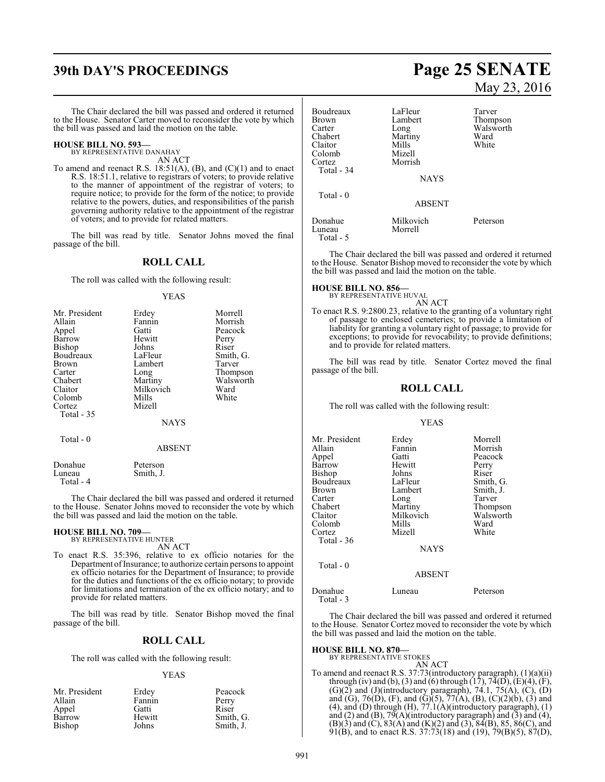# **39th DAY'S PROCEEDINGS Page 25 SENATE**

The Chair declared the bill was passed and ordered it returned to the House. Senator Carter moved to reconsider the vote by which the bill was passed and laid the motion on the table.

#### **HOUSE BILL NO. 593—** BY REPRESENTATIVE DANAHAY

AN ACT

To amend and reenact R.S. 18:51(A), (B), and (C)(1) and to enact R.S. 18:51.1, relative to registrars of voters; to provide relative to the manner of appointment of the registrar of voters; to require notice; to provide for the form of the notice; to provide relative to the powers, duties, and responsibilities of the parish governing authority relative to the appointment of the registrar of voters; and to provide for related matters.

The bill was read by title. Senator Johns moved the final passage of the bill.

#### **ROLL CALL**

The roll was called with the following result:

#### YEAS

| Mr. President | Erdey       | Morrell   |
|---------------|-------------|-----------|
| Allain        | Fannin      | Morrish   |
| Appel         | Gatti       | Peacock   |
| Barrow        | Hewitt      | Perry     |
| Bishop        | Johns       | Riser     |
| Boudreaux     | LaFleur     | Smith, G. |
| <b>Brown</b>  | Lambert     | Tarver    |
| Carter        | Long        | Thompson  |
| Chabert       | Martiny     | Walsworth |
| Claitor       | Milkovich   | Ward      |
| Colomb        | Mills       | White     |
| Cortez        | Mizell      |           |
| Total - 35    |             |           |
|               | <b>NAYS</b> |           |
| Total - 0     |             |           |

| Donahue   | Peterson  |
|-----------|-----------|
| Luneau    | Smith, J. |
| Total - 4 |           |

The Chair declared the bill was passed and ordered it returned to the House. Senator Johns moved to reconsider the vote by which the bill was passed and laid the motion on the table.

ABSENT

## **HOUSE BILL NO. 709—** BY REPRESENTATIVE HUNTER

AN ACT

To enact R.S. 35:396, relative to ex officio notaries for the Department of Insurance; to authorize certain persons to appoint ex officio notaries for the Department of Insurance; to provide for the duties and functions of the ex officio notary; to provide for limitations and termination of the ex officio notary; and to provide for related matters.

The bill was read by title. Senator Bishop moved the final passage of the bill.

#### **ROLL CALL**

The roll was called with the following result:

#### YEAS

| Mr. President | Erdey  | Peacock   |
|---------------|--------|-----------|
| Allain        | Fannin | Perry     |
| Appel         | Gatti  | Riser     |
| Barrow        | Hewitt | Smith, G. |
| Bishop        | Johns  | Smith, J. |

# May 23, 2016

| Boudreaux<br><b>Brown</b><br>Carter<br>Chabert<br>Claitor<br>Colomb | LaFleur<br>Lambert<br>Long<br>Martiny<br>Mills<br>Mizell | Tarver<br>Thompson<br>Walsworth<br>Ward<br>White |
|---------------------------------------------------------------------|----------------------------------------------------------|--------------------------------------------------|
| Cortez<br>Total - 34                                                | Morrish<br><b>NAYS</b>                                   |                                                  |
| Total $-0$                                                          | <b>ABSENT</b>                                            |                                                  |
| Donahue<br>Luneau<br>Total - 5                                      | Milkovich<br>Morrell                                     | Peterson                                         |

The Chair declared the bill was passed and ordered it returned to the House. Senator Bishop moved to reconsider the vote by which the bill was passed and laid the motion on the table.

## **HOUSE BILL NO. 856—** BY REPRESENTATIVE HUVAL

AN ACT

To enact R.S. 9:2800.23, relative to the granting of a voluntary right of passage to enclosed cemeteries; to provide a limitation of liability for granting a voluntary right of passage; to provide for exceptions; to provide for revocability; to provide definitions; and to provide for related matters.

The bill was read by title. Senator Cortez moved the final passage of the bill.

#### **ROLL CALL**

The roll was called with the following result:

#### YEAS

| Mr. President | Erdey       | Morrell   |
|---------------|-------------|-----------|
| Allain        | Fannin      | Morrish   |
| Appel         | Gatti       | Peacock   |
| Barrow        | Hewitt      | Perry     |
| Bishop        | Johns       | Riser     |
| Boudreaux     | LaFleur     | Smith, G. |
| Brown         | Lambert     | Smith, J. |
| Carter        | Long        | Tarver    |
| Chabert       | Martiny     | Thompson  |
| Claitor       | Milkovich   | Walsworth |
| Colomb        | Mills       | Ward      |
| Cortez        | Mizell      | White     |
| Total - 36    |             |           |
|               | <b>NAYS</b> |           |
| Total - 0     |             |           |

#### ABSENT

| Donahue   | Luneau | Peterson |
|-----------|--------|----------|
| Total - 3 |        |          |
|           |        |          |

The Chair declared the bill was passed and ordered it returned to the House. Senator Cortez moved to reconsider the vote by which the bill was passed and laid the motion on the table.

## **HOUSE BILL NO. 870—** BY REPRESENTATIVE STOKES

AN ACT

To amend and reenact R.S. 37:73(introductory paragraph), (1)(a)(ii) through (iv) and (b), (3) and (6) through  $(17)$ ,  $74(D)$ ,  $(E)(4)$ ,  $(F)$ ,  $(G)(2)$  and  $(J)(introducing paragramh), 74.1, 75(A), (C), (D)$ and (G), 76(D), (F), and (G)(5), 77(A), (B), (C)(2)(b), (3) and  $(4)$ , and  $(D)$  through  $(H)$ ,  $77.1(A)$ (introductory paragraph),  $(1)$ and  $(2)$  and  $(B)$ ,  $79(A)$ (introductory paragraph) and  $(3)$  and  $(4)$ ,  $(B)(3)$  and  $(C)$ ,  $83(A)$  and  $(K)(2)$  and  $(3)$ ,  $84(B)$ ,  $85$ ,  $86(C)$ , and 91(B), and to enact R.S. 37:73(18) and (19), 79(B)(5), 87(D),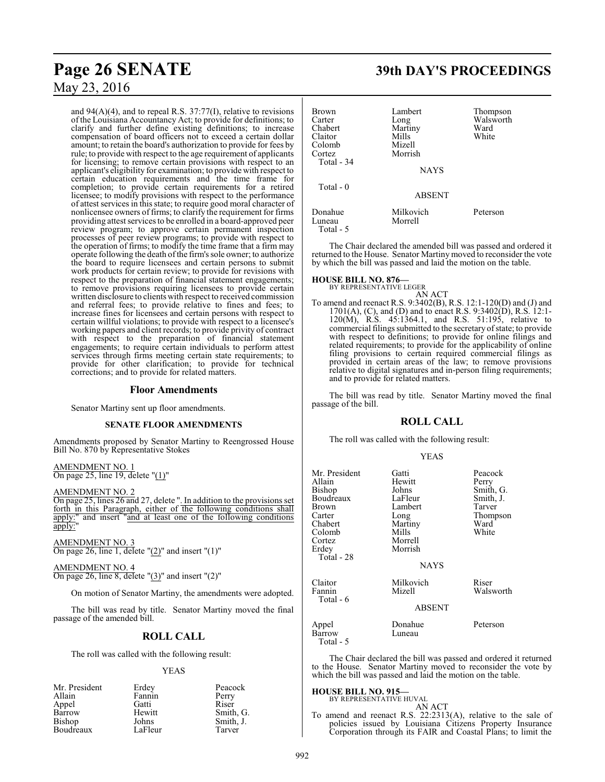and  $94(A)(4)$ , and to repeal R.S.  $37:77(1)$ , relative to revisions of the Louisiana Accountancy Act; to provide for definitions; to clarify and further define existing definitions; to increase compensation of board officers not to exceed a certain dollar amount; to retain the board's authorization to provide for fees by rule; to provide with respect to the age requirement of applicants for licensing; to remove certain provisions with respect to an applicant's eligibility for examination; to provide with respect to certain education requirements and the time frame for completion; to provide certain requirements for a retired licensee; to modify provisions with respect to the performance of attest services in this state; to require good moral character of nonlicensee owners of firms; to clarify the requirement for firms providing attest services to be enrolled in a board-approved peer review program; to approve certain permanent inspection processes of peer review programs; to provide with respect to the operation of firms; to modify the time frame that a firm may operate following the death ofthe firm's sole owner; to authorize the board to require licensees and certain persons to submit work products for certain review; to provide for revisions with respect to the preparation of financial statement engagements; to remove provisions requiring licensees to provide certain written disclosure to clients with respect to received commission and referral fees; to provide relative to fines and fees; to increase fines for licensees and certain persons with respect to certain willful violations; to provide with respect to a licensee's working papers and client records; to provide privity of contract with respect to the preparation of financial statement engagements; to require certain individuals to perform attest services through firms meeting certain state requirements; to provide for other clarification; to provide for technical corrections; and to provide for related matters.

#### **Floor Amendments**

Senator Martiny sent up floor amendments.

#### **SENATE FLOOR AMENDMENTS**

Amendments proposed by Senator Martiny to Reengrossed House Bill No. 870 by Representative Stokes

AMENDMENT NO. 1 On page 25, line 19, delete "(1)"

#### AMENDMENT NO. 2

On page 25, lines 26 and 27, delete ". In addition to the provisions set forth in this Paragraph, either of the following conditions shall apply:" and insert "and at least one of the following conditions apply:

AMENDMENT NO. 3 On page 26, line 1, delete " $(2)$ " and insert " $(1)$ "

AMENDMENT NO. 4 On page 26, line 8, delete "(3)" and insert "(2)"

On motion of Senator Martiny, the amendments were adopted.

The bill was read by title. Senator Martiny moved the final passage of the amended bill.

#### **ROLL CALL**

The roll was called with the following result:

#### YEAS

| Mr. President | Erdey   | Peacock   |
|---------------|---------|-----------|
| Allain        | Fannin  | Perry     |
| Appel         | Gatti   | Riser     |
| Barrow        | Hewitt  | Smith, G. |
| Bishop        | Johns   | Smith, J. |
| Boudreaux     | LaFleur | Tarver    |

## **Page 26 SENATE 39th DAY'S PROCEEDINGS**

| Brown<br>Carter<br>Chabert<br>Claitor<br>Colomb<br>Cortez | Lambert<br>Long<br>Martiny<br>Mills<br>Mizell<br>Morrish | Thompson<br>Walsworth<br>Ward<br>White |
|-----------------------------------------------------------|----------------------------------------------------------|----------------------------------------|
| Total - 34                                                | <b>NAYS</b>                                              |                                        |
| Total $-0$                                                | <b>ABSENT</b>                                            |                                        |
| Donahue<br>Luneau<br>Total - 5                            | Milkovich<br>Morrell                                     | Peterson                               |

The Chair declared the amended bill was passed and ordered it returned to the House. Senator Martiny moved to reconsider the vote by which the bill was passed and laid the motion on the table.

## **HOUSE BILL NO. 876—** BY REPRESENTATIVE LEGER

AN ACT To amend and reenact R.S. 9:3402(B), R.S. 12:1-120(D) and (J) and 1701(A), (C), and (D) and to enact R.S. 9:3402(D), R.S. 12:1- 120(M), R.S. 45:1364.1, and R.S. 51:195, relative to commercial filings submitted to the secretaryofstate; to provide with respect to definitions; to provide for online filings and related requirements; to provide for the applicability of online filing provisions to certain required commercial filings as provided in certain areas of the law; to remove provisions relative to digital signatures and in-person filing requirements; and to provide for related matters.

The bill was read by title. Senator Martiny moved the final passage of the bill.

#### **ROLL CALL**

The roll was called with the following result:

|                                                                                                                         | <b>YEAS</b>                                                                                                     |                                                                                   |
|-------------------------------------------------------------------------------------------------------------------------|-----------------------------------------------------------------------------------------------------------------|-----------------------------------------------------------------------------------|
| Mr. President<br>Allain<br>Bishop<br>Boudreaux<br>Brown<br>Carter<br>Chabert<br>Colomb<br>Cortez<br>Erdey<br>Total - 28 | Gatti<br>Hewitt<br>Johns<br>LaFleur<br>Lambert<br>Long<br>Martiny<br>Mills<br>Morrell<br>Morrish<br><b>NAYS</b> | Peacock<br>Perry<br>Smith, G.<br>Smith, J.<br>Tarver<br>Thompson<br>Ward<br>White |
| Claitor<br>Fannin<br>Total - 6                                                                                          | Milkovich<br>Mizell<br>ABSENT                                                                                   | Riser<br>Walsworth                                                                |
| Appel<br><b>Barrow</b>                                                                                                  | Donahue<br>Luneau                                                                                               | Peterson                                                                          |

The Chair declared the bill was passed and ordered it returned to the House. Senator Martiny moved to reconsider the vote by which the bill was passed and laid the motion on the table.

#### **HOUSE BILL NO. 915—**

Total - 5

BY REPRESENTATIVE HUVAL AN ACT

To amend and reenact R.S. 22:2313(A), relative to the sale of policies issued by Louisiana Citizens Property Insurance Corporation through its FAIR and Coastal Plans; to limit the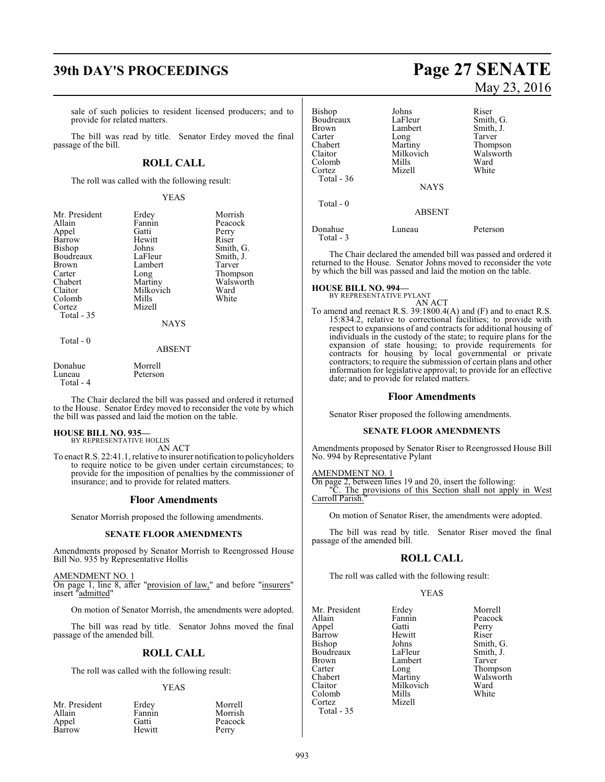## **39th DAY'S PROCEEDINGS Page 27 SENATE**

sale of such policies to resident licensed producers; and to provide for related matters.

The bill was read by title. Senator Erdey moved the final passage of the bill.

## **ROLL CALL**

The roll was called with the following result:

#### YEAS

| Mr. President<br>Allain<br>Appel<br>Barrow<br><b>Bishop</b><br>Boudreaux<br><b>Brown</b><br>Carter<br>Chabert<br>Claitor<br>Colomb<br>Cortez<br>Total $-35$ | Erdey<br>Fannin<br>Gatti<br>Hewitt<br>Johns<br>LaFleur<br>Lambert<br>Long<br>Martiny<br>Milkovich<br>Mills<br>Mizell | Morrish<br>Peacock<br>Perry<br>Riser<br>Smith, G.<br>Smith, J.<br>Tarver<br>Thompson<br>Walsworth<br>Ward<br>White |
|-------------------------------------------------------------------------------------------------------------------------------------------------------------|----------------------------------------------------------------------------------------------------------------------|--------------------------------------------------------------------------------------------------------------------|
|                                                                                                                                                             | <b>NAYS</b>                                                                                                          |                                                                                                                    |
| Total $-0$                                                                                                                                                  | ABSENT                                                                                                               |                                                                                                                    |

| Donahue   | Morrell  |
|-----------|----------|
| Luneau    | Peterson |
| Total - 4 |          |

The Chair declared the bill was passed and ordered it returned to the House. Senator Erdey moved to reconsider the vote by which the bill was passed and laid the motion on the table.

#### **HOUSE BILL NO. 935—** BY REPRESENTATIVE HOLLIS

AN ACT

To enact R.S. 22:41.1, relative to insurer notification to policyholders to require notice to be given under certain circumstances; to provide for the imposition of penalties by the commissioner of insurance; and to provide for related matters.

#### **Floor Amendments**

Senator Morrish proposed the following amendments.

#### **SENATE FLOOR AMENDMENTS**

Amendments proposed by Senator Morrish to Reengrossed House Bill No. 935 by Representative Hollis

AMENDMENT NO. 1

On page 1, line 8, after "provision of law," and before "insurers" insert "admitted"

On motion of Senator Morrish, the amendments were adopted.

The bill was read by title. Senator Johns moved the final passage of the amended bill.

#### **ROLL CALL**

The roll was called with the following result:

#### YEAS

| Mr. President<br>Allain | Erdey<br>Fannin | Morrell<br>Morrish |
|-------------------------|-----------------|--------------------|
| Appel                   | Gatti           | Peacock            |
| Barrow                  | Hewitt          | Perry              |

# May 23, 2016

| Bishop<br>Boudreaux<br>Brown<br>Carter<br>Chabert<br>Claitor<br>Colomb<br>Cortez<br>Total - 36 | Johns<br>LaFleur<br>Lambert<br>Long<br>Martiny<br>Milkovich<br>Mills<br>Mizell<br><b>NAYS</b> | Riser<br>Smith, G.<br>Smith, J.<br>Tarver<br>Thompson<br>Walsworth<br>Ward<br>White |
|------------------------------------------------------------------------------------------------|-----------------------------------------------------------------------------------------------|-------------------------------------------------------------------------------------|
| Total $-0$                                                                                     |                                                                                               |                                                                                     |
| Donahue                                                                                        | <b>ABSENT</b><br>Luneau                                                                       | Peterson                                                                            |

The Chair declared the amended bill was passed and ordered it returned to the House. Senator Johns moved to reconsider the vote by which the bill was passed and laid the motion on the table.

#### **HOUSE BILL NO. 994—**

Total - 3

BY REPRESENTATIVE PYLANT AN ACT

To amend and reenact R.S. 39:1800.4(A) and (F) and to enact R.S. 15:834.2, relative to correctional facilities; to provide with respect to expansions of and contracts for additional housing of individuals in the custody of the state; to require plans for the expansion of state housing; to provide requirements for contracts for housing by local governmental or private contractors; to require the submission of certain plans and other information for legislative approval; to provide for an effective date; and to provide for related matters.

#### **Floor Amendments**

Senator Riser proposed the following amendments.

#### **SENATE FLOOR AMENDMENTS**

Amendments proposed by Senator Riser to Reengrossed House Bill No. 994 by Representative Pylant

#### AMENDMENT NO. 1

On page 2, between lines 19 and 20, insert the following:

"C. The provisions of this Section shall not apply in West Carroll Parish.

On motion of Senator Riser, the amendments were adopted.

The bill was read by title. Senator Riser moved the final passage of the amended bill.

#### **ROLL CALL**

The roll was called with the following result:

#### YEAS

Mr. President Erdey Morrell<br>Allain Fannin Peacock Appel Gatti Perry Barrow Hewitt<br>Bishop Johns Boudreaux LaFleur Smith,<br>Brown Lambert Tarver Brown Lambert<br>Carter Long Carter Long Chabert Long Thompson<br>Chabert Martiny Walsworth Chabert Martiny Walsworth<br>Claitor Milkovich Ward Colomb Cortez Mizell Total - 35

Fannin Peacock<br>Gatti Perry Johns Smith, G.<br>LaFleur Smith, J. Milkovich Ward<br>
Mills White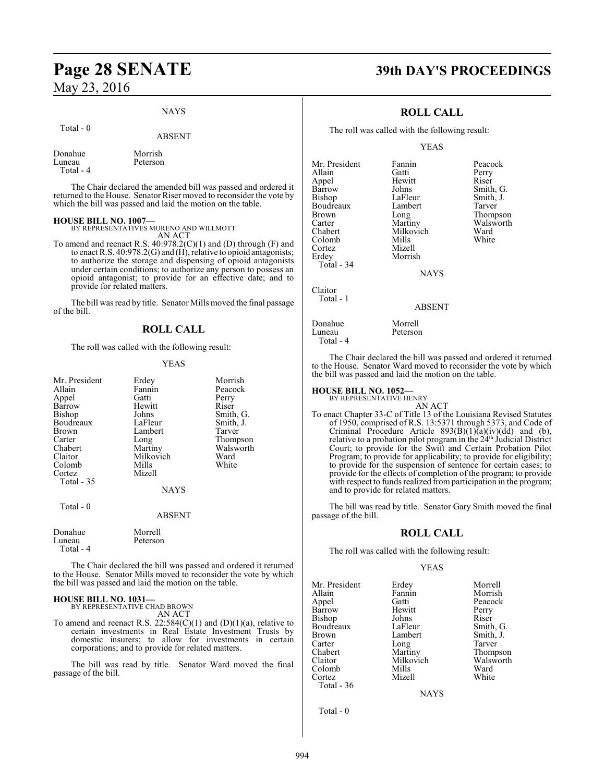## **Page 28 SENATE 39th DAY'S PROCEEDINGS** May 23, 2016

#### NAYS

#### Total - 0

#### ABSENT

| Donahue   | Morrish  |
|-----------|----------|
| Luneau    | Peterson |
| Total - 4 |          |
|           |          |

The Chair declared the amended bill was passed and ordered it returned to the House. Senator Riser moved to reconsider the vote by which the bill was passed and laid the motion on the table.

#### **HOUSE BILL NO. 1007—**

BY REPRESENTATIVES MORENO AND WILLMOTT

AN ACT To amend and reenact R.S. 40:978.2(C)(1) and (D) through (F) and to enact R.S. 40:978.2(G) and (H), relative to opioid antagonists; to authorize the storage and dispensing of opioid antagonists under certain conditions; to authorize any person to possess an opioid antagonist; to provide for an effective date; and to provide for related matters.

The bill was read by title. Senator Mills moved the final passage of the bill.

#### **ROLL CALL**

The roll was called with the following result:

#### YEAS

| Mr. President<br>Allain<br>Appel<br>Barrow<br>Bishop<br>Boudreaux<br>Brown<br>Carter<br>Chabert<br>Claitor<br>Colomb<br>Cortez | Erdey<br>Fannin<br>Gatti<br>Hewitt<br>Johns<br>LaFleur<br>Lambert<br>Long<br>Martiny<br>Milkovich<br>Mills<br>Mizell | Morrish<br>Peacock<br>Perry<br>Riser<br>Smith, G.<br>Smith, J.<br>Tarver<br>Thompson<br>Walsworth<br>Ward<br>White |
|--------------------------------------------------------------------------------------------------------------------------------|----------------------------------------------------------------------------------------------------------------------|--------------------------------------------------------------------------------------------------------------------|
| Total - 35<br>Total - 0                                                                                                        | <b>NAYS</b>                                                                                                          |                                                                                                                    |
| Donahue<br>Luneau                                                                                                              | <b>ABSENT</b><br>Morrell<br>Peterson                                                                                 |                                                                                                                    |

The Chair declared the bill was passed and ordered it returned to the House. Senator Mills moved to reconsider the vote by which the bill was passed and laid the motion on the table.

#### **HOUSE BILL NO. 1031—**

Total - 4

BY REPRESENTATIVE CHAD BROWN AN ACT

To amend and reenact R.S.  $22:584(C)(1)$  and  $(D)(1)(a)$ , relative to certain investments in Real Estate Investment Trusts by domestic insurers; to allow for investments in certain corporations; and to provide for related matters.

The bill was read by title. Senator Ward moved the final passage of the bill.

#### **ROLL CALL**

The roll was called with the following result:

Mizell<br>Morrish

#### YEAS

Mr. President Fannin Peacock<br>Allain Gatti Perry Allain Gatti Perry Appel Hewitt Riser Barrow Johns Smith, G.<br>Bishop LaFleur Smith, J. Boudreaux Lamb<br>Brown Long Brown Long Thompson<br>Carter Martiny Walsworth Carter **Martiny** Walsworth<br>Chabert Milkovich Ward Colomb<br>Cortez Erdey Total - 34

Claitor Total - 1

Total - 4

LaFleur Smith, J.<br>Lambert Tarver Milkovich Ward<br>
Mills White

NAYS

#### ABSENT

Donahue Morrell<br>Luneau Peterson Peterson

The Chair declared the bill was passed and ordered it returned to the House. Senator Ward moved to reconsider the vote by which the bill was passed and laid the motion on the table.

#### **HOUSE BILL NO. 1052—**

BY REPRESENTATIVE HENRY

AN ACT To enact Chapter 33-C of Title 13 of the Louisiana Revised Statutes of 1950, comprised of R.S. 13:5371 through 5373, and Code of Criminal Procedure Article  $893(B)(1)(a)(iv)(dd)$  and (b), relative to a probation pilot program in the 24<sup>th</sup> Judicial District Court; to provide for the Swift and Certain Probation Pilot Program; to provide for applicability; to provide for eligibility; to provide for the suspension of sentence for certain cases; to provide for the effects of completion of the program; to provide with respect to funds realized from participation in the program; and to provide for related matters.

The bill was read by title. Senator Gary Smith moved the final passage of the bill.

#### **ROLL CALL**

The roll was called with the following result:

#### YEAS

Mr. President Erdey Morrell<br>Allain Fannin Morrish Allain Fannin<br>Appel Gatti Barrow Hewitt Perry<br>Bishop Johns Riser Bishop Johns<br>Boudreaux LaFleur Boudreaux LaFleur Smith, G.<br>Brown Lambert Smith, J. Brown Lambert Smith, J.<br>
Carter Long Tarver Carter Long Tarver<br>
Chabert Martiny Thomp Chabert Martiny Thompson<br>Claitor Milkovich Walsworth Colomb Mills Ward<br>Cortez Mizell White Cortez Total - 36

Gatti Peacock<br>
Hewitt Perry Milkovich Walsworth<br>
Mills Ward

**NAYS** 

Total - 0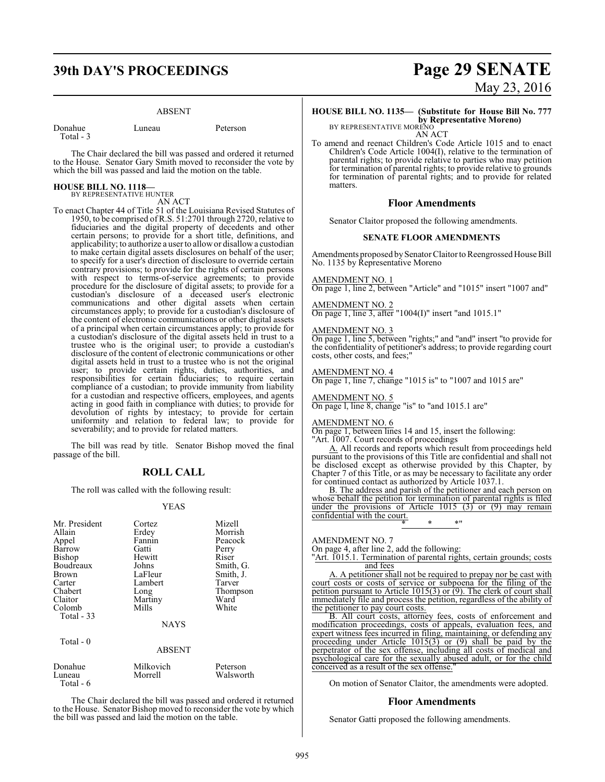## **39th DAY'S PROCEEDINGS Page 29 SENATE**

#### ABSENT

Donahue Luneau Peterson Total - 3 The Chair declared the bill was passed and ordered it returned to the House. Senator Gary Smith moved to reconsider the vote by

which the bill was passed and laid the motion on the table.

## **HOUSE BILL NO. 1118—**

BY REPRESENTATIVE HUNTER AN ACT

To enact Chapter 44 of Title 51 of the Louisiana Revised Statutes of 1950, to be comprised of R.S. 51:2701 through 2720, relative to fiduciaries and the digital property of decedents and other certain persons; to provide for a short title, definitions, and applicability; to authorize a user to allowor disallow a custodian to make certain digital assets disclosures on behalf of the user; to specify for a user's direction of disclosure to override certain contrary provisions; to provide for the rights of certain persons with respect to terms-of-service agreements; to provide procedure for the disclosure of digital assets; to provide for a custodian's disclosure of a deceased user's electronic communications and other digital assets when certain circumstances apply; to provide for a custodian's disclosure of the content of electronic communications or other digital assets of a principal when certain circumstances apply; to provide for a custodian's disclosure of the digital assets held in trust to a trustee who is the original user; to provide a custodian's disclosure of the content of electronic communications or other digital assets held in trust to a trustee who is not the original user; to provide certain rights, duties, authorities, and responsibilities for certain fiduciaries; to require certain compliance of a custodian; to provide immunity from liability for a custodian and respective officers, employees, and agents acting in good faith in compliance with duties; to provide for devolution of rights by intestacy; to provide for certain uniformity and relation to federal law; to provide for severability; and to provide for related matters.

The bill was read by title. Senator Bishop moved the final passage of the bill.

#### **ROLL CALL**

The roll was called with the following result:

#### YEAS

| Mr. President<br>Allain<br>Appel<br>Barrow<br>Bishop<br>Boudreaux<br>Brown<br>Carter<br>Chabert<br>Claitor | Cortez<br>Erdey<br>Fannin<br>Gatti<br>Hewitt<br>Johns<br>LaFleur<br>Lambert<br>Long<br>Martiny | Mizell<br>Morrish<br>Peacock<br>Perry<br>Riser<br>Smith, G.<br>Smith, J.<br>Tarver<br>Thompson<br>Ward |
|------------------------------------------------------------------------------------------------------------|------------------------------------------------------------------------------------------------|--------------------------------------------------------------------------------------------------------|
| Colomb                                                                                                     | Mills                                                                                          | White                                                                                                  |
| Total $-33$                                                                                                |                                                                                                |                                                                                                        |
|                                                                                                            | <b>NAYS</b>                                                                                    |                                                                                                        |
| Total $-0$                                                                                                 | <b>ABSENT</b>                                                                                  |                                                                                                        |
| Donahue<br>Luneau<br>Total - 6                                                                             | Milkovich<br>Morrell                                                                           | Peterson<br>Walsworth                                                                                  |

The Chair declared the bill was passed and ordered it returned to the House. Senator Bishop moved to reconsider the vote by which the bill was passed and laid the motion on the table.

# May 23, 2016

## **HOUSE BILL NO. 1135— (Substitute for House Bill No. 777**

**by Representative Moreno)** BY REPRESENTATIVE MORENO

AN ACT

To amend and reenact Children's Code Article 1015 and to enact Children's Code Article 1004(I), relative to the termination of parental rights; to provide relative to parties who may petition for termination of parental rights; to provide relative to grounds for termination of parental rights; and to provide for related matters.

#### **Floor Amendments**

Senator Claitor proposed the following amendments.

#### **SENATE FLOOR AMENDMENTS**

Amendments proposed by Senator Claitor to Reengrossed House Bill No. 1135 by Representative Moreno

#### AMENDMENT NO. 1

On page 1, line 2, between "Article" and "1015" insert "1007 and"

#### AMENDMENT NO. 2

On page 1, line 3, after "1004(I)" insert "and 1015.1"

#### AMENDMENT NO. 3

On page 1, line 5, between "rights;" and "and" insert "to provide for the confidentiality of petitioner's address; to provide regarding court costs, other costs, and fees;"

#### AMENDMENT NO. 4

On page 1, line 7, change "1015 is" to "1007 and 1015 are"

#### AMENDMENT NO. 5

On page l, line 8, change "is" to "and 1015.1 are"

#### AMENDMENT NO. 6

On page 1, between lines 14 and 15, insert the following: "Art. 1007. Court records of proceedings

A. All records and reports which result from proceedings held pursuant to the provisions of this Title are confidential and shall not be disclosed except as otherwise provided by this Chapter, by Chapter 7 of this Title, or as may be necessary to facilitate any order for continued contact as authorized by Article 1037.1.

B. The address and parish of the petitioner and each person on whose behalf the petition for termination of parental rights is filed under the provisions of Article  $1015$  (3) or (9) may remain confidential with the court. \* \* \*"

AMENDMENT NO. 7

On page 4, after line 2, add the following:

"Art. 1015.1. Termination of parental rights, certain grounds; costs and fees

A. A petitioner shall not be required to prepay nor be cast with court costs or costs of service or subpoena for the filing of the petition pursuant to Article 1015(3) or (9). The clerk of court shall immediately file and process the petition, regardless of the ability of the petitioner to pay court costs.

B. All court costs, attorney fees, costs of enforcement and modification proceedings, costs of appeals, evaluation fees, and expert witness fees incurred in filing, maintaining, or defending any proceeding under Article 1015(3) or (9) shall be paid by the perpetrator of the sex offense, including all costs of medical and psychological care for the sexually abused adult, or for the child conceived as a result of the sex offense."

On motion of Senator Claitor, the amendments were adopted.

#### **Floor Amendments**

Senator Gatti proposed the following amendments.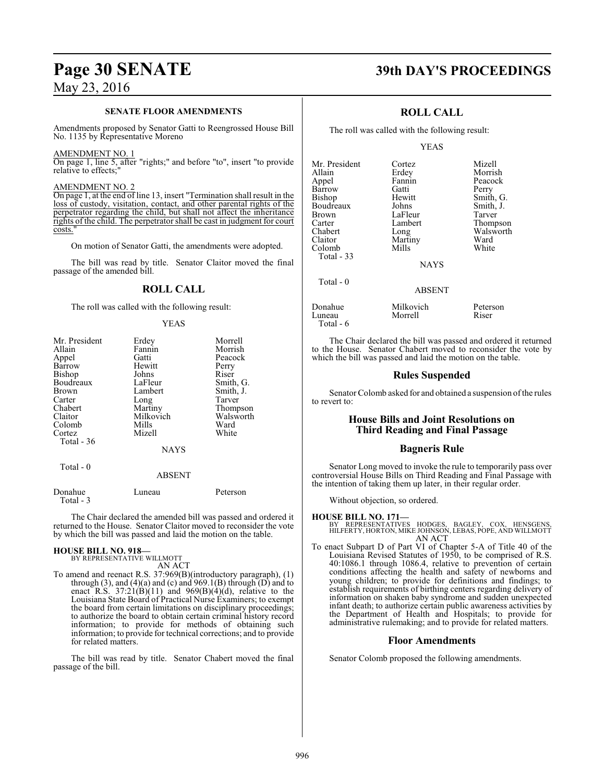#### **SENATE FLOOR AMENDMENTS**

Amendments proposed by Senator Gatti to Reengrossed House Bill No. 1135 by Representative Moreno

#### AMENDMENT NO. 1

On page  $\overline{1}$ , line 5, after "rights;" and before "to", insert "to provide relative to effects:" relative to effects:

#### AMENDMENT NO. 2

On page 1, at the end of line 13, insert "Termination shall result in the loss of custody, visitation, contact, and other parental rights of the perpetrator regarding the child, but shall not affect the inheritance rights of the child. The perpetrator shall be cast in judgment for court costs.

On motion of Senator Gatti, the amendments were adopted.

The bill was read by title. Senator Claitor moved the final passage of the amended bill.

#### **ROLL CALL**

The roll was called with the following result:

#### YEAS

| Mr. President | Erdey         | Morrell   |
|---------------|---------------|-----------|
| Allain        | Fannin        | Morrish   |
| Appel         | Gatti         | Peacock   |
| Barrow        | Hewitt        | Perry     |
| Bishop        | Johns         | Riser     |
| Boudreaux     | LaFleur       | Smith, G. |
| Brown         | Lambert       | Smith, J. |
| Carter        | Long          | Tarver    |
| Chabert       | Martiny       | Thompson  |
| Claitor       | Milkovich     | Walsworth |
| Colomb        | Mills         | Ward      |
| Cortez        | Mizell        | White     |
| Total - 36    |               |           |
|               | <b>NAYS</b>   |           |
| Total - 0     |               |           |
|               | <b>ABSENT</b> |           |
| Donahue       | Luneau        | Peterson  |

The Chair declared the amended bill was passed and ordered it returned to the House. Senator Claitor moved to reconsider the vote by which the bill was passed and laid the motion on the table.

# **HOUSE BILL NO. 918—** BY REPRESENTATIVE WILLMOTT

Total - 3

AN ACT

To amend and reenact R.S. 37:969(B)(introductory paragraph), (1) through  $(3)$ , and  $(4)(a)$  and  $(c)$  and  $969.1(B)$  through  $(D)$  and to enact R.S.  $37:21(B)(11)$  and  $969(B)(4)(d)$ , relative to the Louisiana State Board of Practical Nurse Examiners; to exempt the board from certain limitations on disciplinary proceedings; to authorize the board to obtain certain criminal history record information; to provide for methods of obtaining such information; to provide for technical corrections; and to provide for related matters.

The bill was read by title. Senator Chabert moved the final passage of the bill.

## **Page 30 SENATE 39th DAY'S PROCEEDINGS**

Morrish

### **ROLL CALL**

The roll was called with the following result:

#### YEAS

Mr. President Cortez Mizell<br>Allain Erdey Morris Appel Fannin Peacock Barrow Gatti<br>Bishop Hewitt Boudreaux Johns<br>Brown LaFleur Brown LaFleur Tarver<br>Carter Lambert Thomp Carter Lambert Thompson<br>
Chabert Long Walsworth Chabert Long Walsworth<br>Claitor Martiny Ward Colomb Total - 33

Total - 0

Hewitt Smith, G.<br>Johns Smith, J. Martiny Ward<br>
Mills White

NAYS

#### ABSENT

| Donahue   | Milkovich | Peterson |
|-----------|-----------|----------|
| Luneau    | Morrell   | Riser    |
| Total - 6 |           |          |

The Chair declared the bill was passed and ordered it returned to the House. Senator Chabert moved to reconsider the vote by which the bill was passed and laid the motion on the table.

#### **Rules Suspended**

Senator Colomb asked for and obtained a suspension of the rules to revert to:

#### **House Bills and Joint Resolutions on Third Reading and Final Passage**

#### **Bagneris Rule**

Senator Long moved to invoke the rule to temporarily pass over controversial House Bills on Third Reading and Final Passage with the intention of taking them up later, in their regular order.

Without objection, so ordered.

#### **HOUSE BILL NO. 171—**

BY REPRESENTATIVES HODGES, BAGLEY, COX, HENSGENS, HILFERTY, HORTON, MIKE JOHNSON, LEBAS, POPE, AND WILLMOTT AN ACT

To enact Subpart D of Part VI of Chapter 5-A of Title 40 of the Louisiana Revised Statutes of 1950, to be comprised of R.S. 40:1086.1 through 1086.4, relative to prevention of certain conditions affecting the health and safety of newborns and young children; to provide for definitions and findings; to establish requirements of birthing centers regarding delivery of information on shaken baby syndrome and sudden unexpected infant death; to authorize certain public awareness activities by the Department of Health and Hospitals; to provide for administrative rulemaking; and to provide for related matters.

#### **Floor Amendments**

Senator Colomb proposed the following amendments.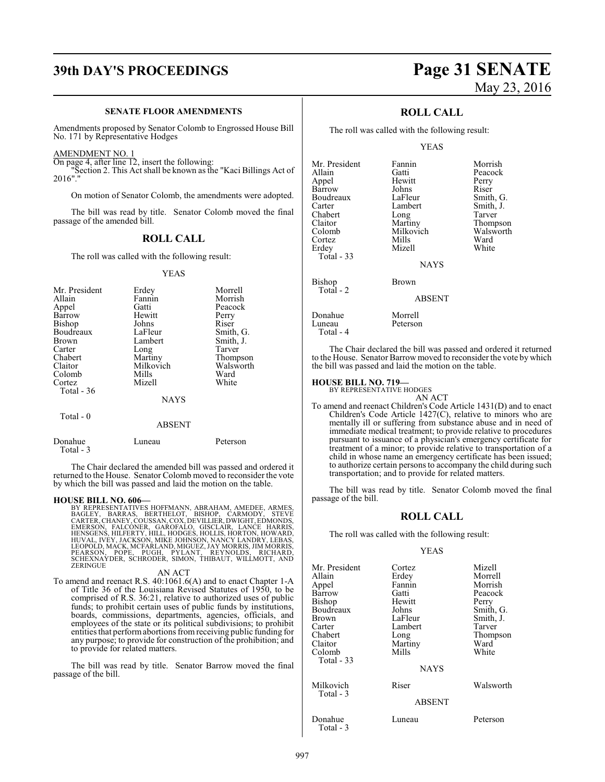## **39th DAY'S PROCEEDINGS Page 31 SENATE**

#### **SENATE FLOOR AMENDMENTS**

Amendments proposed by Senator Colomb to Engrossed House Bill No. 171 by Representative Hodges

AMENDMENT NO. 1

On page 4, after line 12, insert the following:

"Section 2. This Act shall be known as the "Kaci Billings Act of 2016"."

On motion of Senator Colomb, the amendments were adopted.

The bill was read by title. Senator Colomb moved the final passage of the amended bill.

### **ROLL CALL**

The roll was called with the following result:

YEAS

| Mr. President<br>Allain<br>Appel<br>Barrow<br><b>Bishop</b><br>Boudreaux<br><b>Brown</b><br>Carter<br>Chabert<br>Claitor<br>Colomb | Erdey<br>Fannin<br>Gatti<br>Hewitt<br>Johns<br>LaFleur<br>Lambert<br>Long<br>Martiny<br>Milkovich<br>Mills | Morrell<br>Morrish<br>Peacock<br>Perry<br>Riser<br>Smith, G.<br>Smith, J.<br>Tarver<br>Thompson<br>Walsworth<br>Ward |
|------------------------------------------------------------------------------------------------------------------------------------|------------------------------------------------------------------------------------------------------------|----------------------------------------------------------------------------------------------------------------------|
| Cortez                                                                                                                             | Mizell                                                                                                     | White                                                                                                                |
| Total $-36$                                                                                                                        |                                                                                                            |                                                                                                                      |
|                                                                                                                                    | <b>NAYS</b>                                                                                                |                                                                                                                      |
| Total - 0                                                                                                                          | ABSENT                                                                                                     |                                                                                                                      |

| Donahue   | Luneau | Peterson |
|-----------|--------|----------|
| Total - 3 |        |          |

The Chair declared the amended bill was passed and ordered it returned to the House. Senator Colomb moved to reconsider the vote by which the bill was passed and laid the motion on the table.

#### **HOUSE BILL NO. 606—**

BY REPRESENTATIVES HOFFMANN, ABRAHAM, AMEDEE, ARMES, BAGLEY, BARRAS, BERTHELOT, BISHOP, CARMODY, STEVE<br>EAGLEY, BARRAS, BERTHELOT, BISHOP, CARMODY, STEVE<br>CARTER,CHANEY,COUSSAN,COX,DEVILLER,DWIGHT,EDMONDS,<br>EMERSON, FALCONER, **ZERINGUE** 

#### AN ACT

To amend and reenact R.S. 40:1061.6(A) and to enact Chapter 1-A of Title 36 of the Louisiana Revised Statutes of 1950, to be comprised of R.S. 36:21, relative to authorized uses of public funds; to prohibit certain uses of public funds by institutions, boards, commissions, departments, agencies, officials, and employees of the state or its political subdivisions; to prohibit entities that performabortions fromreceiving public funding for any purpose; to provide for construction of the prohibition; and to provide for related matters.

The bill was read by title. Senator Barrow moved the final passage of the bill.

# May 23, 2016

### **ROLL CALL**

The roll was called with the following result:

#### YEAS

| Mr. President<br>Allain | Fannin<br>Gatti     | Morrish<br>Peacock |
|-------------------------|---------------------|--------------------|
| Appel                   | Hewitt              | Perry              |
| Barrow                  | Johns               | Riser              |
| Boudreaux               | LaFleur             | Smith, G.          |
| Carter                  | Lambert             | Smith, J.          |
| Chabert                 | Long                | Tarver             |
| Claitor                 | Martiny             | Thompson           |
| Colomb                  | Milkovich           | Walsworth          |
| Cortez                  | Mills               | Ward               |
| Erdey<br>Total $-33$    | Mizell              | White              |
|                         | <b>NAYS</b>         |                    |
| Bishop                  | Brown               |                    |
| Total - 2               | <b>ABSENT</b>       |                    |
| Donahue<br>Luneau       | Morrell<br>Peterson |                    |
| Total - 4               |                     |                    |

The Chair declared the bill was passed and ordered it returned to the House. Senator Barrow moved to reconsider the vote by which the bill was passed and laid the motion on the table.

#### **HOUSE BILL NO. 719—**

BY REPRESENTATIVE HODGES

AN ACT To amend and reenact Children's Code Article 1431(D) and to enact Children's Code Article 1427(C), relative to minors who are mentally ill or suffering from substance abuse and in need of immediate medical treatment; to provide relative to procedures pursuant to issuance of a physician's emergency certificate for treatment of a minor; to provide relative to transportation of a child in whose name an emergency certificate has been issued; to authorize certain persons to accompany the child during such transportation; and to provide for related matters.

The bill was read by title. Senator Colomb moved the final passage of the bill.

#### **ROLL CALL**

The roll was called with the following result:

#### YEAS

| Mr. President<br>Allain<br>Appel<br>Barrow<br>Bishop<br>Boudreaux<br>Brown<br>Carter<br>Chabert<br>Claitor<br>Colomb<br>Total - 33 | Cortez<br>Erdey<br>Fannin<br>Gatti<br>Hewitt<br>Johns<br>LaFleur<br>Lambert<br>Long<br>Martiny<br>Mills<br><b>NAYS</b> | Mizell<br>Morrell<br>Morrish<br>Peacock<br>Perry<br>Smith, G.<br>Smith, J.<br>Tarver<br>Thompson<br>Ward<br>White |
|------------------------------------------------------------------------------------------------------------------------------------|------------------------------------------------------------------------------------------------------------------------|-------------------------------------------------------------------------------------------------------------------|
| Milkovich<br>Total - 3                                                                                                             | Riser<br><b>ABSENT</b>                                                                                                 | Walsworth                                                                                                         |
| Donahue<br>Total - 3                                                                                                               | Luneau                                                                                                                 | Peterson                                                                                                          |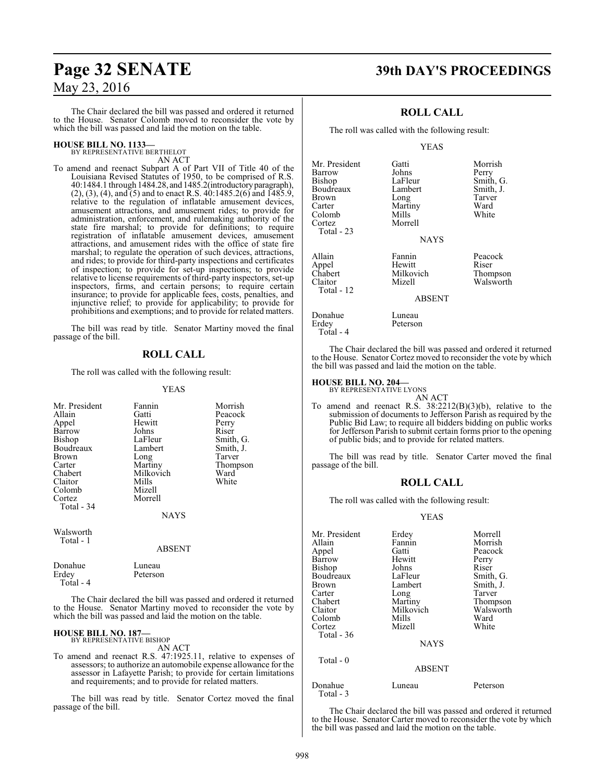## **Page 32 SENATE 39th DAY'S PROCEEDINGS**

The Chair declared the bill was passed and ordered it returned to the House. Senator Colomb moved to reconsider the vote by which the bill was passed and laid the motion on the table.

#### **HOUSE BILL NO. 1133—** BY REPRESENTATIVE BERTHELOT

AN ACT

To amend and reenact Subpart A of Part VII of Title 40 of the Louisiana Revised Statutes of 1950, to be comprised of R.S. 40:1484.1 through 1484.28, and 1485.2(introductoryparagraph), (2), (3), (4), and (5) and to enact R.S. 40:1485.2(6) and 1485.9, relative to the regulation of inflatable amusement devices, amusement attractions, and amusement rides; to provide for administration, enforcement, and rulemaking authority of the state fire marshal; to provide for definitions; to require registration of inflatable amusement devices, amusement attractions, and amusement rides with the office of state fire marshal; to regulate the operation of such devices, attractions, and rides; to provide for third-party inspections and certificates of inspection; to provide for set-up inspections; to provide relative to license requirements of third-party inspectors, set-up inspectors, firms, and certain persons; to require certain insurance; to provide for applicable fees, costs, penalties, and injunctive relief; to provide for applicability; to provide for prohibitions and exemptions; and to provide for related matters.

The bill was read by title. Senator Martiny moved the final passage of the bill.

### **ROLL CALL**

The roll was called with the following result:

#### YEAS

| Mr. President<br>Allain<br>Appel<br>Barrow<br><b>Bishop</b><br>Boudreaux<br><b>Brown</b><br>Carter<br>Chabert<br>Claitor<br>Colomb<br>Cortez<br>Total - 34 | Fannin<br>Gatti<br>Hewitt<br>Johns<br>LaFleur<br>Lambert<br>Long<br>Martiny<br>Milkovich<br>Mills<br>Mizell<br>Morrell<br><b>NAYS</b> | Morrish<br>Peacock<br>Perry<br>Riser<br>Smith, G.<br>Smith, J.<br>Tarver<br>Thompson<br>Ward<br>White |
|------------------------------------------------------------------------------------------------------------------------------------------------------------|---------------------------------------------------------------------------------------------------------------------------------------|-------------------------------------------------------------------------------------------------------|
| Walsworth<br>Total - 1                                                                                                                                     | <b>ABSENT</b>                                                                                                                         |                                                                                                       |

Donahue Luneau<br>Erdey Peterson Peterson Total - 4 The Chair declared the bill was passed and ordered it returned to the House. Senator Martiny moved to reconsider the vote by

which the bill was passed and laid the motion on the table.

#### **HOUSE BILL NO. 187—**

BY REPRESENTATIVE BISHOP AN ACT

To amend and reenact R.S. 47:1925.11, relative to expenses of assessors; to authorize an automobile expense allowance for the assessor in Lafayette Parish; to provide for certain limitations and requirements; and to provide for related matters.

The bill was read by title. Senator Cortez moved the final passage of the bill.

### **ROLL CALL**

The roll was called with the following result:

YEAS

| Mr. President<br>Barrow<br>Bishop<br>Boudreaux<br><b>Brown</b><br>Carter<br>Colomb<br>Cortez<br>Total - 23 | Gatti<br>Johns<br>LaFleur<br>Lambert<br>Long<br>Martiny<br>Mills<br>Morrell<br><b>NAYS</b> | Morrish<br>Perry<br>Smith, G.<br>Smith, J.<br>Tarver<br>Ward<br>White |
|------------------------------------------------------------------------------------------------------------|--------------------------------------------------------------------------------------------|-----------------------------------------------------------------------|
| Allain<br>Appel<br>Chabert<br>Claitor<br>Total - 12                                                        | Fannin<br>Hewitt<br>Milkovich<br>Mizell<br><b>ABSENT</b>                                   | Peacock<br>Riser<br>Thompson<br>Walsworth                             |
| Donahue<br>Erdey<br>Total - 4                                                                              | Luneau<br>Peterson                                                                         |                                                                       |

The Chair declared the bill was passed and ordered it returned to the House. Senator Cortez moved to reconsider the vote by which the bill was passed and laid the motion on the table.

#### **HOUSE BILL NO. 204—**

BY REPRESENTATIVE LYONS AN ACT

To amend and reenact R.S. 38:2212(B)(3)(b), relative to the submission of documents to Jefferson Parish as required by the Public Bid Law; to require all bidders bidding on public works for Jefferson Parish to submit certain forms prior to the opening of public bids; and to provide for related matters.

The bill was read by title. Senator Carter moved the final passage of the bill.

#### **ROLL CALL**

The roll was called with the following result:

#### YEAS

| Mr. President<br>Allain<br>Appel<br>Barrow<br>Bishop<br>Boudreaux<br>Brown<br>Carter<br>Chabert<br>Claitor<br>Colomb<br>Cortez | Erdey<br>Fannin<br>Gatti<br>Hewitt<br>Johns<br>LaFleur<br>Lambert<br>Long<br>Martiny<br>Milkovich<br>Mills<br>Mizell | Morrell<br>Morrish<br>Peacock<br>Perry<br>Riser<br>Smith, G.<br>Smith, J.<br>Tarver<br>Thompson<br>Walsworth<br>Ward<br>White |
|--------------------------------------------------------------------------------------------------------------------------------|----------------------------------------------------------------------------------------------------------------------|-------------------------------------------------------------------------------------------------------------------------------|
| <b>Total - 36</b>                                                                                                              | <b>NAYS</b>                                                                                                          |                                                                                                                               |
| Total - 0                                                                                                                      | <b>ABSENT</b>                                                                                                        |                                                                                                                               |
| Donahue<br>Total - 3                                                                                                           | Luneau                                                                                                               | Peterson                                                                                                                      |

The Chair declared the bill was passed and ordered it returned to the House. Senator Carter moved to reconsider the vote by which the bill was passed and laid the motion on the table.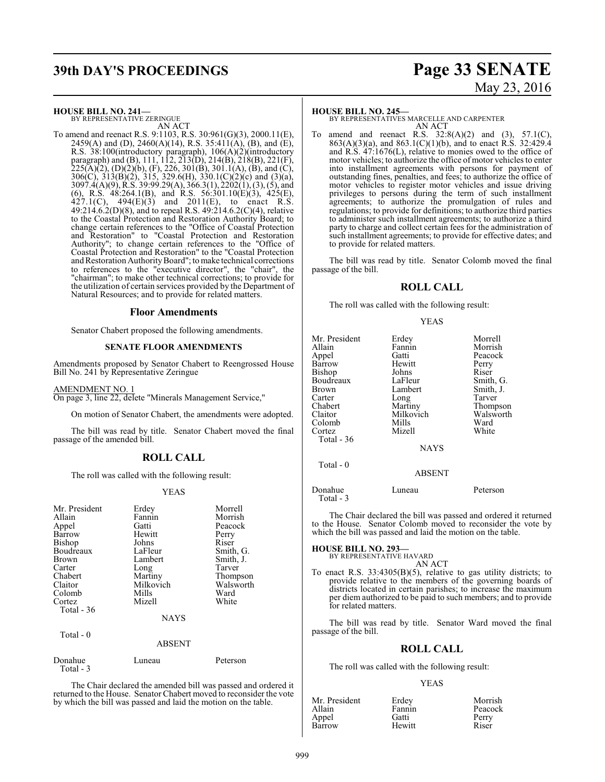# **39th DAY'S PROCEEDINGS Page 33 SENATE** May 23, 2016

**HOUSE BILL NO. 241—**

BY REPRESENTATIVE ZERINGUE AN ACT

To amend and reenact R.S. 9:1103, R.S. 30:961(G)(3), 2000.11(E), 2459(A) and (D), 2460(A)(14), R.S. 35:411(A), (B), and (E), R.S. 38:100(introductory paragraph), 106(A)(2)(introductory paragraph) and (B), 111, 112, 213(D), 214(B), 218(B), 221(F),  $225(A)(2)$ , (D)(2)(b), (F), 226, 301(B), 301.1(A), (B), and (C), 306(C), 313(B)(2), 315, 329.6(H), 330.1(C)(2)(c) and (3)(a), 3097.4(A)(9), R.S. 39:99.29(A), 366.3(1), 2202(1), (3), (5), and (6), R.S. 48:264.1(B), and R.S. 56:301.10(E)(3), 425(E),  $427.1(C)$ ,  $494(E)(3)$  and  $2011(E)$ , to enact R.S. 49:214.6.2(D)(8), and to repeal R.S. 49:214.6.2(C)(4), relative to the Coastal Protection and Restoration Authority Board; to change certain references to the "Office of Coastal Protection and Restoration" to "Coastal Protection and Restoration Authority"; to change certain references to the "Office of Coastal Protection and Restoration" to the "Coastal Protection and Restoration Authority Board"; to make technical corrections to references to the "executive director", the "chair", the "chairman"; to make other technical corrections; to provide for the utilization of certain services provided by the Department of Natural Resources; and to provide for related matters.

#### **Floor Amendments**

Senator Chabert proposed the following amendments.

#### **SENATE FLOOR AMENDMENTS**

Amendments proposed by Senator Chabert to Reengrossed House Bill No. 241 by Representative Zeringue

#### AMENDMENT NO. 1

On page 3, line 22, delete "Minerals Management Service,"

On motion of Senator Chabert, the amendments were adopted.

The bill was read by title. Senator Chabert moved the final passage of the amended bill.

#### **ROLL CALL**

The roll was called with the following result:

#### YEAS

| Mr. President<br>Allain<br>Appel<br>Barrow<br><b>Bishop</b><br>Boudreaux<br><b>Brown</b><br>Carter<br>Chabert<br>Claitor<br>Colomb<br>Cortez | Erdey<br>Fannin<br>Gatti<br>Hewitt<br>Johns<br>LaFleur<br>Lambert<br>Long<br>Martiny<br>Milkovich<br>Mills<br>Mizell | Morrell<br>Morrish<br>Peacock<br>Perry<br>Riser<br>Smith, G.<br>Smith, J.<br>Tarver<br>Thompson<br>Walsworth<br>Ward<br>White |
|----------------------------------------------------------------------------------------------------------------------------------------------|----------------------------------------------------------------------------------------------------------------------|-------------------------------------------------------------------------------------------------------------------------------|
| Total $-36$                                                                                                                                  |                                                                                                                      |                                                                                                                               |
|                                                                                                                                              | <b>NAYS</b>                                                                                                          |                                                                                                                               |
| Total $-0$<br>ABSENT                                                                                                                         |                                                                                                                      |                                                                                                                               |

| Donahue    | Luneau | Peterson |
|------------|--------|----------|
| Total $-3$ |        |          |

The Chair declared the amended bill was passed and ordered it returned to the House. Senator Chabert moved to reconsider the vote by which the bill was passed and laid the motion on the table.

#### **HOUSE BILL NO. 245—**

BY REPRESENTATIVES MARCELLE AND CARPENTER AN ACT

To amend and reenact R.S.  $32:8(A)(2)$  and  $(3)$ ,  $57.1(C)$ , 863(A)(3)(a), and 863.1(C)(1)(b), and to enact R.S. 32:429.4 and R.S. 47:1676(L), relative to monies owed to the office of motor vehicles; to authorize the office of motor vehicles to enter into installment agreements with persons for payment of outstanding fines, penalties, and fees; to authorize the office of motor vehicles to register motor vehicles and issue driving privileges to persons during the term of such installment agreements; to authorize the promulgation of rules and regulations; to provide for definitions; to authorize third parties to administer such installment agreements; to authorize a third party to charge and collect certain fees for the administration of such installment agreements; to provide for effective dates; and to provide for related matters.

The bill was read by title. Senator Colomb moved the final passage of the bill.

#### **ROLL CALL**

The roll was called with the following result:

#### YEAS

| Mr. President<br>Allain<br>Appel<br>Barrow<br>Bishop<br>Boudreaux<br>Brown<br>Carter<br>Chabert<br>Claitor<br>Colomb<br>Cortez<br>Total - 36 | Erdey<br>Fannin<br>Gatti<br>Hewitt<br>Johns<br>LaFleur<br>Lambert<br>Long<br>Martiny<br>Milkovich<br>Mills<br>Mizell | Morrell<br>Morrish<br>Peacock<br>Perry<br>Riser<br>Smith, G.<br>Smith, J.<br>Tarver<br>Thompson<br>Walsworth<br>Ward<br>White |
|----------------------------------------------------------------------------------------------------------------------------------------------|----------------------------------------------------------------------------------------------------------------------|-------------------------------------------------------------------------------------------------------------------------------|
|                                                                                                                                              | <b>NAYS</b>                                                                                                          |                                                                                                                               |
| Total $-0$                                                                                                                                   | <b>ABSENT</b>                                                                                                        |                                                                                                                               |
|                                                                                                                                              |                                                                                                                      |                                                                                                                               |

Donahue Luneau Peterson Total - 3

The Chair declared the bill was passed and ordered it returned to the House. Senator Colomb moved to reconsider the vote by which the bill was passed and laid the motion on the table.

## **HOUSE BILL NO. 293—** BY REPRESENTATIVE HAVARD

AN ACT

To enact R.S. 33:4305(B)(5), relative to gas utility districts; to provide relative to the members of the governing boards of districts located in certain parishes; to increase the maximum per diem authorized to be paid to such members; and to provide for related matters.

The bill was read by title. Senator Ward moved the final passage of the bill.

#### **ROLL CALL**

The roll was called with the following result:

#### YEAS

| Mr. President | Erdey  | Morrish |
|---------------|--------|---------|
| Allain        | Fannin | Peacock |
| Appel         | Gatti  | Perry   |
| Barrow        | Hewitt | Riser   |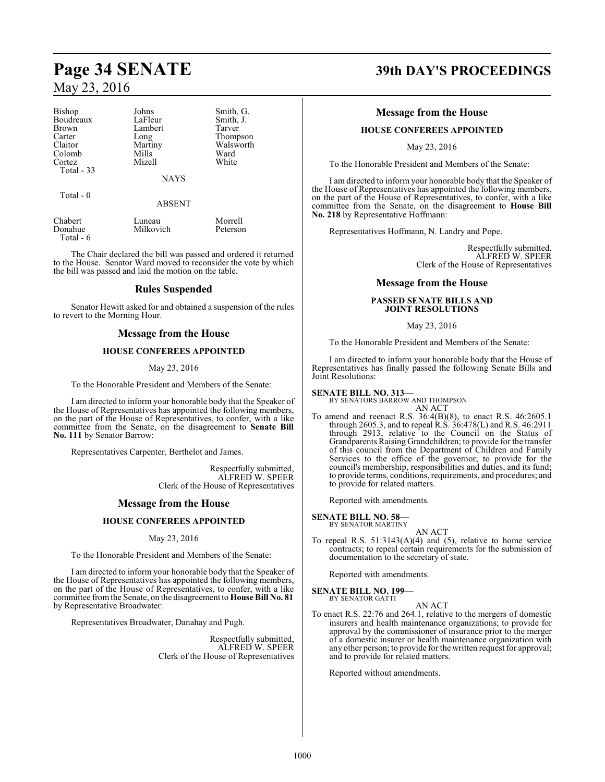| Bishop<br>Boudreaux | Johns<br>LaFleur | Smith, G.<br>Smith, J. |
|---------------------|------------------|------------------------|
| Brown               | Lambert          | Tarver                 |
| Carter              | Long             | Thompson               |
| Claitor             | Martiny          | Walsworth              |
| Colomb              | Mills            | Ward                   |
| Cortez              | Mizell           | White                  |
| Total $-33$         |                  |                        |
|                     | <b>NAYS</b>      |                        |
| Total - 0           |                  |                        |

| Chabert   | Luneau    | Morrell  |
|-----------|-----------|----------|
| Donahue   | Milkovich | Peterson |
| Total - 6 |           |          |

The Chair declared the bill was passed and ordered it returned to the House. Senator Ward moved to reconsider the vote by which the bill was passed and laid the motion on the table.

ABSENT

#### **Rules Suspended**

Senator Hewitt asked for and obtained a suspension of the rules to revert to the Morning Hour.

#### **Message from the House**

#### **HOUSE CONFEREES APPOINTED**

#### May 23, 2016

To the Honorable President and Members of the Senate:

I am directed to inform your honorable body that the Speaker of the House of Representatives has appointed the following members, on the part of the House of Representatives, to confer, with a like committee from the Senate, on the disagreement to **Senate Bill No. 111** by Senator Barrow:

Representatives Carpenter, Berthelot and James.

Respectfully submitted, ALFRED W. SPEER Clerk of the House of Representatives

#### **Message from the House**

#### **HOUSE CONFEREES APPOINTED**

#### May 23, 2016

To the Honorable President and Members of the Senate:

I am directed to inform your honorable body that the Speaker of the House of Representatives has appointed the following members, on the part of the House of Representatives, to confer, with a like committee fromthe Senate, on the disagreement to **House Bill No. 81** by Representative Broadwater:

Representatives Broadwater, Danahay and Pugh.

Respectfully submitted, ALFRED W. SPEER Clerk of the House of Representatives

## **Page 34 SENATE 39th DAY'S PROCEEDINGS**

#### **Message from the House**

#### **HOUSE CONFEREES APPOINTED**

May 23, 2016

To the Honorable President and Members of the Senate:

I am directed to inform your honorable body that the Speaker of the House of Representatives has appointed the following members, on the part of the House of Representatives, to confer, with a like committee from the Senate, on the disagreement to **House Bill No. 218** by Representative Hoffmann:

Representatives Hoffmann, N. Landry and Pope.

Respectfully submitted, ALFRED W. SPEER Clerk of the House of Representatives

#### **Message from the House**

#### **PASSED SENATE BILLS AND JOINT RESOLUTIONS**

May 23, 2016

To the Honorable President and Members of the Senate:

I am directed to inform your honorable body that the House of Representatives has finally passed the following Senate Bills and Joint Resolutions:

#### **SENATE BILL NO. 313—**

BY SENATORS BARROW AND THOMPSON

AN ACT To amend and reenact R.S. 36:4(B)(8), to enact R.S. 46:2605.1 through 2605.3, and to repeal R.S. 36:478(L) and R.S. 46:2911 through 2913, relative to the Council on the Status of Grandparents Raising Grandchildren; to provide for the transfer of this council from the Department of Children and Family Services to the office of the governor; to provide for the council's membership, responsibilities and duties, and its fund; to provide terms, conditions, requirements, and procedures; and to provide for related matters.

Reported with amendments.

#### **SENATE BILL NO. 58—** BY SENATOR MARTINY

AN ACT

To repeal R.S. 51:3143(A)(4) and (5), relative to home service contracts; to repeal certain requirements for the submission of documentation to the secretary of state.

Reported with amendments.

#### **SENATE BILL NO. 199—** BY SENATOR GATTI

AN ACT

To enact R.S. 22:76 and 264.1, relative to the mergers of domestic insurers and health maintenance organizations; to provide for approval by the commissioner of insurance prior to the merger of a domestic insurer or health maintenance organization with any other person; to provide for the written request for approval; and to provide for related matters.

Reported without amendments.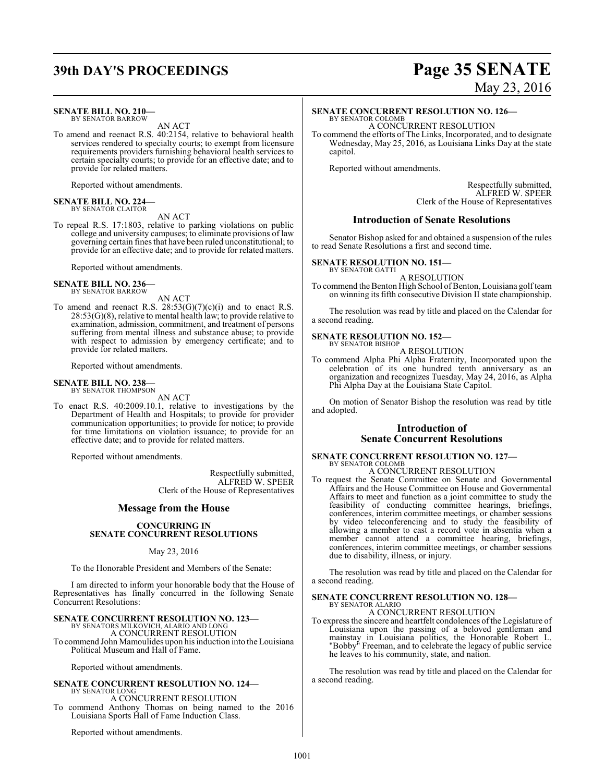## **39th DAY'S PROCEEDINGS Page 35 SENATE**

#### **SENATE BILL NO. 210—**

BY SENATOR BARROW AN ACT

To amend and reenact R.S. 40:2154, relative to behavioral health services rendered to specialty courts; to exempt from licensure requirements providers furnishing behavioral health services to certain specialty courts; to provide for an effective date; and to provide for related matters.

Reported without amendments.

## **SENATE BILL NO. 224—** BY SENATOR CLAITOR

AN ACT

To repeal R.S. 17:1803, relative to parking violations on public college and university campuses; to eliminate provisions of law governing certain fines that have been ruled unconstitutional; to provide for an effective date; and to provide for related matters.

Reported without amendments.

#### **SENATE BILL NO. 236—** BY SENATOR BARROW

AN ACT

To amend and reenact R.S.  $28:53(G)(7)(c)(i)$  and to enact R.S. 28:53(G)(8), relative to mental health law; to provide relative to examination, admission, commitment, and treatment of persons suffering from mental illness and substance abuse; to provide with respect to admission by emergency certificate; and to provide for related matters.

Reported without amendments.

#### **SENATE BILL NO. 238—** BY SENATOR THOMPSON

AN ACT

To enact R.S. 40:2009.10.1, relative to investigations by the Department of Health and Hospitals; to provide for provider communication opportunities; to provide for notice; to provide for time limitations on violation issuance; to provide for an effective date; and to provide for related matters.

Reported without amendments.

Respectfully submitted, ALFRED W. SPEER Clerk of the House of Representatives

#### **Message from the House**

#### **CONCURRING IN SENATE CONCURRENT RESOLUTIONS**

#### May 23, 2016

To the Honorable President and Members of the Senate:

I am directed to inform your honorable body that the House of Representatives has finally concurred in the following Senate Concurrent Resolutions:

## **SENATE CONCURRENT RESOLUTION NO. 123—** BY SENATORS MILKOVICH, ALARIO AND LONG

A CONCURRENT RESOLUTION

To commend John Mamoulides upon his induction into the Louisiana Political Museum and Hall of Fame.

Reported without amendments.

### **SENATE CONCURRENT RESOLUTION NO. 124—**

BY SENATOR LONG A CONCURRENT RESOLUTION To commend Anthony Thomas on being named to the 2016 Louisiana Sports Hall of Fame Induction Class.

Reported without amendments.

# May 23, 2016

## **SENATE CONCURRENT RESOLUTION NO. 126—**

BY SENATOR COLOMB A CONCURRENT RESOLUTION

To commend the efforts of The Links, Incorporated, and to designate Wednesday, May 25, 2016, as Louisiana Links Day at the state capitol.

Reported without amendments.

Respectfully submitted, ALFRED W. SPEER Clerk of the House of Representatives

#### **Introduction of Senate Resolutions**

Senator Bishop asked for and obtained a suspension of the rules to read Senate Resolutions a first and second time.

#### **SENATE RESOLUTION NO. 151—**

BY SENATOR GATTI A RESOLUTION

To commend the Benton High School of Benton, Louisiana golf team on winning its fifth consecutive Division II state championship.

The resolution was read by title and placed on the Calendar for a second reading.

## **SENATE RESOLUTION NO. 152—** BY SENATOR BISHOP

A RESOLUTION

To commend Alpha Phi Alpha Fraternity, Incorporated upon the celebration of its one hundred tenth anniversary as an organization and recognizes Tuesday, May 24, 2016, as Alpha Phi Alpha Day at the Louisiana State Capitol.

On motion of Senator Bishop the resolution was read by title and adopted.

#### **Introduction of Senate Concurrent Resolutions**

#### **SENATE CONCURRENT RESOLUTION NO. 127—** BY SENATOR COLOMB

A CONCURRENT RESOLUTION

To request the Senate Committee on Senate and Governmental Affairs and the House Committee on House and Governmental Affairs to meet and function as a joint committee to study the feasibility of conducting committee hearings, briefings, conferences, interim committee meetings, or chamber sessions by video teleconferencing and to study the feasibility of allowing a member to cast a record vote in absentia when a member cannot attend a committee hearing, briefings, conferences, interim committee meetings, or chamber sessions due to disability, illness, or injury.

The resolution was read by title and placed on the Calendar for a second reading.

## **SENATE CONCURRENT RESOLUTION NO. 128—** BY SENATOR ALARIO A CONCURRENT RESOLUTION

To express the sincere and heartfelt condolences ofthe Legislature of Louisiana upon the passing of a beloved gentleman and mainstay in Louisiana politics, the Honorable Robert L. "Bobby" Freeman, and to celebrate the legacy of public service he leaves to his community, state, and nation.

The resolution was read by title and placed on the Calendar for a second reading.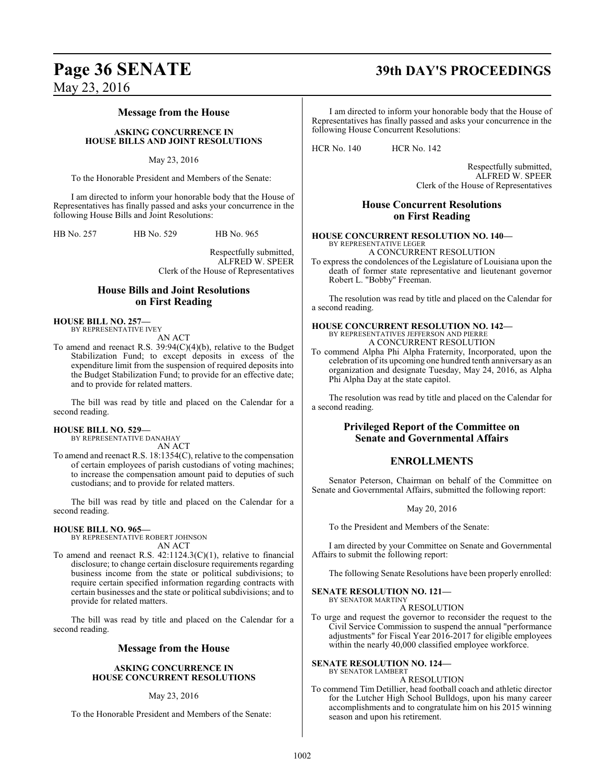## **Page 36 SENATE 39th DAY'S PROCEEDINGS**

May 23, 2016

#### **Message from the House**

**ASKING CONCURRENCE IN HOUSE BILLS AND JOINT RESOLUTIONS**

May 23, 2016

To the Honorable President and Members of the Senate:

I am directed to inform your honorable body that the House of Representatives has finally passed and asks your concurrence in the following House Bills and Joint Resolutions:

HB No. 257 HB No. 529 HB No. 965

Respectfully submitted, ALFRED W. SPEER Clerk of the House of Representatives

#### **House Bills and Joint Resolutions on First Reading**

**HOUSE BILL NO. 257—** BY REPRESENTATIVE IVEY

AN ACT To amend and reenact R.S. 39:94(C)(4)(b), relative to the Budget Stabilization Fund; to except deposits in excess of the expenditure limit from the suspension of required deposits into

and to provide for related matters. The bill was read by title and placed on the Calendar for a

the Budget Stabilization Fund; to provide for an effective date;

## second reading.

#### **HOUSE BILL NO. 529—** BY REPRESENTATIVE DANAHAY

AN ACT

To amend and reenact R.S. 18:1354(C), relative to the compensation of certain employees of parish custodians of voting machines; to increase the compensation amount paid to deputies of such custodians; and to provide for related matters.

The bill was read by title and placed on the Calendar for a second reading.

#### **HOUSE BILL NO. 965—**

BY REPRESENTATIVE ROBERT JOHNSON AN ACT

To amend and reenact R.S. 42:1124.3(C)(1), relative to financial disclosure; to change certain disclosure requirements regarding business income from the state or political subdivisions; to require certain specified information regarding contracts with certain businesses and the state or political subdivisions; and to provide for related matters.

The bill was read by title and placed on the Calendar for a second reading.

#### **Message from the House**

#### **ASKING CONCURRENCE IN HOUSE CONCURRENT RESOLUTIONS**

#### May 23, 2016

To the Honorable President and Members of the Senate:

I am directed to inform your honorable body that the House of Representatives has finally passed and asks your concurrence in the following House Concurrent Resolutions:

HCR No. 140 HCR No. 142

Respectfully submitted, ALFRED W. SPEER Clerk of the House of Representatives

## **House Concurrent Resolutions on First Reading**

#### **HOUSE CONCURRENT RESOLUTION NO. 140—** BY REPRESENTATIVE LEGER

A CONCURRENT RESOLUTION

To express the condolences of the Legislature of Louisiana upon the death of former state representative and lieutenant governor Robert L. "Bobby" Freeman.

The resolution was read by title and placed on the Calendar for a second reading.

#### **HOUSE CONCURRENT RESOLUTION NO. 142—** BY REPRESENTATIVES JEFFERSON AND PIERRE A CONCURRENT RESOLUTION

To commend Alpha Phi Alpha Fraternity, Incorporated, upon the celebration of its upcoming one hundred tenth anniversary as an organization and designate Tuesday, May 24, 2016, as Alpha Phi Alpha Day at the state capitol.

The resolution was read by title and placed on the Calendar for a second reading.

### **Privileged Report of the Committee on Senate and Governmental Affairs**

## **ENROLLMENTS**

Senator Peterson, Chairman on behalf of the Committee on Senate and Governmental Affairs, submitted the following report:

May 20, 2016

To the President and Members of the Senate:

I am directed by your Committee on Senate and Governmental Affairs to submit the following report:

The following Senate Resolutions have been properly enrolled:

#### **SENATE RESOLUTION NO. 121—** BY SENATOR MARTINY

A RESOLUTION

To urge and request the governor to reconsider the request to the Civil Service Commission to suspend the annual "performance adjustments" for Fiscal Year 2016-2017 for eligible employees within the nearly 40,000 classified employee workforce.

#### **SENATE RESOLUTION NO. 124—** BY SENATOR LAMBERT

A RESOLUTION

To commend Tim Detillier, head football coach and athletic director for the Lutcher High School Bulldogs, upon his many career accomplishments and to congratulate him on his 2015 winning season and upon his retirement.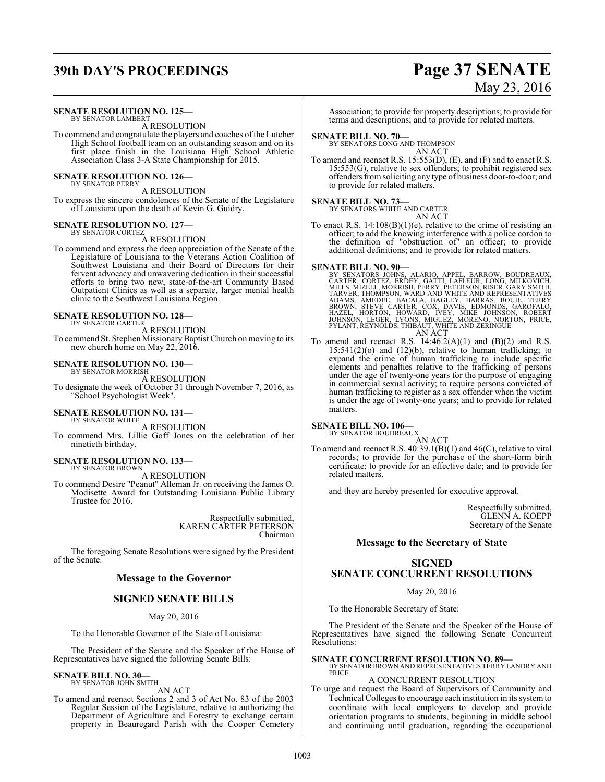## **39th DAY'S PROCEEDINGS Page 37 SENATE**

#### **SENATE RESOLUTION NO. 125—**

BY SENATOR LAMBERT A RESOLUTION

To commend and congratulate the players and coaches of the Lutcher High School football team on an outstanding season and on its first place finish in the Louisiana High School Athletic Association Class 3-A State Championship for 2015.

#### **SENATE RESOLUTION NO. 126—** BY SENATOR PERRY

A RESOLUTION

To express the sincere condolences of the Senate of the Legislature of Louisiana upon the death of Kevin G. Guidry.

## **SENATE RESOLUTION NO. 127—** BY SENATOR CORTEZ

A RESOLUTION To commend and express the deep appreciation of the Senate of the Legislature of Louisiana to the Veterans Action Coalition of Southwest Louisiana and their Board of Directors for their fervent advocacy and unwavering dedication in their successful efforts to bring two new, state-of-the-art Community Based Outpatient Clinics as well as a separate, larger mental health clinic to the Southwest Louisiana Region.

#### **SENATE RESOLUTION NO. 128—** BY SENATOR CARTER

A RESOLUTION

To commend St. Stephen Missionary Baptist Church on moving to its new church home on May 22, 2016.

#### **SENATE RESOLUTION NO. 130—** BY SENATOR MORRISH

A RESOLUTION To designate the week of October 31 through November 7, 2016, as "School Psychologist Week".

#### **SENATE RESOLUTION NO. 131—** BY SENATOR WHITE

A RESOLUTION

To commend Mrs. Lillie Goff Jones on the celebration of her ninetieth birthday.

#### **SENATE RESOLUTION NO. 133—**

BY SENATOR BROWN A RESOLUTION

To commend Desire "Peanut" Alleman Jr. on receiving the James O. Modisette Award for Outstanding Louisiana Public Library Trustee for 2016.

> Respectfully submitted, KAREN CARTER PETERSON Chairman

The foregoing Senate Resolutions were signed by the President of the Senate.

#### **Message to the Governor**

#### **SIGNED SENATE BILLS**

May 20, 2016

To the Honorable Governor of the State of Louisiana:

The President of the Senate and the Speaker of the House of Representatives have signed the following Senate Bills:

#### **SENATE BILL NO. 30—** BY SENATOR JOHN SMITH

AN ACT

To amend and reenact Sections 2 and 3 of Act No. 83 of the 2003 Regular Session of the Legislature, relative to authorizing the Department of Agriculture and Forestry to exchange certain property in Beauregard Parish with the Cooper Cemetery

# May 23, 2016

Association; to provide for property descriptions; to provide for terms and descriptions; and to provide for related matters.

#### **SENATE BILL NO. 70—**

BY SENATORS LONG AND THOMPSON AN ACT

To amend and reenact R.S. 15:553(D), (E), and (F) and to enact R.S. 15:553(G), relative to sex offenders; to prohibit registered sex offenders from soliciting any type of business door-to-door; and to provide for related matters.

## **SENATE BILL NO. 73—** BY SENATORS WHITE AND CARTER

AN ACT

To enact R.S. 14:108(B)(1)(e), relative to the crime of resisting an officer; to add the knowing interference with a police cordon to the definition of "obstruction of" an officer; to provide additional definitions; and to provide for related matters.

#### **SENATE BILL NO. 90—**

BY SENATORS JOHNS, ALARIO, APPEL, BARROW, BOUDREAUX, CARTER, CORTEZ, ERDEY, GATTI, LAFLEUR, LONG, MILKOVICH,<br>CARTER, CORTEZ, ERDEY, GATTI, LAFLEUR, LONG, MILKOVICH,<br>TARVER, THOMPSON, WARD AND WHITE AND REPRESENTATIVES<br>ADAM AN ACT

To amend and reenact R.S.  $14:46.2(A)(1)$  and  $(B)(2)$  and R.S.  $15:541(2)(o)$  and  $(12)(b)$ , relative to human trafficking; to expand the crime of human trafficking to include specific elements and penalties relative to the trafficking of persons under the age of twenty-one years for the purpose of engaging in commercial sexual activity; to require persons convicted of human trafficking to register as a sex offender when the victim is under the age of twenty-one years; and to provide for related matters.

## **SENATE BILL NO. 106—** BY SENATOR BOUDREAUX

AN ACT To amend and reenact R.S.  $40:39.1(B)(1)$  and  $46(C)$ , relative to vital records; to provide for the purchase of the short-form birth certificate; to provide for an effective date; and to provide for related matters.

and they are hereby presented for executive approval.

Respectfully submitted, GLENN A. KOEPP Secretary of the Senate

#### **Message to the Secretary of State**

### **SIGNED SENATE CONCURRENT RESOLUTIONS**

May 20, 2016

To the Honorable Secretary of State:

The President of the Senate and the Speaker of the House of Representatives have signed the following Senate Concurrent Resolutions:

## **SENATE CONCURRENT RESOLUTION NO. 89—**

#### BY SENATOR BROWN AND REPRESENTATIVES TERRY LANDRY AND PRICE A CONCURRENT RESOLUTION

To urge and request the Board of Supervisors of Community and Technical Colleges to encourage each institution in its systemto coordinate with local employers to develop and provide orientation programs to students, beginning in middle school and continuing until graduation, regarding the occupational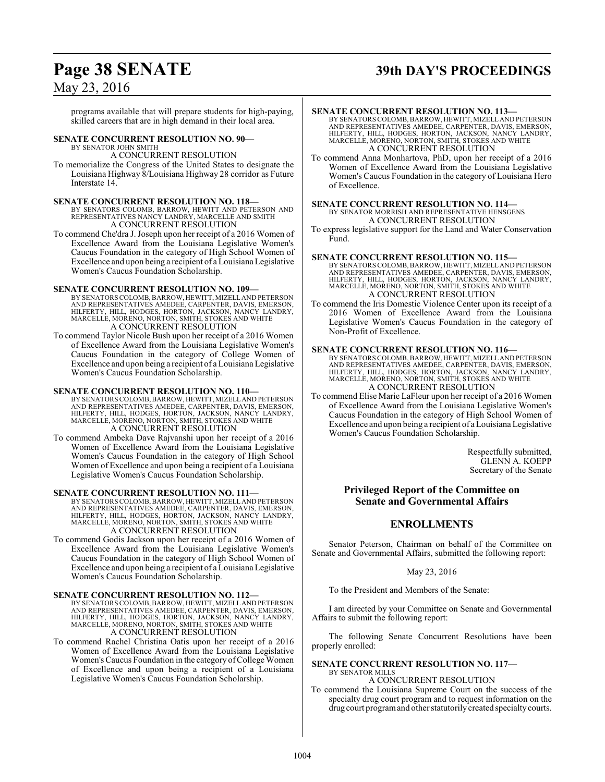# **Page 38 SENATE 39th DAY'S PROCEEDINGS**

## May 23, 2016

programs available that will prepare students for high-paying, skilled careers that are in high demand in their local area.

#### **SENATE CONCURRENT RESOLUTION NO. 90—** BY SENATOR JOHN SMITH

A CONCURRENT RESOLUTION

To memorialize the Congress of the United States to designate the Louisiana Highway 8/Louisiana Highway 28 corridor as Future Interstate 14.

#### **SENATE CONCURRENT RESOLUTION NO. 118—**

BY SENATORS COLOMB, BARROW, HEWITT AND PETERSON AND REPRESENTATIVES NANCY LANDRY, MARCELLE AND SMITH A CONCURRENT RESOLUTION

To commend Che'dra J. Joseph upon her receipt of a 2016 Women of Excellence Award from the Louisiana Legislative Women's Caucus Foundation in the category of High School Women of Excellence and upon being a recipient of a Louisiana Legislative Women's Caucus Foundation Scholarship.

#### **SENATE CONCURRENT RESOLUTION NO. 109—**

- BY SENATORS COLOMB, BARROW, HEWITT, MIZELLAND PETERSON AND REPRESENTATIVES AMEDEE, CARPENTER, DAVIS, EMERSON, HILFERTY, HILL, HODGES, HORTON, JACKSON, NANCY LANDRY, MARCELLE, MORENO, NORTON, SMITH, STOKES AND WHITE A CONCURRENT RESOLUTION
- To commend Taylor Nicole Bush upon her receipt of a 2016 Women of Excellence Award from the Louisiana Legislative Women's Caucus Foundation in the category of College Women of Excellence and upon being a recipient of a Louisiana Legislative Women's Caucus Foundation Scholarship.

#### **SENATE CONCURRENT RESOLUTION NO. 110—**

- BY SENATORS COLOMB, BARROW, HEWITT, MIZELLAND PETERSON AND REPRESENTATIVES AMEDEE, CARPENTER, DAVIS, EMERSON, HILFERTY, HILL, HODGES, HORTON, JACKSON, NANCY LANDRY, MARCELLE, MORENO, NORTON, SMITH, STOKES AND WHITE A CONCURRENT RESOLUTION
- To commend Ambeka Dave Rajvanshi upon her receipt of a 2016 Women of Excellence Award from the Louisiana Legislative Women's Caucus Foundation in the category of High School Women of Excellence and upon being a recipient of a Louisiana Legislative Women's Caucus Foundation Scholarship.

#### **SENATE CONCURRENT RESOLUTION NO. 111—**

BY SENATORS COLOMB, BARROW, HEWITT, MIZELLAND PETERSON AND REPRESENTATIVES AMEDEE, CARPENTER, DAVIS, EMERSON, HILFERTY, HILL, HODGES, HORTON, JACKSON, NANCY LANDRY, MARCELLE, MORENO, NORTON, SMITH, STOKES AND WHITE A CONCURRENT RESOLUTION

To commend Godis Jackson upon her receipt of a 2016 Women of Excellence Award from the Louisiana Legislative Women's Caucus Foundation in the category of High School Women of Excellence and upon being a recipient of a Louisiana Legislative Women's Caucus Foundation Scholarship.

**SENATE CONCURRENT RESOLUTION NO. 112—** BY SENATORS COLOMB, BARROW, HEWITT, MIZELLAND PETERSON AND REPRESENTATIVES AMEDEE, CARPENTER, DAVIS, EMERSON, HILFERTY, HILL, HODGES, HORTON, JACKSON, NANCY LANDRY, MARCELLE, MORENO, NORTON, SMITH, STOKES AND WHITE A CONCURRENT RESOLUTION

To commend Rachel Christina Oatis upon her receipt of a 2016 Women of Excellence Award from the Louisiana Legislative Women's Caucus Foundation in the category of College Women of Excellence and upon being a recipient of a Louisiana Legislative Women's Caucus Foundation Scholarship.

#### **SENATE CONCURRENT RESOLUTION NO. 113—**

BY SENATORS COLOMB, BARROW, HEWITT, MIZELLAND PETERSON AND REPRESENTATIVES AMEDEE, CARPENTER, DAVIS, EMERSON, HILFERTY, HILL, HODGES, HORTON, JACKSON, NANCY LANDRY, MARCELLE, MORENO, NORTON, SMITH, STOKES AND WHITE A CONCURRENT RESOLUTION

To commend Anna Monhartova, PhD, upon her receipt of a 2016 Women of Excellence Award from the Louisiana Legislative Women's Caucus Foundation in the category of Louisiana Hero of Excellence.

- **SENATE CONCURRENT RESOLUTION NO. 114—** BY SENATOR MORRISH AND REPRESENTATIVE HENSGENS A CONCURRENT RESOLUTION
- To express legislative support for the Land and Water Conservation Fund.

#### **SENATE CONCURRENT RESOLUTION NO. 115—**

BY SENATORS COLOMB, BARROW, HEWITT, MIZELLAND PETERSON AND REPRESENTATIVES AMEDEE, CARPENTER, DAVIS, EMERSON, HILFERTY, HILL, HODGES, HORTON, JACKSON, NANCY LANDRY, MARCELLE, MORENO, NORTON, SMITH, STOKES AND WHITE A CONCURRENT RESOLUTION

To commend the Iris Domestic Violence Center upon its receipt of a 2016 Women of Excellence Award from the Louisiana Legislative Women's Caucus Foundation in the category of Non-Profit of Excellence.

#### **SENATE CONCURRENT RESOLUTION NO. 116—**

BY SENATORS COLOMB, BARROW, HEWITT, MIZELLAND PETERSON AND REPRESENTATIVES AMEDEE, CARPENTER, DAVIS, EMERSON, HILFERTY, HILL, HODGES, HORTON, JACKSON, NANCY LANDRY, MARCELLE, MORENO, NORTON, SMITH, STOKES AND WHITE A CONCURRENT RESOLUTION

To commend Elise Marie LaFleur upon her receipt of a 2016 Women of Excellence Award from the Louisiana Legislative Women's Caucus Foundation in the category of High School Women of Excellence and upon being a recipient of a Louisiana Legislative Women's Caucus Foundation Scholarship.

> Respectfully submitted, GLENN A. KOEPP Secretary of the Senate

### **Privileged Report of the Committee on Senate and Governmental Affairs**

#### **ENROLLMENTS**

Senator Peterson, Chairman on behalf of the Committee on Senate and Governmental Affairs, submitted the following report:

#### May 23, 2016

To the President and Members of the Senate:

I am directed by your Committee on Senate and Governmental Affairs to submit the following report:

The following Senate Concurrent Resolutions have been properly enrolled:

#### **SENATE CONCURRENT RESOLUTION NO. 117—** BY SENATOR MILLS

A CONCURRENT RESOLUTION

To commend the Louisiana Supreme Court on the success of the specialty drug court program and to request information on the drug court programand other statutorily created specialtycourts.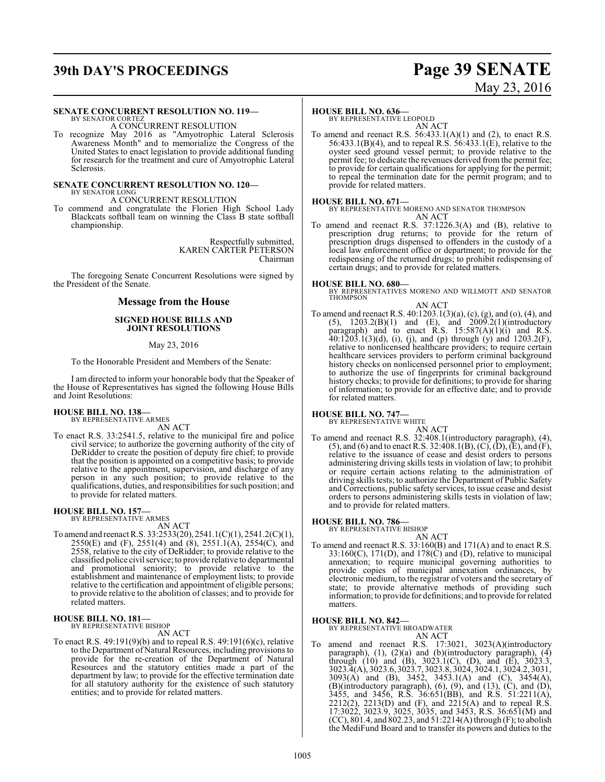# **39th DAY'S PROCEEDINGS Page 39 SENATE**

# May 23, 2016

#### **SENATE CONCURRENT RESOLUTION NO. 119—**

BY SENATOR CORTEZ A CONCURRENT RESOLUTION

To recognize May 2016 as "Amyotrophic Lateral Sclerosis Awareness Month" and to memorialize the Congress of the United States to enact legislation to provide additional funding for research for the treatment and cure of Amyotrophic Lateral Sclerosis.

#### **SENATE CONCURRENT RESOLUTION NO. 120—** BY SENATOR LONG

A CONCURRENT RESOLUTION

To commend and congratulate the Florien High School Lady Blackcats softball team on winning the Class B state softball championship.

> Respectfully submitted, KAREN CARTER PETERSON Chairman

The foregoing Senate Concurrent Resolutions were signed by the President of the Senate.

#### **Message from the House**

#### **SIGNED HOUSE BILLS AND JOINT RESOLUTIONS**

#### May 23, 2016

To the Honorable President and Members of the Senate:

I am directed to inform your honorable body that the Speaker of the House of Representatives has signed the following House Bills and Joint Resolutions:

## **HOUSE BILL NO. 138—** BY REPRESENTATIVE ARMES

AN ACT

To enact R.S. 33:2541.5, relative to the municipal fire and police civil service; to authorize the governing authority of the city of DeRidder to create the position of deputy fire chief; to provide that the position is appointed on a competitive basis; to provide relative to the appointment, supervision, and discharge of any person in any such position; to provide relative to the qualifications, duties, and responsibilities for such position; and to provide for related matters.

# **HOUSE BILL NO. 157—** BY REPRESENTATIVE ARMES AN ACT

To amend and reenact R.S. 33:2533(20), 2541.1(C)(1), 2541.2(C)(1), 2550(E) and (F), 2551(4) and (8), 2551.1(A), 2554(C), and 2558, relative to the city of DeRidder; to provide relative to the classified police civil service; to provide relative to departmental and promotional seniority; to provide relative to the establishment and maintenance of employment lists; to provide relative to the certification and appointment of eligible persons; to provide relative to the abolition of classes; and to provide for related matters.

## **HOUSE BILL NO. 181—** BY REPRESENTATIVE BISHOP

AN ACT

To enact R.S. 49:191(9)(b) and to repeal R.S. 49:191(6)(c), relative to the Department of Natural Resources, including provisions to provide for the re-creation of the Department of Natural Resources and the statutory entities made a part of the department by law; to provide for the effective termination date for all statutory authority for the existence of such statutory entities; and to provide for related matters.

#### **HOUSE BILL NO. 636—**

BY REPRESENTATIVE LEOPOLD AN ACT

To amend and reenact R.S.  $56:433.1(A)(1)$  and  $(2)$ , to enact R.S. 56:433.1(B)(4), and to repeal R.S. 56:433.1(E), relative to the oyster seed ground vessel permit; to provide relative to the permit fee; to dedicate the revenues derived from the permit fee; to provide for certain qualifications for applying for the permit; to repeal the termination date for the permit program; and to provide for related matters.

**HOUSE BILL NO. 671—** BY REPRESENTATIVE MORENO AND SENATOR THOMPSON AN ACT

To amend and reenact R.S. 37:1226.3(A) and (B), relative to prescription drug returns; to provide for the return of prescription drugs dispensed to offenders in the custody of a local law enforcement office or department; to provide for the redispensing of the returned drugs; to prohibit redispensing of certain drugs; and to provide for related matters.

**HOUSE BILL NO. 680—** BY REPRESENTATIVES MORENO AND WILLMOTT AND SENATOR THOMPSON

## AN ACT

To amend and reenact R.S. 40:1203.1(3)(a), (c), (g), and (o), (4), and  $(5)$ ,  $1203.2(B)(1)$  and  $(E)$ , and  $2009.2(1)(introducing$ paragraph) and to enact R.S.  $15:587(A)(1)(i)$  and R.S.  $40:1203.1(3)(d)$ , (i), (j), and (p) through (y) and  $1203.2(F)$ , relative to nonlicensed healthcare providers; to require certain healthcare services providers to perform criminal background history checks on nonlicensed personnel prior to employment; to authorize the use of fingerprints for criminal background history checks; to provide for definitions; to provide for sharing of information; to provide for an effective date; and to provide for related matters.

#### **HOUSE BILL NO. 747—**

BY REPRESENTATIVE WHITE

- AN ACT
- To amend and reenact R.S. 32:408.1(introductory paragraph), (4), (5), and (6) and to enact R.S. 32:408.1(B), (C), (D), (E), and (F), relative to the issuance of cease and desist orders to persons administering driving skills tests in violation of law; to prohibit or require certain actions relating to the administration of driving skills tests; to authorize the Department of Public Safety and Corrections, public safety services, to issue cease and desist orders to persons administering skills tests in violation of law; and to provide for related matters.

**HOUSE BILL NO. 786—** BY REPRESENTATIVE BISHOP

AN ACT

To amend and reenact R.S. 33:160(B) and 171(A) and to enact R.S. 33:160(C), 171(D), and 178(C) and (D), relative to municipal annexation; to require municipal governing authorities to provide copies of municipal annexation ordinances, by electronic medium, to the registrar of voters and the secretary of state; to provide alternative methods of providing such information; to provide for definitions; and to provide for related matters.

#### **HOUSE BILL NO. 842—**

BY REPRESENTATIVE BROADWATER AN ACT

To amend and reenact R.S. 17:3021, 3023(A)(introductory paragraph), (1), (2)(a) and (b)(introductory paragraph), (4) through (10) and (B),  $3023.1$ (C), (D), and (E),  $3023.3$ , 3023.4(A), 3023.6, 3023.7, 3023.8, 3024, 3024.1, 3024.2, 3031, 3093(A) and (B), 3452, 3453.1(A) and (C), 3454(A), (B)(introductory paragraph), (6), (9), and (13), (C), and (D), 3455, and 3456, R.S. 36:651(BB), and R.S. 51:2211(A), 2212(2), 2213(D) and (F), and 2215(A) and to repeal R.S. 17:3022, 3023.9, 3025, 3035, and 3453, R.S. 36:651(M) and (CC), 801.4, and 802.23, and 51:2214(A) through (F); to abolish the MediFund Board and to transfer its powers and duties to the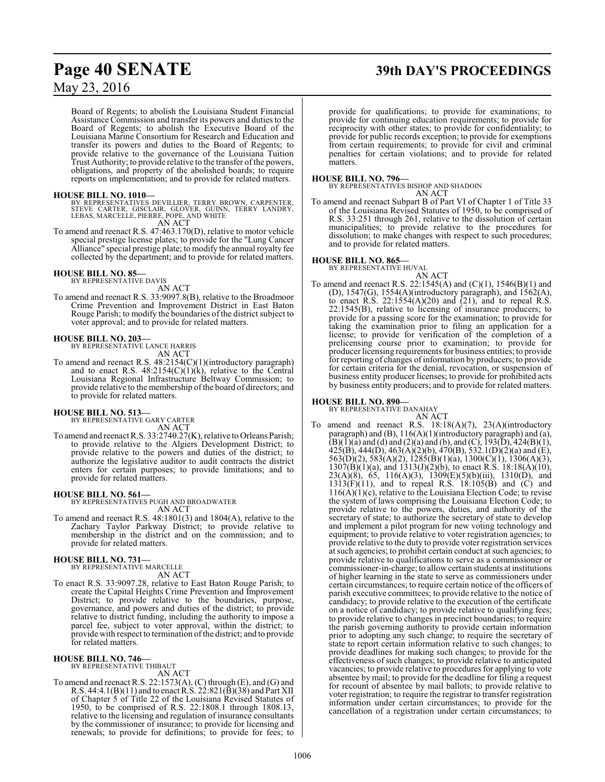## **Page 40 SENATE 39th DAY'S PROCEEDINGS**

## May 23, 2016

Board of Regents; to abolish the Louisiana Student Financial Assistance Commission and transfer its powers and duties to the Board of Regents; to abolish the Executive Board of the Louisiana Marine Consortium for Research and Education and transfer its powers and duties to the Board of Regents; to provide relative to the governance of the Louisiana Tuition Trust Authority; to provide relative to the transfer ofthe powers, obligations, and property of the abolished boards; to require reports on implementation; and to provide for related matters.

**HOUSE BILL NO. 1010—**<br>BY REPRESENTATIVES DEVILLIER, TERRY BROWN, CARPENTER,<br>STEVE CARTER, GISCLAIR, GLOVER, GUINN, TERRY LANDRY,<br>LEBAS, MARCELLE, PIERRE, POPE, AND WHITE AN ACT

To amend and reenact R.S. 47:463.170(D), relative to motor vehicle special prestige license plates; to provide for the "Lung Cancer Alliance" special prestige plate; to modify the annual royalty fee collected by the department; and to provide for related matters.

#### **HOUSE BILL NO. 85—**

BY REPRESENTATIVE DAVIS AN ACT

To amend and reenact R.S. 33:9097.8(B), relative to the Broadmoor Crime Prevention and Improvement District in East Baton Rouge Parish; to modify the boundaries of the district subject to voter approval; and to provide for related matters.

#### **HOUSE BILL NO. 203—**

BY REPRESENTATIVE LANCE HARRIS AN ACT

To amend and reenact R.S. 48:2154(C)(1)(introductory paragraph) and to enact R.S.  $48:2154(C)(1)(k)$ , relative to the Central Louisiana Regional Infrastructure Beltway Commission; to provide relative to the membership of the board of directors; and to provide for related matters.

**HOUSE BILL NO. 513—** BY REPRESENTATIVE GARY CARTER AN ACT

To amend and reenact R.S. 33:2740.27(K), relative to Orleans Parish; to provide relative to the Algiers Development District; to provide relative to the powers and duties of the district; to authorize the legislative auditor to audit contracts the district enters for certain purposes; to provide limitations; and to provide for related matters.

**HOUSE BILL NO. 561—** BY REPRESENTATIVES PUGH AND BROADWATER AN ACT

To amend and reenact R.S. 48:1801(3) and 1804(A), relative to the Zachary Taylor Parkway District; to provide relative to membership in the district and on the commission; and to provide for related matters.

#### **HOUSE BILL NO. 731—**

BY REPRESENTATIVE MARCELLE AN ACT

To enact R.S. 33:9097.28, relative to East Baton Rouge Parish; to create the Capital Heights Crime Prevention and Improvement District; to provide relative to the boundaries, purpose, governance, and powers and duties of the district; to provide relative to district funding, including the authority to impose a parcel fee, subject to voter approval, within the district; to provide with respect to termination ofthe district; and to provide for related matters.

#### **HOUSE BILL NO. 746—**

BY REPRESENTATIVE THIBAUT AN ACT

To amend and reenact R.S. 22:1573(A), (C) through (E), and (G) and R.S. 44:4.1(B)(11) and to enact R.S. 22:821(B)(38) and Part XII of Chapter 5 of Title 22 of the Louisiana Revised Statutes of 1950, to be comprised of R.S. 22:1808.1 through 1808.13, relative to the licensing and regulation of insurance consultants by the commissioner of insurance; to provide for licensing and renewals; to provide for definitions; to provide for fees; to provide for qualifications; to provide for examinations; to provide for continuing education requirements; to provide for reciprocity with other states; to provide for confidentiality; to provide for public records exception; to provide for exemptions from certain requirements; to provide for civil and criminal penalties for certain violations; and to provide for related matters.

**HOUSE BILL NO. 796—** BY REPRESENTATIVES BISHOP AND SHADOIN AN ACT

To amend and reenact Subpart B of Part VI of Chapter 1 of Title 33 of the Louisiana Revised Statutes of 1950, to be comprised of R.S. 33:251 through 261, relative to the dissolution of certain municipalities; to provide relative to the procedures for dissolution; to make changes with respect to such procedures; and to provide for related matters.

#### **HOUSE BILL NO. 865—**

BY REPRESENTATIVE HUVAL

#### AN ACT

To amend and reenact R.S. 22:1545(A) and (C)(1), 1546(B)(1) and (D), 1547(G), 1554(A)(introductory paragraph), and 1562(A), to enact R.S.  $22:1554(A)(20)$  and  $(21)$ , and to repeal R.S. 22:1545(B), relative to licensing of insurance producers; to provide for a passing score for the examination; to provide for taking the examination prior to filing an application for a license; to provide for verification of the completion of a prelicensing course prior to examination; to provide for producer licensing requirements for business entities; to provide for reporting of changes ofinformation by producers; to provide for certain criteria for the denial, revocation, or suspension of business entity producer licenses; to provide for prohibited acts by business entity producers; and to provide for related matters.

## **HOUSE BILL NO. 890—** BY REPRESENTATIVE DANAHAY

AN ACT To amend and reenact R.S. 18:18(A)(7), 23(A)(introductory paragraph) and (B), 116(A)(1)(introductory paragraph) and (a),  $(B)(I)(a)$  and (d) and (2)(a) and (b), and (C), 193(D), 424(B)(1), 425(B), 444(D), 463(A)(2)(b), 470(B), 532.1(D)(2)(a) and (E), 563(D)(2), 583(A)(2), 1285(B)(1)(a), 1300(C)(1), 1306(A)(3),  $1307(B)(1)(a)$ , and  $1313(J)(2)(b)$ , to enact R.S.  $18:18(A)(10)$ , 23(A)(8), 65, 116(A)(3), 1309(E)(5)(b)(iii), 1310(D), and 1313(F)(11), and to repeal R.S. 18:105(B) and (C) and  $116(\text{\AA})(1)(\text{\AA})$ , relative to the Louisiana Election Code; to revise the system of laws comprising the Louisiana Election Code; to provide relative to the powers, duties, and authority of the secretary of state; to authorize the secretary of state to develop and implement a pilot program for new voting technology and equipment; to provide relative to voter registration agencies; to provide relative to the duty to provide voter registration services at such agencies; to prohibit certain conduct at such agencies; to provide relative to qualifications to serve as a commissioner or commissioner-in-charge; to allowcertain students at institutions of higher learning in the state to serve as commissioners under certain circumstances; to require certain notice of the officers of parish executive committees; to provide relative to the notice of candidacy; to provide relative to the execution of the certificate on a notice of candidacy; to provide relative to qualifying fees; to provide relative to changes in precinct boundaries; to require the parish governing authority to provide certain information prior to adopting any such change; to require the secretary of state to report certain information relative to such changes; to provide deadlines for making such changes; to provide for the effectiveness of such changes; to provide relative to anticipated vacancies; to provide relative to procedures for applying to vote absentee by mail; to provide for the deadline for filing a request for recount of absentee by mail ballots; to provide relative to voter registration; to require the registrar to transfer registration information under certain circumstances; to provide for the cancellation of a registration under certain circumstances; to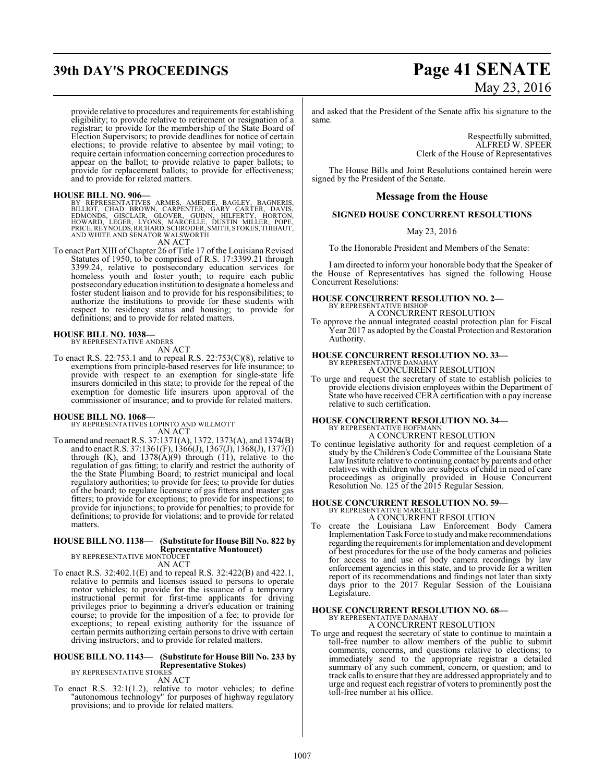provide relative to procedures and requirements for establishing eligibility; to provide relative to retirement or resignation of a registrar; to provide for the membership of the State Board of Election Supervisors; to provide deadlines for notice of certain elections; to provide relative to absentee by mail voting; to require certain information concerning correction procedures to appear on the ballot; to provide relative to paper ballots; to provide for replacement ballots; to provide for effectiveness; and to provide for related matters.

#### **HOUSE BILL NO. 906—**

BY REPRESENTATIVES ARMES, AMEDEE, BAGLEY, BAGNERIS,<br>BILLIOT, CHAD BROWN, CARPENTER, GARY CARTER, DAVIS,<br>EDMONDS, GISCLAIR, GLOVER, GUINN, HILFERTY, HORTON,<br>HOWARD, LEGER, LYONS, MARCELLE, DUSTIN MILLER, POPE,<br>PRICE,REYNOLD

AN ACT

To enact Part XIII of Chapter 26 of Title 17 of the Louisiana Revised Statutes of 1950, to be comprised of R.S. 17:3399.21 through 3399.24, relative to postsecondary education services for homeless youth and foster youth; to require each public postsecondary education institution to designate a homeless and foster student liaison and to provide for his responsibilities; to authorize the institutions to provide for these students with respect to residency status and housing; to provide for definitions; and to provide for related matters.

## **HOUSE BILL NO. 1038—** BY REPRESENTATIVE ANDERS

AN ACT

To enact R.S. 22:753.1 and to repeal R.S. 22:753(C)(8), relative to exemptions from principle-based reserves for life insurance; to provide with respect to an exemption for single-state life insurers domiciled in this state; to provide for the repeal of the exemption for domestic life insurers upon approval of the commissioner of insurance; and to provide for related matters.

#### **HOUSE BILL NO. 1068—**

BY REPRESENTATIVES LOPINTO AND WILLMOTT AN ACT

To amend and reenact R.S. 37:1371(A), 1372, 1373(A), and 1374(B) and to enact R.S. 37:1361(F), 1366(J), 1367(J), 1368(J), 1377(I) through  $(K)$ , and  $1378(A)(9)$  through  $(11)$ , relative to the regulation of gas fitting; to clarify and restrict the authority of the the State Plumbing Board; to restrict municipal and local regulatory authorities; to provide for fees; to provide for duties of the board; to regulate licensure of gas fitters and master gas fitters; to provide for exceptions; to provide for inspections; to provide for injunctions; to provide for penalties; to provide for definitions; to provide for violations; and to provide for related matters.

## **HOUSE BILL NO. 1138— (Substitute for House Bill No. 822 by Representative Montoucet)** BY REPRESENTATIVE MONTOUCET

AN ACT

To enact R.S. 32:402.1(E) and to repeal R.S. 32:422(B) and 422.1, relative to permits and licenses issued to persons to operate motor vehicles; to provide for the issuance of a temporary instructional permit for first-time applicants for driving privileges prior to beginning a driver's education or training course; to provide for the imposition of a fee; to provide for exceptions; to repeal existing authority for the issuance of certain permits authorizing certain personsto drive with certain driving instructors; and to provide for related matters.

#### **HOUSE BILL NO. 1143— (Substitute for House Bill No. 233 by Representative Stokes)**

BY REPRESENTATIVE STOKES AN ACT

To enact R.S. 32:1(1.2), relative to motor vehicles; to define "autonomous technology" for purposes of highway regulatory provisions; and to provide for related matters.

# **39th DAY'S PROCEEDINGS Page 41 SENATE** May 23, 2016

and asked that the President of the Senate affix his signature to the same.

> Respectfully submitted, ALFRED W. SPEER Clerk of the House of Representatives

The House Bills and Joint Resolutions contained herein were signed by the President of the Senate.

#### **Message from the House**

#### **SIGNED HOUSE CONCURRENT RESOLUTIONS**

May 23, 2016

To the Honorable President and Members of the Senate:

I am directed to inform your honorable body that the Speaker of the House of Representatives has signed the following House Concurrent Resolutions:

# **HOUSE CONCURRENT RESOLUTION NO. 2—** BY REPRESENTATIVE BISHOP

A CONCURRENT RESOLUTION

To approve the annual integrated coastal protection plan for Fiscal Year 2017 as adopted by the Coastal Protection and Restoration Authority.

# **HOUSE CONCURRENT RESOLUTION NO. 33—** BY REPRESENTATIVE DANAHAY

A CONCURRENT RESOLUTION

To urge and request the secretary of state to establish policies to provide elections division employees within the Department of State who have received CERA certification with a pay increase relative to such certification.

### **HOUSE CONCURRENT RESOLUTION NO. 34—** BY REPRESENTATIVE HOFFMANN A CONCURRENT RESOLUTION

To continue legislative authority for and request completion of a study by the Children's Code Committee of the Louisiana State Law Institute relative to continuing contact by parents and other relatives with children who are subjects of child in need of care proceedings as originally provided in House Concurrent Resolution No. 125 of the 2015 Regular Session.

#### **HOUSE CONCURRENT RESOLUTION NO. 59—** BY REPRESENTATIVE MARCELLE

A CONCURRENT RESOLUTION

To create the Louisiana Law Enforcement Body Camera Implementation Task Force to study and make recommendations regarding the requirements for implementation and development of best procedures for the use of the body cameras and policies for access to and use of body camera recordings by law enforcement agencies in this state, and to provide for a written report of its recommendations and findings not later than sixty days prior to the 2017 Regular Session of the Louisiana Legislature.

#### **HOUSE CONCURRENT RESOLUTION NO. 68—** BY REPRESENTATIVE DANAHAY A CONCURRENT RESOLUTION

To urge and request the secretary of state to continue to maintain a toll-free number to allow members of the public to submit

comments, concerns, and questions relative to elections; to immediately send to the appropriate registrar a detailed summary of any such comment, concern, or question; and to track calls to ensure that they are addressed appropriately and to urge and request each registrar of voters to prominently post the toll-free number at his office.